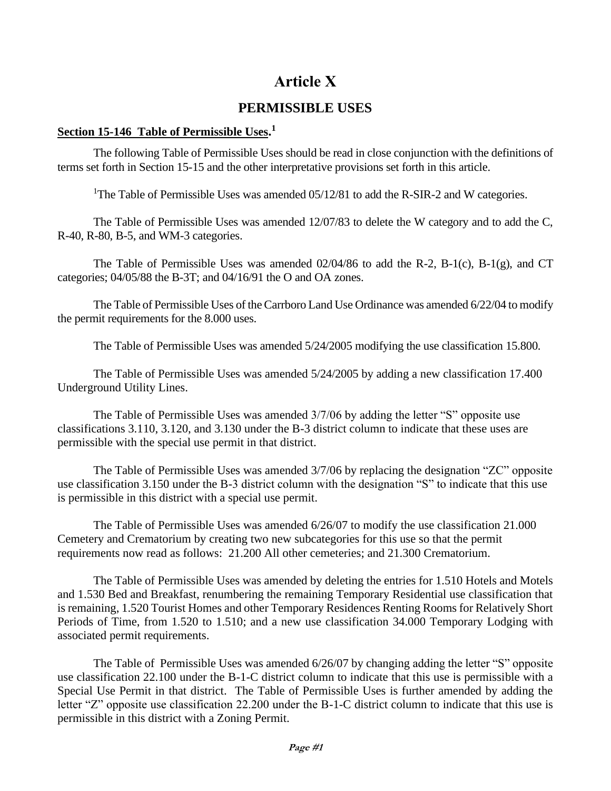## **Article X**

## **PERMISSIBLE USES**

## **Section 15-146 Table of Permissible Uses. 1**

The following Table of Permissible Uses should be read in close conjunction with the definitions of terms set forth in Section 15-15 and the other interpretative provisions set forth in this article.

<sup>1</sup>The Table of Permissible Uses was amended  $05/12/81$  to add the R-SIR-2 and W categories.

The Table of Permissible Uses was amended 12/07/83 to delete the W category and to add the C, R-40, R-80, B-5, and WM-3 categories.

The Table of Permissible Uses was amended 02/04/86 to add the R-2, B-1(c), B-1(g), and CT categories; 04/05/88 the B-3T; and 04/16/91 the O and OA zones.

The Table of Permissible Uses of the Carrboro Land Use Ordinance was amended 6/22/04 to modify the permit requirements for the 8.000 uses.

The Table of Permissible Uses was amended 5/24/2005 modifying the use classification 15.800.

The Table of Permissible Uses was amended 5/24/2005 by adding a new classification 17.400 Underground Utility Lines.

The Table of Permissible Uses was amended 3/7/06 by adding the letter "S" opposite use classifications 3.110, 3.120, and 3.130 under the B-3 district column to indicate that these uses are permissible with the special use permit in that district.

The Table of Permissible Uses was amended 3/7/06 by replacing the designation "ZC" opposite use classification 3.150 under the B-3 district column with the designation "S" to indicate that this use is permissible in this district with a special use permit.

The Table of Permissible Uses was amended 6/26/07 to modify the use classification 21.000 Cemetery and Crematorium by creating two new subcategories for this use so that the permit requirements now read as follows: 21.200 All other cemeteries; and 21.300 Crematorium.

The Table of Permissible Uses was amended by deleting the entries for 1.510 Hotels and Motels and 1.530 Bed and Breakfast, renumbering the remaining Temporary Residential use classification that is remaining, 1.520 Tourist Homes and other Temporary Residences Renting Rooms for Relatively Short Periods of Time, from 1.520 to 1.510; and a new use classification 34.000 Temporary Lodging with associated permit requirements.

The Table of Permissible Uses was amended 6/26/07 by changing adding the letter "S" opposite use classification 22.100 under the B-1-C district column to indicate that this use is permissible with a Special Use Permit in that district. The Table of Permissible Uses is further amended by adding the letter "Z" opposite use classification 22.200 under the B-1-C district column to indicate that this use is permissible in this district with a Zoning Permit.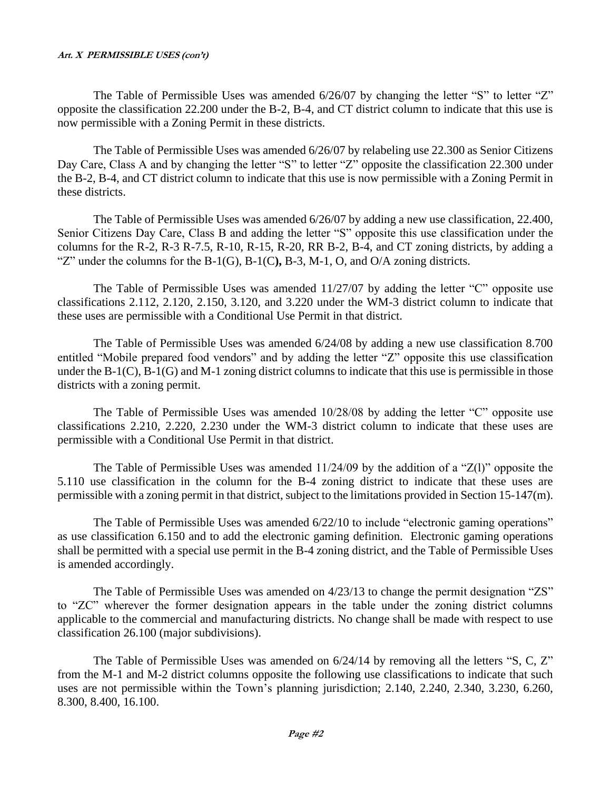The Table of Permissible Uses was amended 6/26/07 by changing the letter "S" to letter "Z" opposite the classification 22.200 under the B-2, B-4, and CT district column to indicate that this use is now permissible with a Zoning Permit in these districts.

The Table of Permissible Uses was amended 6/26/07 by relabeling use 22.300 as Senior Citizens Day Care, Class A and by changing the letter "S" to letter "Z" opposite the classification 22.300 under the B-2, B-4, and CT district column to indicate that this use is now permissible with a Zoning Permit in these districts.

The Table of Permissible Uses was amended 6/26/07 by adding a new use classification, 22.400, Senior Citizens Day Care, Class B and adding the letter "S" opposite this use classification under the columns for the R-2, R-3 R-7.5, R-10, R-15, R-20, RR B-2, B-4, and CT zoning districts, by adding a "Z" under the columns for the B-1(G), B-1(C**),** B-3, M-1, O, and O/A zoning districts.

The Table of Permissible Uses was amended  $11/27/07$  by adding the letter "C" opposite use classifications 2.112, 2.120, 2.150, 3.120, and 3.220 under the WM-3 district column to indicate that these uses are permissible with a Conditional Use Permit in that district.

The Table of Permissible Uses was amended 6/24/08 by adding a new use classification 8.700 entitled "Mobile prepared food vendors" and by adding the letter "Z" opposite this use classification under the B-1(C), B-1(G) and M-1 zoning district columns to indicate that this use is permissible in those districts with a zoning permit.

The Table of Permissible Uses was amended  $10/28/08$  by adding the letter "C" opposite use classifications 2.210, 2.220, 2.230 under the WM-3 district column to indicate that these uses are permissible with a Conditional Use Permit in that district.

The Table of Permissible Uses was amended 11/24/09 by the addition of a "Z(l)" opposite the 5.110 use classification in the column for the B-4 zoning district to indicate that these uses are permissible with a zoning permit in that district, subject to the limitations provided in Section 15-147(m).

The Table of Permissible Uses was amended 6/22/10 to include "electronic gaming operations" as use classification 6.150 and to add the electronic gaming definition. Electronic gaming operations shall be permitted with a special use permit in the B-4 zoning district, and the Table of Permissible Uses is amended accordingly.

The Table of Permissible Uses was amended on  $4/23/13$  to change the permit designation "ZS" to "ZC" wherever the former designation appears in the table under the zoning district columns applicable to the commercial and manufacturing districts. No change shall be made with respect to use classification 26.100 (major subdivisions).

The Table of Permissible Uses was amended on  $6/24/14$  by removing all the letters "S, C, Z" from the M-1 and M-2 district columns opposite the following use classifications to indicate that such uses are not permissible within the Town's planning jurisdiction; 2.140, 2.240, 2.340, 3.230, 6.260, 8.300, 8.400, 16.100.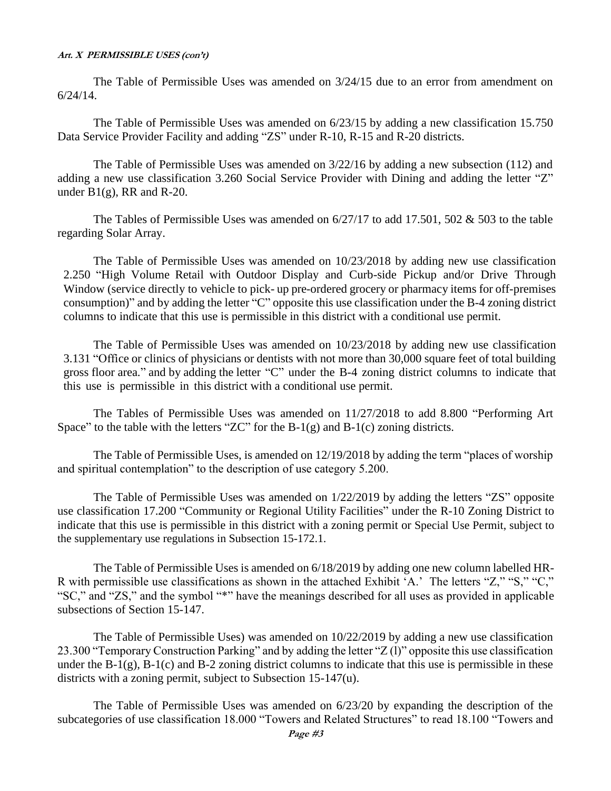The Table of Permissible Uses was amended on 3/24/15 due to an error from amendment on 6/24/14.

The Table of Permissible Uses was amended on 6/23/15 by adding a new classification 15.750 Data Service Provider Facility and adding "ZS" under R-10, R-15 and R-20 districts.

The Table of Permissible Uses was amended on 3/22/16 by adding a new subsection (112) and adding a new use classification 3.260 Social Service Provider with Dining and adding the letter "Z" under  $B1(g)$ , RR and R-20.

The Tables of Permissible Uses was amended on  $6/27/17$  to add 17.501, 502 & 503 to the table regarding Solar Array.

The Table of Permissible Uses was amended on 10/23/2018 by adding new use classification 2.250 "High Volume Retail with Outdoor Display and Curb-side Pickup and/or Drive Through Window (service directly to vehicle to pick- up pre-ordered grocery or pharmacy items for off-premises consumption)" and by adding the letter "C" opposite this use classification under the B-4 zoning district columns to indicate that this use is permissible in this district with a conditional use permit.

The Table of Permissible Uses was amended on 10/23/2018 by adding new use classification 3.131 "Office or clinics of physicians or dentists with not more than 30,000 square feet of total building gross floor area." and by adding the letter "C" under the B-4 zoning district columns to indicate that this use is permissible in this district with a conditional use permit.

The Tables of Permissible Uses was amended on 11/27/2018 to add 8.800 "Performing Art Space" to the table with the letters "ZC" for the  $B-1(g)$  and  $B-1(c)$  zoning districts.

The Table of Permissible Uses, is amended on 12/19/2018 by adding the term "places of worship and spiritual contemplation" to the description of use category 5.200.

The Table of Permissible Uses was amended on 1/22/2019 by adding the letters "ZS" opposite use classification 17.200 "Community or Regional Utility Facilities" under the R-10 Zoning District to indicate that this use is permissible in this district with a zoning permit or Special Use Permit, subject to the supplementary use regulations in Subsection 15-172.1.

The Table of Permissible Uses is amended on 6/18/2019 by adding one new column labelled HR-R with permissible use classifications as shown in the attached Exhibit 'A.' The letters "Z," "S," "C," "SC," and "ZS," and the symbol "\*" have the meanings described for all uses as provided in applicable subsections of Section 15-147.

The Table of Permissible Uses) was amended on 10/22/2019 by adding a new use classification 23.300 "Temporary Construction Parking" and by adding the letter "Z (l)" opposite this use classification under the  $B-1(g)$ ,  $B-1(c)$  and  $B-2$  zoning district columns to indicate that this use is permissible in these districts with a zoning permit, subject to Subsection 15-147(u).

The Table of Permissible Uses was amended on 6/23/20 by expanding the description of the subcategories of use classification 18.000 "Towers and Related Structures" to read 18.100 "Towers and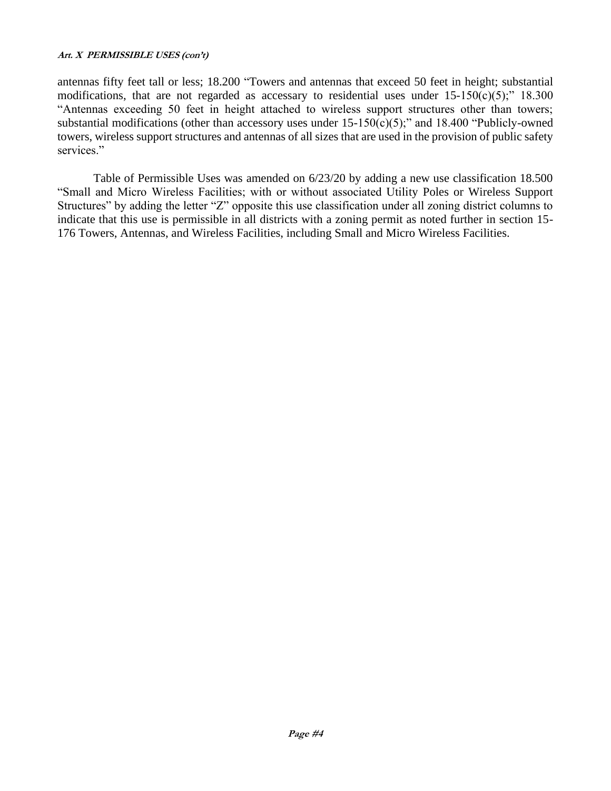antennas fifty feet tall or less; 18.200 "Towers and antennas that exceed 50 feet in height; substantial modifications, that are not regarded as accessary to residential uses under  $15{\text -}150(c)(5)$ ;"  $18.300$ "Antennas exceeding 50 feet in height attached to wireless support structures other than towers; substantial modifications (other than accessory uses under  $15-150(c)(5)$ ;" and  $18.400$  "Publicly-owned towers, wireless support structures and antennas of all sizes that are used in the provision of public safety services."

Table of Permissible Uses was amended on 6/23/20 by adding a new use classification 18.500 "Small and Micro Wireless Facilities; with or without associated Utility Poles or Wireless Support Structures" by adding the letter "Z" opposite this use classification under all zoning district columns to indicate that this use is permissible in all districts with a zoning permit as noted further in section 15- 176 Towers, Antennas, and Wireless Facilities, including Small and Micro Wireless Facilities.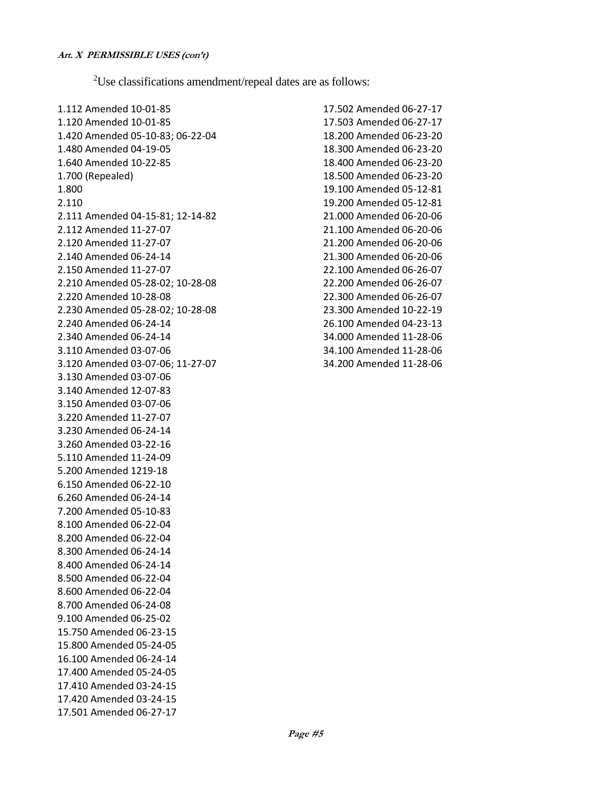<sup>2</sup>Use classifications amendment/repeal dates are as follows:

1.112 Amended 10-01-85 1.120 Amended 10-01-85 1.420 Amended 05-10-83; 06-22-04 1.480 Amended 04-19-05 1.640 Amended 10-22-85 1.700 (Repealed) 1.800 2.110 2.111 Amended 04-15-81; 12-14-82 2.112 Amended 11-27-07 2.120 Amended 11-27-07 2.140 Amended 06-24-14 2.150 Amended 11-27-07 2.210 Amended 05-28-02; 10-28-08 2.220 Amended 10-28-08 2.230 Amended 05-28-02; 10-28-08 2.240 Amended 06-24-14 2.340 Amended 06-24-14 3.110 Amended 03-07-06 3.120 Amended 03-07-06; 11-27-07 3.130 Amended 03-07-06 3.140 Amended 12-07-83 3.150 Amended 03-07-06 3.220 Amended 11-27-07 3.230 Amended 06-24-14 3.260 Amended 03-22-16 5.110 Amended 11-24-09 5.200 Amended 1219-18 6.150 Amended 06-22-10 6.260 Amended 06-24-14 7.200 Amended 05-10-83 8.100 Amended 06-22-04 8.200 Amended 06-22-04 8.300 Amended 06-24-14 8.400 Amended 06-24-14 8.500 Amended 06-22-04 8.600 Amended 06-22-04 8.700 Amended 06-24-08 9.100 Amended 06-25-02 15.750 Amended 06-23-15 15.800 Amended 05-24-05 16.100 Amended 06-24-14 17.400 Amended 05-24-05 17.410 Amended 03-24-15 17.420 Amended 03-24-15 17.501 Amended 06-27-17

17.502 Amended 06-27-17 17.503 Amended 06-27-17 18.200 Amended 06-23-20 18.300 Amended 06-23-20 18.400 Amended 06-23-20 18.500 Amended 06-23-20 19.100 Amended 05-12-81 19.200 Amended 05-12-81 21.000 Amended 06-20-06 21.100 Amended 06-20-06 21.200 Amended 06-20-06 21.300 Amended 06-20-06 22.100 Amended 06-26-07 22.200 Amended 06-26-07 22.300 Amended 06-26-07 23.300 Amended 10-22-19 26.100 Amended 04-23-13 34.000 Amended 11-28-06 34.100 Amended 11-28-06 34.200 Amended 11-28-06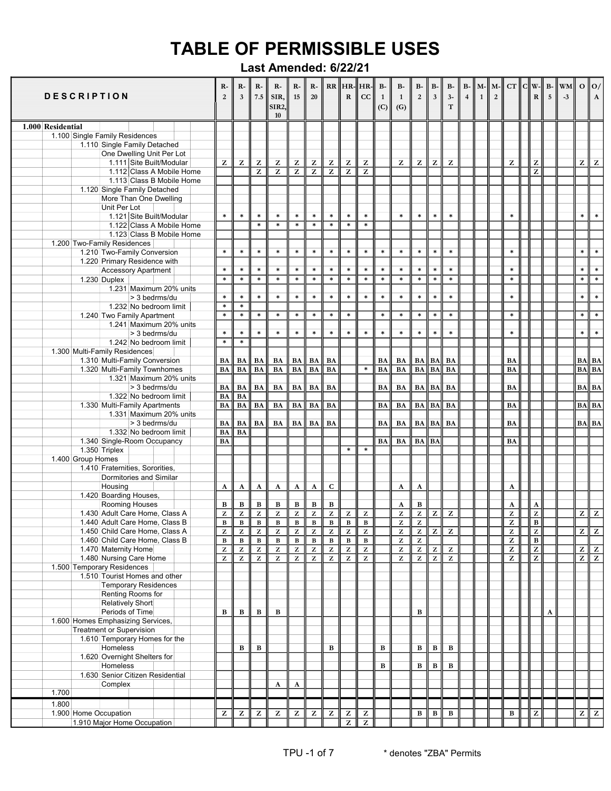|                   |       |                   | <b>DESCRIPTION</b>          |                                                                  | R-<br>$\overline{2}$      | $R-$<br>$\overline{\mathbf{3}}$                                                  | $R-$<br>7.5                          | $R-$<br>SIR,<br><b>SIR2</b><br>10       | $R-$<br>15                                                              | $R-$<br>20                  |                                | ${\bf R}$                                 | $RR$ $HR$ - $HR$ -<br>cc                              | $B-$<br>$\mathbf{1}$<br>(C) | $B-$<br>$\mathbf{1}$<br>(G)                                             | $B-$<br>$\overline{2}$      | $B-$<br>$\overline{\mathbf{3}}$                       | <b>B-</b><br>$3-$<br>T | $B-$<br>$\overline{4}$ | M-<br>$\overline{1}$ | M-<br>$\overline{2}$ | CT                                                                      | $  c  $ W- | $\mathbf R$                               | 5 | $B -   WM  $<br>$-3$ | $O \parallel O$   | $\mathbf{A}$      |
|-------------------|-------|-------------------|-----------------------------|------------------------------------------------------------------|---------------------------|----------------------------------------------------------------------------------|--------------------------------------|-----------------------------------------|-------------------------------------------------------------------------|-----------------------------|--------------------------------|-------------------------------------------|-------------------------------------------------------|-----------------------------|-------------------------------------------------------------------------|-----------------------------|-------------------------------------------------------|------------------------|------------------------|----------------------|----------------------|-------------------------------------------------------------------------|------------|-------------------------------------------|---|----------------------|-------------------|-------------------|
| 1.000 Residential |       |                   |                             |                                                                  |                           |                                                                                  |                                      |                                         |                                                                         |                             |                                |                                           |                                                       |                             |                                                                         |                             |                                                       |                        |                        |                      |                      |                                                                         |            |                                           |   |                      |                   |                   |
|                   |       |                   |                             | 1.100 Single Family Residences                                   |                           |                                                                                  |                                      |                                         |                                                                         |                             |                                |                                           |                                                       |                             |                                                                         |                             |                                                       |                        |                        |                      |                      |                                                                         |            |                                           |   |                      |                   |                   |
|                   |       |                   |                             | 1.110 Single Family Detached                                     |                           |                                                                                  |                                      |                                         |                                                                         |                             |                                |                                           |                                                       |                             |                                                                         |                             |                                                       |                        |                        |                      |                      |                                                                         |            |                                           |   |                      |                   |                   |
|                   |       |                   |                             | One Dwelling Unit Per Lot<br>1.111 Site Built/Modular            | z                         | $\mathbf{Z}% ^{T}=\mathbf{Z}^{T}\times\mathbf{Z}^{T}$                            | z                                    | z                                       | $\mathbf{Z}% ^{T}=\mathbf{Z}^{T}\times\mathbf{Z}^{T}$                   |                             | z                              | ${\bf Z}$                                 | Z                                                     |                             | z                                                                       | $\bf{Z}$                    | $\mathbf{Z}% ^{T}=\mathbf{Z}^{T}\times\mathbf{Z}^{T}$ | $\overline{z}$         |                        |                      |                      | Z                                                                       |            | Z                                         |   |                      | z∥                | $\mathbf{Z}$      |
|                   |       |                   |                             | 1.112 Class A Mobile Home                                        |                           |                                                                                  | $\overline{z}$                       | $\overline{z}$                          | $\overline{z}$                                                          | z<br>$\overline{z}$         | $\overline{z}$                 | $\overline{z}$                            | $\overline{z}$                                        |                             |                                                                         |                             |                                                       |                        |                        |                      |                      |                                                                         |            | z                                         |   |                      |                   |                   |
|                   |       |                   |                             | 1.113 Class B Mobile Home                                        |                           |                                                                                  |                                      |                                         |                                                                         |                             |                                |                                           |                                                       |                             |                                                                         |                             |                                                       |                        |                        |                      |                      |                                                                         |            |                                           |   |                      |                   |                   |
|                   |       |                   |                             | 1.120 Single Family Detached                                     |                           |                                                                                  |                                      |                                         |                                                                         |                             |                                |                                           |                                                       |                             |                                                                         |                             |                                                       |                        |                        |                      |                      |                                                                         |            |                                           |   |                      |                   |                   |
|                   |       |                   |                             | More Than One Dwelling                                           |                           |                                                                                  |                                      |                                         |                                                                         |                             |                                |                                           |                                                       |                             |                                                                         |                             |                                                       |                        |                        |                      |                      |                                                                         |            |                                           |   |                      |                   |                   |
|                   |       |                   | Unit Per Lot                |                                                                  |                           |                                                                                  |                                      |                                         |                                                                         |                             |                                |                                           |                                                       |                             |                                                                         |                             |                                                       |                        |                        |                      |                      |                                                                         |            |                                           |   |                      |                   |                   |
|                   |       |                   |                             | 1.121 Site Built/Modular<br>1.122 Class A Mobile Home            | $\ast$                    | $\ast$                                                                           | $\ast$<br>$\overline{\ast}$          | $\ast$<br>$\ast$                        | $\ast$<br>$\ast$                                                        | $\ast$<br>$\overline{\ast}$ | $\ast$<br>$\overline{\ast}$    | $\ast$<br>$\ast$                          | $\ast$<br>$\overline{\ast}$                           |                             | $\ast$                                                                  | $\ast$                      | $\ast$                                                | $\ast$                 |                        |                      |                      | $\ast$                                                                  |            |                                           |   |                      | $\ast$            | $\ast$            |
|                   |       |                   |                             | 1.123 Class B Mobile Home                                        |                           |                                                                                  |                                      |                                         |                                                                         |                             |                                |                                           |                                                       |                             |                                                                         |                             |                                                       |                        |                        |                      |                      |                                                                         |            |                                           |   |                      |                   |                   |
|                   |       |                   | 1.200 Two-Family Residences |                                                                  |                           |                                                                                  |                                      |                                         |                                                                         |                             |                                |                                           |                                                       |                             |                                                                         |                             |                                                       |                        |                        |                      |                      |                                                                         |            |                                           |   |                      |                   |                   |
|                   |       |                   |                             | 1.210 Two-Family Conversion                                      | $\ast$                    | $\ast$                                                                           | $\ast$                               | $\ast$                                  | $\ast$                                                                  | $\ast$                      | $\ast$                         | $\ast$                                    | $\ast$                                                | $\ast$                      | $\ast$                                                                  | $\ast$                      | $\ast$                                                | $\ast$                 |                        |                      |                      | $\ast$                                                                  |            |                                           |   |                      | $\ast$            | $\ast$            |
|                   |       |                   |                             | 1.220 Primary Residence with                                     |                           |                                                                                  |                                      |                                         |                                                                         |                             |                                |                                           |                                                       |                             |                                                                         |                             |                                                       |                        |                        |                      |                      |                                                                         |            |                                           |   |                      |                   |                   |
|                   |       |                   |                             | <b>Accessory Apartment</b>                                       | $\ast$                    | $\ast$                                                                           | $\ast$                               | $\ast$                                  | $\ast$                                                                  | $\ast$                      | $\ast$                         | $\ast$                                    | $\ast$                                                | $\ast$                      | $\ast$                                                                  | $\ast$                      | $\ast$                                                | $\ast$                 |                        |                      |                      | $\ast$                                                                  |            |                                           |   |                      | $\ast$            | $\ast$            |
|                   |       |                   | 1.230 Duplex                |                                                                  | $\ast$                    | $\ast$                                                                           | $\overline{\ast}$                    | $\ast$                                  | $\ast$                                                                  | $\overline{\ast}$           | $\ast$                         | $\ast$                                    | $\ast$                                                | $\ast$                      | $\ast$                                                                  | $\ast$                      | $\ast$                                                | $\ast$                 |                        |                      |                      | $\ast$                                                                  |            |                                           |   |                      | $\ast$            | $\overline{\ast}$ |
|                   |       |                   |                             | 1.231 Maximum 20% units                                          | $\ast$                    |                                                                                  | $\ast$                               | $\ast$                                  | $\ast$                                                                  | $\ast$                      | $\ast$                         | $\ast$                                    | $\ast$                                                | $\ast$                      | $\ast$                                                                  | $\ast$                      | $\ast$                                                | $\ast$                 |                        |                      |                      | $\ast$                                                                  |            |                                           |   |                      | $\ast$            | $\ast$            |
|                   |       |                   |                             | > 3 bedrms/du<br>1.232 No bedroom limit                          | $\ast$                    | $\ast$<br>$\ast$                                                                 |                                      |                                         |                                                                         |                             |                                |                                           |                                                       |                             |                                                                         |                             |                                                       |                        |                        |                      |                      |                                                                         |            |                                           |   |                      |                   |                   |
|                   |       |                   |                             | 1.240 Two Family Apartment                                       | $\ast$                    | $\ast$                                                                           | $\ast$                               | $\ast$                                  | $\ast$                                                                  | $\ast$                      | $\ast$                         | $\ast$                                    |                                                       | $\ast$                      | $\ast$                                                                  | $\ast$                      | $\ast$                                                | $\ast$                 |                        |                      |                      | $\ast$                                                                  |            |                                           |   |                      | $\ast$            | $\ast$            |
|                   |       |                   |                             | 1.241 Maximum 20% units                                          |                           |                                                                                  |                                      |                                         |                                                                         |                             |                                |                                           |                                                       |                             |                                                                         |                             |                                                       |                        |                        |                      |                      |                                                                         |            |                                           |   |                      |                   |                   |
|                   |       |                   |                             | > 3 bedrms/du                                                    | $\ast$                    | $\ast$                                                                           | $\ast$                               | $\ast$                                  | $\ast$                                                                  | $\ast$                      | $\ast$                         | $\ast$                                    | $\ast$                                                | $\ast$                      | $\ast$                                                                  | $\ast$                      | $\ast$                                                | $\ast$                 |                        |                      |                      | $\ast$                                                                  |            |                                           |   |                      | $\ast$            | $\ast$            |
|                   |       |                   |                             | 1.242 No bedroom limit                                           | $\ast$                    | $\ast$                                                                           |                                      |                                         |                                                                         |                             |                                |                                           |                                                       |                             |                                                                         |                             |                                                       |                        |                        |                      |                      |                                                                         |            |                                           |   |                      |                   |                   |
|                   |       |                   |                             | 1.300 Multi-Family Residences                                    |                           |                                                                                  |                                      |                                         |                                                                         |                             |                                |                                           |                                                       |                             |                                                                         |                             |                                                       |                        |                        |                      |                      |                                                                         |            |                                           |   |                      |                   |                   |
|                   |       |                   |                             | 1.310 Multi-Family Conversion                                    | BA                        | BA                                                                               | <b>BA</b>                            | BA                                      | BA                                                                      | BA                          | BA                             |                                           |                                                       | BA                          | BA                                                                      | BA                          | BA                                                    | <b>BA</b>              |                        |                      |                      | <b>BA</b>                                                               |            |                                           |   |                      | $BA \parallel BA$ |                   |
|                   |       |                   |                             | 1.320 Multi-Family Townhomes<br>1.321 Maximum 20% units          | BA                        | <b>BA</b>                                                                        | <b>BA</b>                            | <b>BA</b>                               | BA                                                                      | <b>BA</b>                   | BA                             |                                           | $\ast$                                                | BA                          | <b>BA</b>                                                               | $\overline{\mathbf{BA}}$    | <b>BA</b>                                             | <b>BA</b>              |                        |                      |                      | BA                                                                      |            |                                           |   |                      | $BA$ $BA$         |                   |
|                   |       |                   |                             | > 3 bedrms/du                                                    | BA                        | BA                                                                               | <b>BA</b>                            | $\mathbf{BA}$                           | BA                                                                      | BA                          | BA                             |                                           |                                                       | BA                          | BA                                                                      | BA                          | BA                                                    | BA                     |                        |                      |                      | <b>BA</b>                                                               |            |                                           |   |                      | $BA \parallel BA$ |                   |
|                   |       |                   |                             | 1.322 No bedroom limit                                           | BA                        | <b>BA</b>                                                                        |                                      |                                         |                                                                         |                             |                                |                                           |                                                       |                             |                                                                         |                             |                                                       |                        |                        |                      |                      |                                                                         |            |                                           |   |                      |                   |                   |
|                   |       |                   |                             | 1.330 Multi-Family Apartments                                    | BA                        | $\overline{\mathbf{BA}}$                                                         | <b>BA</b>                            | BA                                      | BA                                                                      | BA                          | BA                             |                                           |                                                       | BA                          | BA                                                                      | $BA$ $BA$                   |                                                       | <b>BA</b>              |                        |                      |                      | <b>BA</b>                                                               |            |                                           |   |                      | $BA$ $BA$         |                   |
|                   |       |                   |                             | 1.331 Maximum 20% units                                          |                           |                                                                                  |                                      |                                         |                                                                         |                             |                                |                                           |                                                       |                             |                                                                         |                             |                                                       |                        |                        |                      |                      |                                                                         |            |                                           |   |                      |                   |                   |
|                   |       |                   |                             | > 3 bedrms/du                                                    | BA                        | BA                                                                               | BA                                   | BA                                      | <b>BA</b>                                                               | BA                          | BA                             |                                           |                                                       | <b>BA</b>                   | BA                                                                      |                             | $BA \parallel BA$                                     | BA                     |                        |                      |                      | <b>BA</b>                                                               |            |                                           |   |                      | $BA$ $BA$         |                   |
|                   |       |                   |                             | 1.332 No bedroom limit                                           | <b>BA</b>                 | <b>BA</b>                                                                        |                                      |                                         |                                                                         |                             |                                |                                           |                                                       |                             |                                                                         |                             |                                                       |                        |                        |                      |                      |                                                                         |            |                                           |   |                      |                   |                   |
|                   |       |                   |                             | 1.340 Single-Room Occupancy                                      | BA                        |                                                                                  |                                      |                                         |                                                                         |                             |                                | $\ast$                                    | $\ast$                                                | <b>BA</b>                   | BA                                                                      | $BA$ $BA$                   |                                                       |                        |                        |                      |                      | <b>BA</b>                                                               |            |                                           |   |                      |                   |                   |
|                   |       | 1.400 Group Homes | 1.350 Triplex               |                                                                  |                           |                                                                                  |                                      |                                         |                                                                         |                             |                                |                                           |                                                       |                             |                                                                         |                             |                                                       |                        |                        |                      |                      |                                                                         |            |                                           |   |                      |                   |                   |
|                   |       |                   |                             | 1.410 Fraternities, Sororities,                                  |                           |                                                                                  |                                      |                                         |                                                                         |                             |                                |                                           |                                                       |                             |                                                                         |                             |                                                       |                        |                        |                      |                      |                                                                         |            |                                           |   |                      |                   |                   |
|                   |       |                   |                             | Dormitories and Similar                                          |                           |                                                                                  |                                      |                                         |                                                                         |                             |                                |                                           |                                                       |                             |                                                                         |                             |                                                       |                        |                        |                      |                      |                                                                         |            |                                           |   |                      |                   |                   |
|                   |       |                   | Housing                     |                                                                  | A                         | A                                                                                | A                                    | $\mathbf{A}$                            | A                                                                       | A                           | ${\bf C}$                      |                                           |                                                       |                             | A                                                                       | $\mathbf A$                 |                                                       |                        |                        |                      |                      | A                                                                       |            |                                           |   |                      |                   |                   |
|                   |       |                   |                             | 1.420 Boarding Houses,                                           |                           |                                                                                  |                                      |                                         |                                                                         |                             |                                |                                           |                                                       |                             |                                                                         |                             |                                                       |                        |                        |                      |                      |                                                                         |            |                                           |   |                      |                   |                   |
|                   |       |                   |                             | Rooming Houses                                                   | В                         | в                                                                                | $\, {\bf B}$                         | B                                       | В                                                                       | $\, {\bf B}$                | $\, {\bf B}$                   |                                           |                                                       |                             | A                                                                       | $\, {\bf B}$                |                                                       |                        |                        |                      |                      | A                                                                       |            | $\mathbf A$                               |   |                      |                   |                   |
|                   |       |                   |                             | 1.430 Adult Care Home, Class A                                   | z                         | $\mathbf{Z}% ^{T}=\mathbf{Z}^{T}\times\mathbf{Z}^{T}$                            | $\overline{\mathbf{z}}$              | $\overline{z}$                          | $\overline{z}$                                                          | $\overline{z}$              | $\bf Z$                        | ${\bf Z}$                                 | $\mathbf{Z}$                                          |                             | $\overline{\mathbf{z}}$                                                 | $\overline{z}$              | $\overline{z}$                                        | $\overline{z}$         |                        |                      |                      | $\overline{z}$                                                          |            | $\overline{z}$                            |   |                      | $\overline{z}$    | $\overline{z}$    |
|                   |       |                   |                             | 1.440 Adult Care Home, Class B<br>1.450 Child Care Home, Class A | $\, {\bf B}$<br>${\bf z}$ | $\overline{\mathbf{B}}$<br>$\mathbf{Z}% ^{T}=\mathbf{Z}^{T}\times\mathbf{Z}^{T}$ | $\overline{\mathbf{B}}$<br>${\bf z}$ | $\overline{\mathbf{B}}$<br>$\mathbf{Z}$ | $\overline{B}$<br>$\mathbf{Z}% ^{T}=\mathbf{Z}^{T}\times\mathbf{Z}^{T}$ | $\overline{B}$<br>z         | $\overline{B}$<br>$\mathbf{Z}$ | $\overline{B}$<br>$\overline{\mathbf{z}}$ | $\overline{\mathbf{B}}$<br>$\overline{z}$             |                             | $\overline{z}$<br>$\mathbf{Z}% ^{T}=\mathbf{Z}^{T}\times\mathbf{Z}^{T}$ | $\overline{z}$<br>${\bf z}$ | $\overline{z}$                                        | $\overline{z}$         |                        |                      |                      | $\overline{z}$<br>$\mathbf{Z}% ^{T}=\mathbf{Z}^{T}\times\mathbf{Z}^{T}$ |            | $\overline{B}$<br>$\overline{\mathbf{z}}$ |   |                      | $\overline{z}$    | $\overline{z}$    |
|                   |       |                   |                             | 1.460 Child Care Home, Class B                                   | $\, {\bf B}$              | $\, {\bf B}$                                                                     | $\, {\bf B}$                         | $\, {\bf B}$                            | $\, {\bf B}$                                                            | $\, {\bf B}$                | $\, {\bf B}$                   | $\, {\bf B}$                              | $\, {\bf B}$                                          |                             | $\overline{\mathbf{z}}$                                                 | $\overline{\mathbf{z}}$     |                                                       |                        |                        |                      |                      | $\overline{z}$                                                          |            | $\overline{\mathbf{B}}$                   |   |                      |                   |                   |
|                   |       |                   |                             | 1.470 Maternity Home                                             | ${\bf z}$                 | $\bf{Z}$                                                                         | $\overline{\mathbf{z}}$              | $\mathbf{Z}$                            | $\overline{z}$                                                          | $\overline{\mathbf{z}}$     | ${\bf z}$                      | ${\bf z}$                                 | $\mathbf{Z}% ^{T}=\mathbf{Z}^{T}\times\mathbf{Z}^{T}$ |                             | $\overline{z}$                                                          | ${\bf z}$                   | $\bf Z$                                               | $\overline{z}$         |                        |                      |                      | $\overline{z}$                                                          |            | $\overline{z}$                            |   |                      | $\overline{z}$    | $\overline{z}$    |
|                   |       |                   |                             | 1.480 Nursing Care Home                                          | $\mathbf{Z}$              | $\overline{\mathbf{z}}$                                                          | $\overline{z}$                       | $\bf{z}$                                | $\overline{\mathbf{z}}$                                                 | $\overline{\mathbf{z}}$     | $\mathbf{Z}$                   | $\overline{z}$                            | $\overline{z}$                                        |                             | $\overline{z}$                                                          | $\overline{\mathbf{z}}$     | $\overline{z}$                                        | $\overline{z}$         |                        |                      |                      | $\overline{z}$                                                          |            | $\overline{z}$                            |   |                      | $\overline{z}$    | $\overline{z}$    |
|                   |       |                   | 1.500 Temporary Residences  |                                                                  |                           |                                                                                  |                                      |                                         |                                                                         |                             |                                |                                           |                                                       |                             |                                                                         |                             |                                                       |                        |                        |                      |                      |                                                                         |            |                                           |   |                      |                   |                   |
|                   |       |                   |                             | 1.510 Tourist Homes and other                                    |                           |                                                                                  |                                      |                                         |                                                                         |                             |                                |                                           |                                                       |                             |                                                                         |                             |                                                       |                        |                        |                      |                      |                                                                         |            |                                           |   |                      |                   |                   |
|                   |       |                   |                             | <b>Temporary Residences</b>                                      |                           |                                                                                  |                                      |                                         |                                                                         |                             |                                |                                           |                                                       |                             |                                                                         |                             |                                                       |                        |                        |                      |                      |                                                                         |            |                                           |   |                      |                   |                   |
|                   |       |                   |                             | Renting Rooms for<br>Relatively Short                            |                           |                                                                                  |                                      |                                         |                                                                         |                             |                                |                                           |                                                       |                             |                                                                         |                             |                                                       |                        |                        |                      |                      |                                                                         |            |                                           |   |                      |                   |                   |
|                   |       |                   |                             | Periods of Time                                                  | B                         | B                                                                                | $\, {\bf B}$                         | B                                       |                                                                         |                             |                                |                                           |                                                       |                             |                                                                         | $\, {\bf B}$                |                                                       |                        |                        |                      |                      |                                                                         |            |                                           | A |                      |                   |                   |
|                   |       |                   |                             | 1.600 Homes Emphasizing Services,                                |                           |                                                                                  |                                      |                                         |                                                                         |                             |                                |                                           |                                                       |                             |                                                                         |                             |                                                       |                        |                        |                      |                      |                                                                         |            |                                           |   |                      |                   |                   |
|                   |       |                   |                             | <b>Treatment or Supervision</b>                                  |                           |                                                                                  |                                      |                                         |                                                                         |                             |                                |                                           |                                                       |                             |                                                                         |                             |                                                       |                        |                        |                      |                      |                                                                         |            |                                           |   |                      |                   |                   |
|                   |       |                   |                             | 1.610 Temporary Homes for the                                    |                           |                                                                                  |                                      |                                         |                                                                         |                             |                                |                                           |                                                       |                             |                                                                         |                             |                                                       |                        |                        |                      |                      |                                                                         |            |                                           |   |                      |                   |                   |
|                   |       |                   | Homeless                    |                                                                  |                           | B                                                                                | $\, {\bf B}$                         |                                         |                                                                         |                             | $\, {\bf B}$                   |                                           |                                                       | $\, {\bf B}$                |                                                                         | $\, {\bf B}$                | $\, {\bf B}$                                          | $\, {\bf B}$           |                        |                      |                      |                                                                         |            |                                           |   |                      |                   |                   |
|                   |       |                   |                             | 1.620 Overnight Shelters for                                     |                           |                                                                                  |                                      |                                         |                                                                         |                             |                                |                                           |                                                       |                             |                                                                         |                             |                                                       |                        |                        |                      |                      |                                                                         |            |                                           |   |                      |                   |                   |
|                   |       |                   | Homeless                    |                                                                  |                           |                                                                                  |                                      |                                         |                                                                         |                             |                                |                                           |                                                       | $\, {\bf B}$                |                                                                         | $\, {\bf B}$                | $\, {\bf B}$                                          | $\, {\bf B}$           |                        |                      |                      |                                                                         |            |                                           |   |                      |                   |                   |
|                   |       |                   | Complex                     | 1.630 Senior Citizen Residential                                 |                           |                                                                                  |                                      | A                                       | $\mathbf{A}$                                                            |                             |                                |                                           |                                                       |                             |                                                                         |                             |                                                       |                        |                        |                      |                      |                                                                         |            |                                           |   |                      |                   |                   |
|                   | 1.700 |                   |                             |                                                                  |                           |                                                                                  |                                      |                                         |                                                                         |                             |                                |                                           |                                                       |                             |                                                                         |                             |                                                       |                        |                        |                      |                      |                                                                         |            |                                           |   |                      |                   |                   |
|                   | 1.800 |                   |                             |                                                                  |                           |                                                                                  |                                      |                                         |                                                                         |                             |                                |                                           |                                                       |                             |                                                                         |                             |                                                       |                        |                        |                      |                      |                                                                         |            |                                           |   |                      |                   |                   |
|                   |       |                   | 1.900 Home Occupation       |                                                                  | z                         | z                                                                                | z                                    | z                                       | z                                                                       | z                           | z                              | z                                         | z                                                     |                             |                                                                         | B                           | B                                                     | $\, {\bf B}$           |                        |                      |                      | B                                                                       |            | z                                         |   |                      | $\mathbf{z}$      | z                 |
|                   |       |                   |                             | 1.910 Major Home Occupation                                      |                           |                                                                                  |                                      |                                         |                                                                         |                             |                                | $\overline{z}$                            | z                                                     |                             |                                                                         |                             |                                                       |                        |                        |                      |                      |                                                                         |            |                                           |   |                      |                   |                   |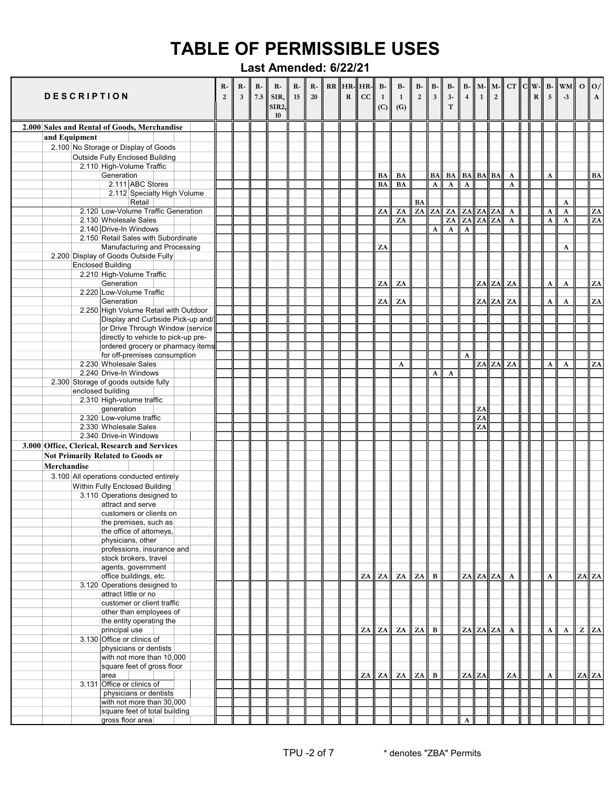|               | <b>DESCRIPTION</b> |                                                                                           | R-<br>$\overline{2}$ | $R-$<br>$\overline{\mathbf{3}}$ | $R-$<br>7.5 | $R-$<br>SIR,<br><b>SIR2,</b><br>10 | $R-$<br>15 | $R-$<br>20 | ${\bf R}$ | $RR$ $HR$ - $HR$ - $\frac{1}{2}$<br>cc | $\, {\bf B}$ -<br>1<br>(C) | $B-$<br>$\mathbf{1}$<br>(G) | $\mathbf{B}\text{-}$<br>$\mathbf 2$ | $B-$<br>$\mathbf{3}$ | $\, {\bf B} \,$<br>$3-$<br>$\mathbf T$ | $\overline{4}$ | $B - M -$<br>$\overline{1}$ | $\overline{2}$ | $\ M - C\  C \ W - B\ $   | R | $\overline{\mathbf{5}}$ | <b>WM</b><br>$-3$ | $\mathbf{o}$   $\mathbf{o}$ /<br>$\mathbf A$ |
|---------------|--------------------|-------------------------------------------------------------------------------------------|----------------------|---------------------------------|-------------|------------------------------------|------------|------------|-----------|----------------------------------------|----------------------------|-----------------------------|-------------------------------------|----------------------|----------------------------------------|----------------|-----------------------------|----------------|---------------------------|---|-------------------------|-------------------|----------------------------------------------|
|               |                    | 2.000 Sales and Rental of Goods, Merchandise                                              |                      |                                 |             |                                    |            |            |           |                                        |                            |                             |                                     |                      |                                        |                |                             |                |                           |   |                         |                   |                                              |
| and Equipment |                    |                                                                                           |                      |                                 |             |                                    |            |            |           |                                        |                            |                             |                                     |                      |                                        |                |                             |                |                           |   |                         |                   |                                              |
|               |                    | 2.100 No Storage or Display of Goods                                                      |                      |                                 |             |                                    |            |            |           |                                        |                            |                             |                                     |                      |                                        |                |                             |                |                           |   |                         |                   |                                              |
|               |                    | <b>Outside Fully Enclosed Building</b>                                                    |                      |                                 |             |                                    |            |            |           |                                        |                            |                             |                                     |                      |                                        |                |                             |                |                           |   |                         |                   |                                              |
|               |                    | 2.110 High-Volume Traffic                                                                 |                      |                                 |             |                                    |            |            |           |                                        |                            |                             |                                     |                      |                                        |                |                             |                |                           |   |                         |                   |                                              |
|               |                    | Generation                                                                                |                      |                                 |             |                                    |            |            |           |                                        | BA                         | BA                          |                                     | <b>BA</b>            | <b>BA</b>                              |                | $BA$ $BA$ $BA$              |                | $\mathbf{A}$              |   | $\mathbf A$             |                   | $\mathbf{BA}$                                |
|               |                    | 2.111 ABC Stores<br>2.112 Specialty High Volume                                           |                      |                                 |             |                                    |            |            |           |                                        | BA                         | BA                          |                                     | A                    | $\mathbf{A}$                           | $\mathbf{A}$   |                             |                | $\boldsymbol{\mathsf{A}}$ |   |                         |                   |                                              |
|               |                    | Retail                                                                                    |                      |                                 |             |                                    |            |            |           |                                        |                            |                             | <b>BA</b>                           |                      |                                        |                |                             |                |                           |   |                         | A                 |                                              |
|               |                    | 2.120 Low-Volume Traffic Generation                                                       |                      |                                 |             |                                    |            |            |           |                                        | ZA                         | ZA                          |                                     |                      | $ZA$ $ZA$ $ZA$                         |                | ZA ZA ZA                    |                | $\mathbf{A}$              |   | A                       | A                 | ZA                                           |
|               |                    | 2.130 Wholesale Sales                                                                     |                      |                                 |             |                                    |            |            |           |                                        |                            | ZA                          |                                     |                      | $\overline{ZA}$                        | ZA             | ZA ZA                       |                | $\overline{A}$            |   | $\mathbf A$             | A                 | ZA                                           |
|               |                    | 2.140 Drive-In Windows                                                                    |                      |                                 |             |                                    |            |            |           |                                        |                            |                             |                                     | A                    | $\overline{\mathbf{A}}$                | $\mathbf{A}$   |                             |                |                           |   |                         |                   |                                              |
|               |                    | 2.150 Retail Sales with Subordinate                                                       |                      |                                 |             |                                    |            |            |           |                                        |                            |                             |                                     |                      |                                        |                |                             |                |                           |   |                         |                   |                                              |
|               |                    | Manufacturing and Processing<br>2.200 Display of Goods Outside Fully                      |                      |                                 |             |                                    |            |            |           |                                        | ZA                         |                             |                                     |                      |                                        |                |                             |                |                           |   |                         | A                 |                                              |
|               |                    | <b>Enclosed Building</b>                                                                  |                      |                                 |             |                                    |            |            |           |                                        |                            |                             |                                     |                      |                                        |                |                             |                |                           |   |                         |                   |                                              |
|               |                    | 2.210 High-Volume Traffic                                                                 |                      |                                 |             |                                    |            |            |           |                                        |                            |                             |                                     |                      |                                        |                |                             |                |                           |   |                         |                   |                                              |
|               |                    | Generation                                                                                |                      |                                 |             |                                    |            |            |           |                                        | ZA                         | ZA                          |                                     |                      |                                        |                |                             | $ZA$ ZA ZA     |                           |   | A                       | A                 | ZA                                           |
|               |                    | 2.220 Low-Volume Traffic                                                                  |                      |                                 |             |                                    |            |            |           |                                        |                            |                             |                                     |                      |                                        |                |                             |                |                           |   |                         |                   |                                              |
|               |                    | Generation                                                                                |                      |                                 |             |                                    |            |            |           |                                        | ZA                         | ZA                          |                                     |                      |                                        |                |                             |                | ZA ZA ZA                  |   | A                       | $\mathbf A$       | ZA                                           |
|               |                    | 2.250 High Volume Retail with Outdoor<br>Display and Curbside Pick-up and/                |                      |                                 |             |                                    |            |            |           |                                        |                            |                             |                                     |                      |                                        |                |                             |                |                           |   |                         |                   |                                              |
|               |                    | or Drive Through Window (service                                                          |                      |                                 |             |                                    |            |            |           |                                        |                            |                             |                                     |                      |                                        |                |                             |                |                           |   |                         |                   |                                              |
|               |                    | directly to vehicle to pick-up pre-                                                       |                      |                                 |             |                                    |            |            |           |                                        |                            |                             |                                     |                      |                                        |                |                             |                |                           |   |                         |                   |                                              |
|               |                    | ordered grocery or pharmacy items                                                         |                      |                                 |             |                                    |            |            |           |                                        |                            |                             |                                     |                      |                                        |                |                             |                |                           |   |                         |                   |                                              |
|               |                    | for off-premises consumption                                                              |                      |                                 |             |                                    |            |            |           |                                        |                            |                             |                                     |                      |                                        | A              |                             |                |                           |   |                         |                   |                                              |
|               |                    | 2.230 Wholesale Sales                                                                     |                      |                                 |             |                                    |            |            |           |                                        |                            | A                           |                                     |                      |                                        |                |                             | $ZA$ $ZA$      | ZA                        |   | $\boldsymbol{\rm A}$    | $\mathbf A$       | ZA                                           |
|               |                    | 2.240 Drive-In Windows                                                                    |                      |                                 |             |                                    |            |            |           |                                        |                            |                             |                                     | A                    | $\boldsymbol{\rm A}$                   |                |                             |                |                           |   |                         |                   |                                              |
|               |                    | 2.300 Storage of goods outside fully<br>enclosed building                                 |                      |                                 |             |                                    |            |            |           |                                        |                            |                             |                                     |                      |                                        |                |                             |                |                           |   |                         |                   |                                              |
|               |                    | 2.310 High-volume traffic                                                                 |                      |                                 |             |                                    |            |            |           |                                        |                            |                             |                                     |                      |                                        |                |                             |                |                           |   |                         |                   |                                              |
|               |                    | generation                                                                                |                      |                                 |             |                                    |            |            |           |                                        |                            |                             |                                     |                      |                                        |                | ZA                          |                |                           |   |                         |                   |                                              |
|               |                    | 2.320 Low-volume traffic                                                                  |                      |                                 |             |                                    |            |            |           |                                        |                            |                             |                                     |                      |                                        |                | ZA                          |                |                           |   |                         |                   |                                              |
|               |                    | 2.330 Wholesale Sales                                                                     |                      |                                 |             |                                    |            |            |           |                                        |                            |                             |                                     |                      |                                        |                | ZA                          |                |                           |   |                         |                   |                                              |
|               |                    | 2.340 Drive-in Windows                                                                    |                      |                                 |             |                                    |            |            |           |                                        |                            |                             |                                     |                      |                                        |                |                             |                |                           |   |                         |                   |                                              |
|               |                    | 3.000 Office, Clerical, Research and Services<br><b>Not Primarily Related to Goods or</b> |                      |                                 |             |                                    |            |            |           |                                        |                            |                             |                                     |                      |                                        |                |                             |                |                           |   |                         |                   |                                              |
| Merchandise   |                    |                                                                                           |                      |                                 |             |                                    |            |            |           |                                        |                            |                             |                                     |                      |                                        |                |                             |                |                           |   |                         |                   |                                              |
|               |                    | 3.100 All operations conducted entirely                                                   |                      |                                 |             |                                    |            |            |           |                                        |                            |                             |                                     |                      |                                        |                |                             |                |                           |   |                         |                   |                                              |
|               |                    | Within Fully Enclosed Building                                                            |                      |                                 |             |                                    |            |            |           |                                        |                            |                             |                                     |                      |                                        |                |                             |                |                           |   |                         |                   |                                              |
|               |                    | 3.110 Operations designed to                                                              |                      |                                 |             |                                    |            |            |           |                                        |                            |                             |                                     |                      |                                        |                |                             |                |                           |   |                         |                   |                                              |
|               |                    | attract and serve                                                                         |                      |                                 |             |                                    |            |            |           |                                        |                            |                             |                                     |                      |                                        |                |                             |                |                           |   |                         |                   |                                              |
|               |                    | customers or clients on                                                                   |                      |                                 |             |                                    |            |            |           |                                        |                            |                             |                                     |                      |                                        |                |                             |                |                           |   |                         |                   |                                              |
|               |                    | the premises, such as                                                                     |                      |                                 |             |                                    |            |            |           |                                        |                            |                             |                                     |                      |                                        |                |                             |                |                           |   |                         |                   |                                              |
|               |                    | the office of attorneys,<br>physicians, other                                             |                      |                                 |             |                                    |            |            |           |                                        |                            |                             |                                     |                      |                                        |                |                             |                |                           |   |                         |                   |                                              |
|               |                    | professions, insurance and                                                                |                      |                                 |             |                                    |            |            |           |                                        |                            |                             |                                     |                      |                                        |                |                             |                |                           |   |                         |                   |                                              |
|               |                    | stock brokers, travel                                                                     |                      |                                 |             |                                    |            |            |           |                                        |                            |                             |                                     |                      |                                        |                |                             |                |                           |   |                         |                   |                                              |
|               |                    | agents, government                                                                        |                      |                                 |             |                                    |            |            |           |                                        |                            |                             |                                     |                      |                                        |                |                             |                |                           |   |                         |                   |                                              |
|               |                    | office buildings, etc.                                                                    |                      |                                 |             |                                    |            |            |           | ZA                                     | ZA                         | ZA                          | ZA                                  | B                    |                                        |                | $ZA$ $ZA$ $ZA$              |                | $\mathbf{A}$              |   | A                       |                   | $ZA$ $ZA$                                    |
|               |                    | 3.120 Operations designed to                                                              |                      |                                 |             |                                    |            |            |           |                                        |                            |                             |                                     |                      |                                        |                |                             |                |                           |   |                         |                   |                                              |
|               |                    | attract little or no<br>customer or client traffic                                        |                      |                                 |             |                                    |            |            |           |                                        |                            |                             |                                     |                      |                                        |                |                             |                |                           |   |                         |                   |                                              |
|               |                    | other than employees of                                                                   |                      |                                 |             |                                    |            |            |           |                                        |                            |                             |                                     |                      |                                        |                |                             |                |                           |   |                         |                   |                                              |
|               |                    | the entity operating the                                                                  |                      |                                 |             |                                    |            |            |           |                                        |                            |                             |                                     |                      |                                        |                |                             |                |                           |   |                         |                   |                                              |
|               |                    | principal use                                                                             |                      |                                 |             |                                    |            |            |           | ZA                                     | ZA                         | ZA                          | ZA                                  | B                    |                                        |                | $ZA$ $ZA$ $ZA$ $A$          |                |                           |   | A                       | $\mathbf{A}$      | $Z \parallel ZA$                             |
|               |                    | 3.130 Office or clinics of                                                                |                      |                                 |             |                                    |            |            |           |                                        |                            |                             |                                     |                      |                                        |                |                             |                |                           |   |                         |                   |                                              |
|               |                    | physicians or dentists                                                                    |                      |                                 |             |                                    |            |            |           |                                        |                            |                             |                                     |                      |                                        |                |                             |                |                           |   |                         |                   |                                              |
|               |                    | with not more than 10,000<br>square feet of gross floor                                   |                      |                                 |             |                                    |            |            |           |                                        |                            |                             |                                     |                      |                                        |                |                             |                |                           |   |                         |                   |                                              |
|               |                    | area                                                                                      |                      |                                 |             |                                    |            |            |           | ZA                                     | ZA                         | ZA                          | ZA                                  | $\bf{B}$             |                                        |                | $ZA$ $ZA$                   |                | ZA                        |   | $\boldsymbol{\rm{A}}$   |                   | $ZA$ $ZA$                                    |
|               |                    | 3.131 Office or clinics of                                                                |                      |                                 |             |                                    |            |            |           |                                        |                            |                             |                                     |                      |                                        |                |                             |                |                           |   |                         |                   |                                              |
|               |                    | physicians or dentists                                                                    |                      |                                 |             |                                    |            |            |           |                                        |                            |                             |                                     |                      |                                        |                |                             |                |                           |   |                         |                   |                                              |
|               |                    | with not more than 30,000                                                                 |                      |                                 |             |                                    |            |            |           |                                        |                            |                             |                                     |                      |                                        |                |                             |                |                           |   |                         |                   |                                              |
|               |                    | square feet of total building                                                             |                      |                                 |             |                                    |            |            |           |                                        |                            |                             |                                     |                      |                                        |                |                             |                |                           |   |                         |                   |                                              |
|               |                    | gross floor area                                                                          |                      |                                 |             |                                    |            |            |           |                                        |                            |                             |                                     |                      |                                        | A              |                             |                |                           |   |                         |                   |                                              |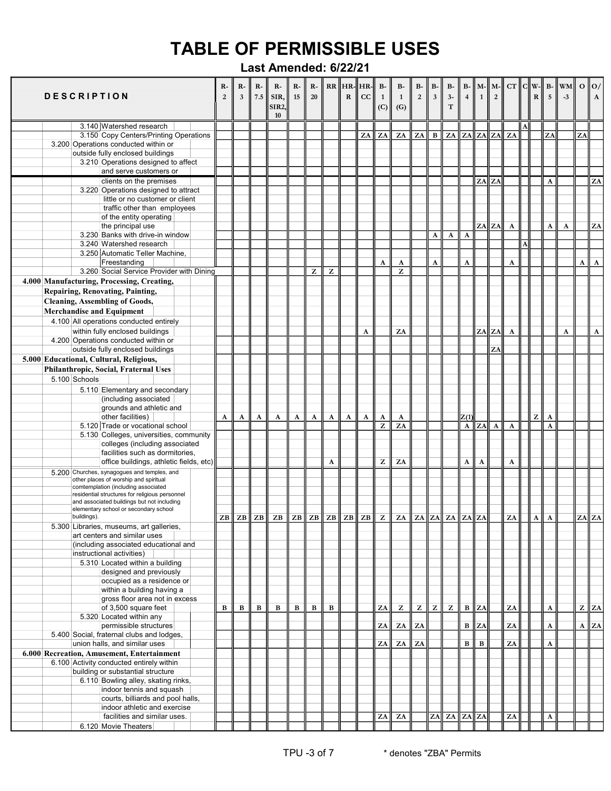| <b>DESCRIPTION</b>                      |                                                                                                                                                                                                                             | $R-$<br>$\overline{2}$ | $R-$<br>$\overline{\mathbf{3}}$ | $R-$<br>7.5 | $\mathbf{R}$ -<br>SIR,<br><b>SIR2.</b><br>10 | $R-$<br>15 | $R-$<br>20 |   | $RR$ $HR$ - $HR$ -<br>$\mathbf R$ | cc           | $B-$<br>$\mathbf{1}$<br>(C) | $\mathbf{B}$ -<br>$\mathbf{1}$<br>(G)                                                             | $\mathbf{B}\text{-}$<br>$\overline{2}$ | $B-$<br>$\mathbf{3}$ | $\, {\bf B} \text{-}$<br>$3-$<br>$\mathbf T$ | $\overline{4}$        | $B - M - M -$<br>$\mathbf{1}$ | $\overline{2}$        |                       | $R$            | 5            | $CT$ $C  W-  B-  WM  $<br>$-3$ |    | $\mathbf{o}$   $\mathbf{o}$ /<br>$\mathbf{A}$ |
|-----------------------------------------|-----------------------------------------------------------------------------------------------------------------------------------------------------------------------------------------------------------------------------|------------------------|---------------------------------|-------------|----------------------------------------------|------------|------------|---|-----------------------------------|--------------|-----------------------------|---------------------------------------------------------------------------------------------------|----------------------------------------|----------------------|----------------------------------------------|-----------------------|-------------------------------|-----------------------|-----------------------|----------------|--------------|--------------------------------|----|-----------------------------------------------|
|                                         | 3.140 Watershed research                                                                                                                                                                                                    |                        |                                 |             |                                              |            |            |   |                                   |              |                             |                                                                                                   |                                        |                      |                                              |                       |                               |                       |                       |                |              |                                |    |                                               |
|                                         | 3.150 Copy Centers/Printing Operations                                                                                                                                                                                      |                        |                                 |             |                                              |            |            |   |                                   | ZA           | ZA                          | ZA                                                                                                | ZA                                     | B                    | ZA                                           |                       | $ZA$ $ZA$ $ZA$                |                       | ZA                    |                | ZA           |                                | ZA |                                               |
|                                         | 3.200 Operations conducted within or                                                                                                                                                                                        |                        |                                 |             |                                              |            |            |   |                                   |              |                             |                                                                                                   |                                        |                      |                                              |                       |                               |                       |                       |                |              |                                |    |                                               |
|                                         | outside fully enclosed buildings                                                                                                                                                                                            |                        |                                 |             |                                              |            |            |   |                                   |              |                             |                                                                                                   |                                        |                      |                                              |                       |                               |                       |                       |                |              |                                |    |                                               |
|                                         | 3.210 Operations designed to affect                                                                                                                                                                                         |                        |                                 |             |                                              |            |            |   |                                   |              |                             |                                                                                                   |                                        |                      |                                              |                       |                               |                       |                       |                |              |                                |    |                                               |
|                                         | and serve customers or                                                                                                                                                                                                      |                        |                                 |             |                                              |            |            |   |                                   |              |                             |                                                                                                   |                                        |                      |                                              |                       |                               |                       |                       |                |              |                                |    |                                               |
|                                         | clients on the premises                                                                                                                                                                                                     |                        |                                 |             |                                              |            |            |   |                                   |              |                             |                                                                                                   |                                        |                      |                                              |                       | ZA ZA                         |                       |                       |                | $\mathbf{A}$ |                                |    | ZA                                            |
|                                         | 3.220 Operations designed to attract                                                                                                                                                                                        |                        |                                 |             |                                              |            |            |   |                                   |              |                             |                                                                                                   |                                        |                      |                                              |                       |                               |                       |                       |                |              |                                |    |                                               |
|                                         | little or no customer or client<br>traffic other than employees                                                                                                                                                             |                        |                                 |             |                                              |            |            |   |                                   |              |                             |                                                                                                   |                                        |                      |                                              |                       |                               |                       |                       |                |              |                                |    |                                               |
|                                         | of the entity operating                                                                                                                                                                                                     |                        |                                 |             |                                              |            |            |   |                                   |              |                             |                                                                                                   |                                        |                      |                                              |                       |                               |                       |                       |                |              |                                |    |                                               |
|                                         | the principal use                                                                                                                                                                                                           |                        |                                 |             |                                              |            |            |   |                                   |              |                             |                                                                                                   |                                        |                      |                                              |                       |                               | $ZA$ $ZA$             | $\boldsymbol{\rm{A}}$ |                | $\mathbf A$  | $\mathbf A$                    |    | ${\bf Z}{\bf A}$                              |
|                                         | 3.230 Banks with drive-in window                                                                                                                                                                                            |                        |                                 |             |                                              |            |            |   |                                   |              |                             |                                                                                                   |                                        | A                    | A                                            | $\mathbf A$           |                               |                       |                       |                |              |                                |    |                                               |
|                                         | 3.240 Watershed research                                                                                                                                                                                                    |                        |                                 |             |                                              |            |            |   |                                   |              |                             |                                                                                                   |                                        |                      |                                              |                       |                               |                       |                       |                |              |                                |    |                                               |
|                                         | 3.250 Automatic Teller Machine,                                                                                                                                                                                             |                        |                                 |             |                                              |            |            |   |                                   |              |                             |                                                                                                   |                                        |                      |                                              |                       |                               |                       |                       |                |              |                                |    |                                               |
|                                         | Freestanding                                                                                                                                                                                                                |                        |                                 |             |                                              |            |            |   |                                   |              | $\boldsymbol{\rm{A}}$       | A                                                                                                 |                                        | $\boldsymbol{\rm A}$ |                                              | $\boldsymbol{\rm{A}}$ |                               |                       | A                     |                |              |                                | A  | $\mathbf A$                                   |
|                                         | 3.260 Social Service Provider with Dining                                                                                                                                                                                   |                        |                                 |             |                                              |            | z          | z |                                   |              |                             | Z                                                                                                 |                                        |                      |                                              |                       |                               |                       |                       |                |              |                                |    |                                               |
|                                         | 4.000 Manufacturing, Processing, Creating,                                                                                                                                                                                  |                        |                                 |             |                                              |            |            |   |                                   |              |                             |                                                                                                   |                                        |                      |                                              |                       |                               |                       |                       |                |              |                                |    |                                               |
| Repairing, Renovating, Painting,        |                                                                                                                                                                                                                             |                        |                                 |             |                                              |            |            |   |                                   |              |                             |                                                                                                   |                                        |                      |                                              |                       |                               |                       |                       |                |              |                                |    |                                               |
| <b>Cleaning, Assembling of Goods,</b>   |                                                                                                                                                                                                                             |                        |                                 |             |                                              |            |            |   |                                   |              |                             |                                                                                                   |                                        |                      |                                              |                       |                               |                       |                       |                |              |                                |    |                                               |
|                                         |                                                                                                                                                                                                                             |                        |                                 |             |                                              |            |            |   |                                   |              |                             |                                                                                                   |                                        |                      |                                              |                       |                               |                       |                       |                |              |                                |    |                                               |
| <b>Merchandise and Equipment</b>        |                                                                                                                                                                                                                             |                        |                                 |             |                                              |            |            |   |                                   |              |                             |                                                                                                   |                                        |                      |                                              |                       |                               |                       |                       |                |              |                                |    |                                               |
|                                         | 4.100 All operations conducted entirely                                                                                                                                                                                     |                        |                                 |             |                                              |            |            |   |                                   |              |                             |                                                                                                   |                                        |                      |                                              |                       |                               |                       |                       |                |              |                                |    |                                               |
|                                         | within fully enclosed buildings                                                                                                                                                                                             |                        |                                 |             |                                              |            |            |   |                                   | A            |                             | ZA                                                                                                |                                        |                      |                                              |                       | ZA                            | ZA                    | $\mathbf{A}$          |                |              | A                              |    | $\boldsymbol{\rm{A}}$                         |
|                                         | 4.200 Operations conducted within or                                                                                                                                                                                        |                        |                                 |             |                                              |            |            |   |                                   |              |                             |                                                                                                   |                                        |                      |                                              |                       |                               |                       |                       |                |              |                                |    |                                               |
|                                         | outside fully enclosed buildings                                                                                                                                                                                            |                        |                                 |             |                                              |            |            |   |                                   |              |                             |                                                                                                   |                                        |                      |                                              |                       |                               | ZA                    |                       |                |              |                                |    |                                               |
| 5.000 Educational, Cultural, Religious, |                                                                                                                                                                                                                             |                        |                                 |             |                                              |            |            |   |                                   |              |                             |                                                                                                   |                                        |                      |                                              |                       |                               |                       |                       |                |              |                                |    |                                               |
|                                         | Philanthropic, Social, Fraternal Uses                                                                                                                                                                                       |                        |                                 |             |                                              |            |            |   |                                   |              |                             |                                                                                                   |                                        |                      |                                              |                       |                               |                       |                       |                |              |                                |    |                                               |
| 5.100 Schools                           |                                                                                                                                                                                                                             |                        |                                 |             |                                              |            |            |   |                                   |              |                             |                                                                                                   |                                        |                      |                                              |                       |                               |                       |                       |                |              |                                |    |                                               |
|                                         | 5.110 Elementary and secondary                                                                                                                                                                                              |                        |                                 |             |                                              |            |            |   |                                   |              |                             |                                                                                                   |                                        |                      |                                              |                       |                               |                       |                       |                |              |                                |    |                                               |
|                                         | (including associated                                                                                                                                                                                                       |                        |                                 |             |                                              |            |            |   |                                   |              |                             |                                                                                                   |                                        |                      |                                              |                       |                               |                       |                       |                |              |                                |    |                                               |
|                                         | grounds and athletic and                                                                                                                                                                                                    |                        |                                 |             |                                              |            |            |   |                                   |              |                             |                                                                                                   |                                        |                      |                                              |                       |                               |                       |                       |                |              |                                |    |                                               |
|                                         | other facilities)                                                                                                                                                                                                           | A                      | A                               | A           | A                                            | A          | A          | A | A                                 | $\mathbf{A}$ | A                           | A                                                                                                 |                                        |                      |                                              | Z(1)                  |                               |                       |                       | $\overline{z}$ | A            |                                |    |                                               |
|                                         | 5.120 Trade or vocational school                                                                                                                                                                                            |                        |                                 |             |                                              |            |            |   |                                   |              | ${\bf z}$                   | $\overline{ZA}$                                                                                   |                                        |                      |                                              | A                     | ZA                            | $\boldsymbol{\rm{A}}$ | $\mathbf A$           |                | A            |                                |    |                                               |
|                                         | 5.130 Colleges, universities, community                                                                                                                                                                                     |                        |                                 |             |                                              |            |            |   |                                   |              |                             |                                                                                                   |                                        |                      |                                              |                       |                               |                       |                       |                |              |                                |    |                                               |
|                                         | colleges (including associated                                                                                                                                                                                              |                        |                                 |             |                                              |            |            |   |                                   |              |                             |                                                                                                   |                                        |                      |                                              |                       |                               |                       |                       |                |              |                                |    |                                               |
|                                         | facilities such as dormitories,                                                                                                                                                                                             |                        |                                 |             |                                              |            |            |   |                                   |              |                             |                                                                                                   |                                        |                      |                                              |                       |                               |                       |                       |                |              |                                |    |                                               |
|                                         | office buildings, athletic fields, etc)                                                                                                                                                                                     |                        |                                 |             |                                              |            |            | A |                                   |              | $\mathbf{Z}$                | ZA                                                                                                |                                        |                      |                                              | A                     | A                             |                       | A                     |                |              |                                |    |                                               |
|                                         | 5.200 Churches, synagogues and temples, and<br>other places of worship and spiritual<br>comtemplation (including associated<br>residential structures for religious personnel<br>and associated buildings but not including |                        |                                 |             |                                              |            |            |   |                                   |              |                             |                                                                                                   |                                        |                      |                                              |                       |                               |                       |                       |                |              |                                |    |                                               |
|                                         | elementary school or secondary school                                                                                                                                                                                       |                        |                                 |             |                                              |            |            |   |                                   |              |                             |                                                                                                   |                                        |                      |                                              |                       |                               |                       |                       |                |              |                                |    |                                               |
| buildings).                             |                                                                                                                                                                                                                             | ZB                     | ZB                              | ZB          |                                              |            |            |   |                                   |              |                             | ZB $\ $ ZB $\ $ ZB $\ $ ZB $\ $ ZB $\ $ ZB $\ $ Z $\ $ ZA $\ $ ZA $\ $ ZA $\ $ ZA $\ $ ZA $\ $ ZA |                                        |                      |                                              |                       |                               |                       | ZA                    | $\mathbf{A}$   | $\mathbf{A}$ |                                |    | $ZA$ $ZA$                                     |
|                                         | 5.300 Libraries, museums, art galleries,                                                                                                                                                                                    |                        |                                 |             |                                              |            |            |   |                                   |              |                             |                                                                                                   |                                        |                      |                                              |                       |                               |                       |                       |                |              |                                |    |                                               |
|                                         | art centers and similar uses                                                                                                                                                                                                |                        |                                 |             |                                              |            |            |   |                                   |              |                             |                                                                                                   |                                        |                      |                                              |                       |                               |                       |                       |                |              |                                |    |                                               |
|                                         | (including associated educational and                                                                                                                                                                                       |                        |                                 |             |                                              |            |            |   |                                   |              |                             |                                                                                                   |                                        |                      |                                              |                       |                               |                       |                       |                |              |                                |    |                                               |
|                                         | instructional activities)                                                                                                                                                                                                   |                        |                                 |             |                                              |            |            |   |                                   |              |                             |                                                                                                   |                                        |                      |                                              |                       |                               |                       |                       |                |              |                                |    |                                               |
|                                         | 5.310 Located within a building                                                                                                                                                                                             |                        |                                 |             |                                              |            |            |   |                                   |              |                             |                                                                                                   |                                        |                      |                                              |                       |                               |                       |                       |                |              |                                |    |                                               |
|                                         | designed and previously<br>occupied as a residence or                                                                                                                                                                       |                        |                                 |             |                                              |            |            |   |                                   |              |                             |                                                                                                   |                                        |                      |                                              |                       |                               |                       |                       |                |              |                                |    |                                               |
|                                         | within a building having a                                                                                                                                                                                                  |                        |                                 |             |                                              |            |            |   |                                   |              |                             |                                                                                                   |                                        |                      |                                              |                       |                               |                       |                       |                |              |                                |    |                                               |
|                                         | gross floor area not in excess                                                                                                                                                                                              |                        |                                 |             |                                              |            |            |   |                                   |              |                             |                                                                                                   |                                        |                      |                                              |                       |                               |                       |                       |                |              |                                |    |                                               |
|                                         | of 3,500 square feet                                                                                                                                                                                                        | $\, {\bf B}$           | $\, {\bf B}$                    | $\bf{B}$    | B                                            | В          | B          | B |                                   |              | ZA                          | z                                                                                                 | z                                      | $\mathbf{Z}$         | z                                            | $\, {\bf B}$          | ZA                            |                       | ZA                    |                | A            |                                |    | $Z \parallel ZA$                              |
|                                         | 5.320 Located within any                                                                                                                                                                                                    |                        |                                 |             |                                              |            |            |   |                                   |              |                             |                                                                                                   |                                        |                      |                                              |                       |                               |                       |                       |                |              |                                |    |                                               |
|                                         | permissible structures                                                                                                                                                                                                      |                        |                                 |             |                                              |            |            |   |                                   |              | ZA                          | ZA                                                                                                | ZA                                     |                      |                                              | $\, {\bf B}$          | ZA                            |                       | ZA                    |                | $\mathbf A$  |                                |    | $A$ ZA                                        |
|                                         | 5.400 Social, fraternal clubs and lodges,                                                                                                                                                                                   |                        |                                 |             |                                              |            |            |   |                                   |              |                             |                                                                                                   |                                        |                      |                                              |                       |                               |                       |                       |                |              |                                |    |                                               |
|                                         | union halls, and similar uses                                                                                                                                                                                               |                        |                                 |             |                                              |            |            |   |                                   |              | ZA                          | ZA                                                                                                | ZA                                     |                      |                                              | $\, {\bf B}$          | $\bf{B}$                      |                       | ZA                    |                | A            |                                |    |                                               |
|                                         | 6.000 Recreation, Amusement, Entertainment                                                                                                                                                                                  |                        |                                 |             |                                              |            |            |   |                                   |              |                             |                                                                                                   |                                        |                      |                                              |                       |                               |                       |                       |                |              |                                |    |                                               |
|                                         | 6.100 Activity conducted entirely within                                                                                                                                                                                    |                        |                                 |             |                                              |            |            |   |                                   |              |                             |                                                                                                   |                                        |                      |                                              |                       |                               |                       |                       |                |              |                                |    |                                               |
|                                         | building or substantial structure                                                                                                                                                                                           |                        |                                 |             |                                              |            |            |   |                                   |              |                             |                                                                                                   |                                        |                      |                                              |                       |                               |                       |                       |                |              |                                |    |                                               |
|                                         | 6.110 Bowling alley, skating rinks,                                                                                                                                                                                         |                        |                                 |             |                                              |            |            |   |                                   |              |                             |                                                                                                   |                                        |                      |                                              |                       |                               |                       |                       |                |              |                                |    |                                               |
|                                         | indoor tennis and squash                                                                                                                                                                                                    |                        |                                 |             |                                              |            |            |   |                                   |              |                             |                                                                                                   |                                        |                      |                                              |                       |                               |                       |                       |                |              |                                |    |                                               |
|                                         | courts, billiards and pool halls,                                                                                                                                                                                           |                        |                                 |             |                                              |            |            |   |                                   |              |                             |                                                                                                   |                                        |                      |                                              |                       |                               |                       |                       |                |              |                                |    |                                               |
|                                         | indoor athletic and exercise                                                                                                                                                                                                |                        |                                 |             |                                              |            |            |   |                                   |              |                             |                                                                                                   |                                        |                      |                                              |                       |                               |                       |                       |                |              |                                |    |                                               |
|                                         | facilities and similar uses.                                                                                                                                                                                                |                        |                                 |             |                                              |            |            |   |                                   |              | ZA                          | ZA                                                                                                |                                        |                      | ZA ZA ZA ZA                                  |                       |                               |                       | ZA                    |                | A            |                                |    |                                               |
|                                         | 6.120 Movie Theaters                                                                                                                                                                                                        |                        |                                 |             |                                              |            |            |   |                                   |              |                             |                                                                                                   |                                        |                      |                                              |                       |                               |                       |                       |                |              |                                |    |                                               |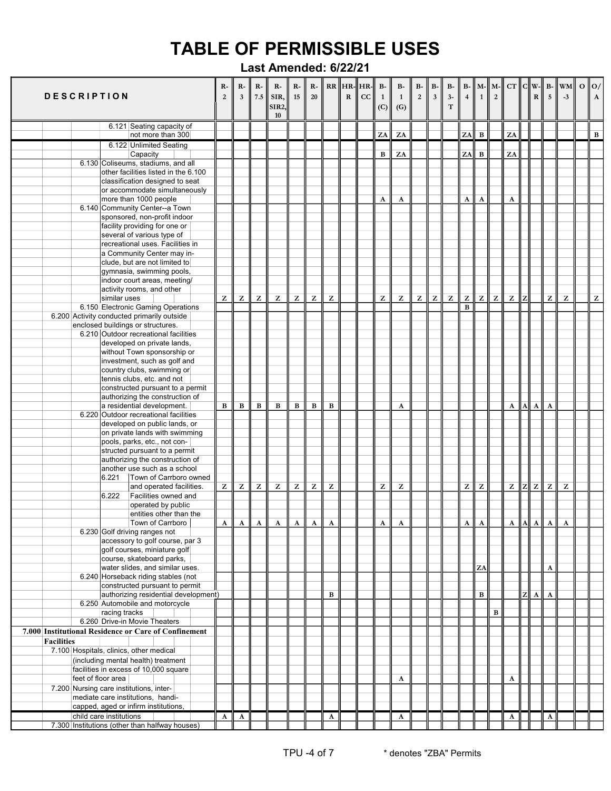|                   | <b>DESCRIPTION</b> |                                                                 | R-<br>$\overline{2}$ | R-<br>$\overline{\mathbf{3}}$ | R-<br>7.5                             | $R-$<br>SIR,<br>SIR2,<br>10 | R-<br>15 | $R-$<br>20                                            |                | $RR$ $HR$ - $HR$ -<br>${\bf R}$ | cc | <b>B-</b><br>$\mathbf{1}$<br>(C) | <b>B-</b><br>$\overline{1}$<br>(G) | $B-$<br>$\sqrt{2}$ | B-<br>$\mathbf{3}$ | <b>B-</b><br>$3-$<br>$\mathbf T$                      | B-<br>$\overline{\mathbf{4}}$ | $M -$<br>$\mathbf{1}$ | $M -$<br>$\overline{2}$ | CT                                                    |   | $C  W -$<br>R | $B-$<br>5                                             | WM<br>$-3$   | $\mathbf{o}$ | 0/<br>$\mathbf{A}$ |
|-------------------|--------------------|-----------------------------------------------------------------|----------------------|-------------------------------|---------------------------------------|-----------------------------|----------|-------------------------------------------------------|----------------|---------------------------------|----|----------------------------------|------------------------------------|--------------------|--------------------|-------------------------------------------------------|-------------------------------|-----------------------|-------------------------|-------------------------------------------------------|---|---------------|-------------------------------------------------------|--------------|--------------|--------------------|
|                   |                    | 6.121 Seating capacity of                                       |                      |                               |                                       |                             |          |                                                       |                |                                 |    |                                  |                                    |                    |                    |                                                       |                               |                       |                         |                                                       |   |               |                                                       |              |              |                    |
|                   |                    | not more than 300                                               |                      |                               |                                       |                             |          |                                                       |                |                                 |    | ZA                               | ZA                                 |                    |                    |                                                       | ZA                            | $\, {\bf B}$          |                         | ZA                                                    |   |               |                                                       |              |              | $\, {\bf B}$       |
|                   |                    | 6.122 Unlimited Seating<br>Capacity                             |                      |                               |                                       |                             |          |                                                       |                |                                 |    | B                                | ZA                                 |                    |                    |                                                       | ZA                            | $\, {\bf B}$          |                         | ZA                                                    |   |               |                                                       |              |              |                    |
|                   |                    | 6.130 Coliseums, stadiums, and all                              |                      |                               |                                       |                             |          |                                                       |                |                                 |    |                                  |                                    |                    |                    |                                                       |                               |                       |                         |                                                       |   |               |                                                       |              |              |                    |
|                   |                    | other facilities listed in the 6.100                            |                      |                               |                                       |                             |          |                                                       |                |                                 |    |                                  |                                    |                    |                    |                                                       |                               |                       |                         |                                                       |   |               |                                                       |              |              |                    |
|                   |                    | classification designed to seat                                 |                      |                               |                                       |                             |          |                                                       |                |                                 |    |                                  |                                    |                    |                    |                                                       |                               |                       |                         |                                                       |   |               |                                                       |              |              |                    |
|                   |                    | or accommodate simultaneously<br>more than 1000 people          |                      |                               |                                       |                             |          |                                                       |                |                                 |    | A                                | A                                  |                    |                    |                                                       | A                             | $\boldsymbol{\rm{A}}$ |                         | A                                                     |   |               |                                                       |              |              |                    |
|                   |                    | 6.140 Community Center--a Town                                  |                      |                               |                                       |                             |          |                                                       |                |                                 |    |                                  |                                    |                    |                    |                                                       |                               |                       |                         |                                                       |   |               |                                                       |              |              |                    |
|                   |                    | sponsored, non-profit indoor                                    |                      |                               |                                       |                             |          |                                                       |                |                                 |    |                                  |                                    |                    |                    |                                                       |                               |                       |                         |                                                       |   |               |                                                       |              |              |                    |
|                   |                    | facility providing for one or                                   |                      |                               |                                       |                             |          |                                                       |                |                                 |    |                                  |                                    |                    |                    |                                                       |                               |                       |                         |                                                       |   |               |                                                       |              |              |                    |
|                   |                    | several of various type of                                      |                      |                               |                                       |                             |          |                                                       |                |                                 |    |                                  |                                    |                    |                    |                                                       |                               |                       |                         |                                                       |   |               |                                                       |              |              |                    |
|                   |                    | recreational uses. Facilities in<br>a Community Center may in-  |                      |                               |                                       |                             |          |                                                       |                |                                 |    |                                  |                                    |                    |                    |                                                       |                               |                       |                         |                                                       |   |               |                                                       |              |              |                    |
|                   |                    | clude, but are not limited to                                   |                      |                               |                                       |                             |          |                                                       |                |                                 |    |                                  |                                    |                    |                    |                                                       |                               |                       |                         |                                                       |   |               |                                                       |              |              |                    |
|                   |                    | gymnasia, swimming pools,                                       |                      |                               |                                       |                             |          |                                                       |                |                                 |    |                                  |                                    |                    |                    |                                                       |                               |                       |                         |                                                       |   |               |                                                       |              |              |                    |
|                   |                    | indoor court areas, meeting/                                    |                      |                               |                                       |                             |          |                                                       |                |                                 |    |                                  |                                    |                    |                    |                                                       |                               |                       |                         |                                                       |   |               |                                                       |              |              |                    |
|                   |                    | activity rooms, and other                                       |                      |                               |                                       |                             |          |                                                       |                |                                 |    |                                  |                                    |                    |                    |                                                       |                               |                       |                         |                                                       |   |               |                                                       |              |              |                    |
|                   |                    | similar uses<br>6.150 Electronic Gaming Operations              | z                    | z                             | z                                     | z                           | z        | z                                                     | $\overline{z}$ |                                 |    | Z                                | z                                  | z                  | Z                  | $\mathbf{Z}% ^{T}=\mathbf{Z}^{T}\times\mathbf{Z}^{T}$ | z<br>$\bf{B}$                 | $\mathbf{Z}$          | $\mathbf{z}$            | $\mathbf{Z}% ^{T}=\mathbf{Z}^{T}\times\mathbf{Z}^{T}$ |   |               | z                                                     | Z            |              | $\mathbf{Z}$       |
|                   |                    | 6.200 Activity conducted primarily outside                      |                      |                               |                                       |                             |          |                                                       |                |                                 |    |                                  |                                    |                    |                    |                                                       |                               |                       |                         |                                                       |   |               |                                                       |              |              |                    |
|                   |                    | enclosed buildings or structures.                               |                      |                               |                                       |                             |          |                                                       |                |                                 |    |                                  |                                    |                    |                    |                                                       |                               |                       |                         |                                                       |   |               |                                                       |              |              |                    |
|                   |                    | 6.210 Outdoor recreational facilities                           |                      |                               |                                       |                             |          |                                                       |                |                                 |    |                                  |                                    |                    |                    |                                                       |                               |                       |                         |                                                       |   |               |                                                       |              |              |                    |
|                   |                    | developed on private lands,                                     |                      |                               |                                       |                             |          |                                                       |                |                                 |    |                                  |                                    |                    |                    |                                                       |                               |                       |                         |                                                       |   |               |                                                       |              |              |                    |
|                   |                    | without Town sponsorship or                                     |                      |                               |                                       |                             |          |                                                       |                |                                 |    |                                  |                                    |                    |                    |                                                       |                               |                       |                         |                                                       |   |               |                                                       |              |              |                    |
|                   |                    | investment, such as golf and<br>country clubs, swimming or      |                      |                               |                                       |                             |          |                                                       |                |                                 |    |                                  |                                    |                    |                    |                                                       |                               |                       |                         |                                                       |   |               |                                                       |              |              |                    |
|                   |                    | tennis clubs, etc. and not                                      |                      |                               |                                       |                             |          |                                                       |                |                                 |    |                                  |                                    |                    |                    |                                                       |                               |                       |                         |                                                       |   |               |                                                       |              |              |                    |
|                   |                    | constructed pursuant to a permit                                |                      |                               |                                       |                             |          |                                                       |                |                                 |    |                                  |                                    |                    |                    |                                                       |                               |                       |                         |                                                       |   |               |                                                       |              |              |                    |
|                   |                    | authorizing the construction of                                 |                      |                               |                                       |                             |          |                                                       |                |                                 |    |                                  |                                    |                    |                    |                                                       |                               |                       |                         |                                                       |   |               |                                                       |              |              |                    |
|                   |                    | a residential development.                                      | в                    | $\, {\bf B}$                  | $\bf{B}$                              | B                           | B        | B                                                     | B              |                                 |    |                                  | $\mathbf A$                        |                    |                    |                                                       |                               |                       |                         | $\mathbf A$                                           | A | $\mathbf{A}$  | A                                                     |              |              |                    |
|                   |                    | 6.220 Outdoor recreational facilities                           |                      |                               |                                       |                             |          |                                                       |                |                                 |    |                                  |                                    |                    |                    |                                                       |                               |                       |                         |                                                       |   |               |                                                       |              |              |                    |
|                   |                    | developed on public lands, or<br>on private lands with swimming |                      |                               |                                       |                             |          |                                                       |                |                                 |    |                                  |                                    |                    |                    |                                                       |                               |                       |                         |                                                       |   |               |                                                       |              |              |                    |
|                   |                    | pools, parks, etc., not con-                                    |                      |                               |                                       |                             |          |                                                       |                |                                 |    |                                  |                                    |                    |                    |                                                       |                               |                       |                         |                                                       |   |               |                                                       |              |              |                    |
|                   |                    | structed pursuant to a permit                                   |                      |                               |                                       |                             |          |                                                       |                |                                 |    |                                  |                                    |                    |                    |                                                       |                               |                       |                         |                                                       |   |               |                                                       |              |              |                    |
|                   |                    | authorizing the construction of                                 |                      |                               |                                       |                             |          |                                                       |                |                                 |    |                                  |                                    |                    |                    |                                                       |                               |                       |                         |                                                       |   |               |                                                       |              |              |                    |
|                   |                    | another use such as a school                                    |                      |                               |                                       |                             |          |                                                       |                |                                 |    |                                  |                                    |                    |                    |                                                       |                               |                       |                         |                                                       |   |               |                                                       |              |              |                    |
|                   |                    | Town of Carrboro owned<br>6.221<br>and operated facilities.     | z                    |                               |                                       |                             |          | $\mathbf{Z}% ^{T}=\mathbf{Z}^{T}\times\mathbf{Z}^{T}$ | $\mathbf{z}$   |                                 |    | Z                                | z                                  |                    |                    |                                                       | z                             | ${\bf z}$             |                         | Z                                                     |   | $\mathbf{Z}$  | $\mathbf{Z}% ^{T}=\mathbf{Z}^{T}\times\mathbf{Z}^{T}$ | Z            |              |                    |
|                   |                    | 6.222<br>Facilities owned and                                   |                      | z                             | z                                     | z                           | z        |                                                       |                |                                 |    |                                  |                                    |                    |                    |                                                       |                               |                       |                         |                                                       | z |               |                                                       |              |              |                    |
|                   |                    | operated by public                                              |                      |                               |                                       |                             |          |                                                       |                |                                 |    |                                  |                                    |                    |                    |                                                       |                               |                       |                         |                                                       |   |               |                                                       |              |              |                    |
|                   |                    | entities other than the                                         |                      |                               |                                       |                             |          |                                                       |                |                                 |    |                                  |                                    |                    |                    |                                                       |                               |                       |                         |                                                       |   |               |                                                       |              |              |                    |
|                   |                    | Town of Carrboro                                                |                      |                               | $A \parallel A \parallel A \parallel$ | Al                          | A I      | $\mathbf{A}$                                          | $\mathbf{A}$   |                                 |    | $\mathbf{A}$                     | $\mathbf{A}$                       |                    |                    |                                                       | A I                           | $\mathbf{A}$          |                         | $A$ $A$                                               |   | $\mathbf{A}$  | $\mathbf{A}$                                          | $\mathbf{A}$ |              |                    |
|                   |                    | 6.230 Golf driving ranges not                                   |                      |                               |                                       |                             |          |                                                       |                |                                 |    |                                  |                                    |                    |                    |                                                       |                               |                       |                         |                                                       |   |               |                                                       |              |              |                    |
|                   |                    | accessory to golf course, par 3<br>golf courses, miniature golf |                      |                               |                                       |                             |          |                                                       |                |                                 |    |                                  |                                    |                    |                    |                                                       |                               |                       |                         |                                                       |   |               |                                                       |              |              |                    |
|                   |                    | course, skateboard parks,                                       |                      |                               |                                       |                             |          |                                                       |                |                                 |    |                                  |                                    |                    |                    |                                                       |                               |                       |                         |                                                       |   |               |                                                       |              |              |                    |
|                   |                    | water slides, and similar uses.                                 |                      |                               |                                       |                             |          |                                                       |                |                                 |    |                                  |                                    |                    |                    |                                                       |                               | ZA                    |                         |                                                       |   |               | A                                                     |              |              |                    |
|                   |                    | 6.240 Horseback riding stables (not                             |                      |                               |                                       |                             |          |                                                       |                |                                 |    |                                  |                                    |                    |                    |                                                       |                               |                       |                         |                                                       |   |               |                                                       |              |              |                    |
|                   |                    | constructed pursuant to permit                                  |                      |                               |                                       |                             |          |                                                       |                |                                 |    |                                  |                                    |                    |                    |                                                       |                               |                       |                         |                                                       |   |               |                                                       |              |              |                    |
|                   |                    | authorizing residential development)                            |                      |                               |                                       |                             |          |                                                       | $\, {\bf B}$   |                                 |    |                                  |                                    |                    |                    |                                                       |                               | $\, {\bf B}$          |                         |                                                       |   | $\mathbf{A}$  | $\mathbf{A}$                                          |              |              |                    |
|                   |                    | 6.250 Automobile and motorcycle<br>racing tracks                |                      |                               |                                       |                             |          |                                                       |                |                                 |    |                                  |                                    |                    |                    |                                                       |                               |                       | $\, {\bf B}$            |                                                       |   |               |                                                       |              |              |                    |
|                   |                    | 6.260 Drive-in Movie Theaters                                   |                      |                               |                                       |                             |          |                                                       |                |                                 |    |                                  |                                    |                    |                    |                                                       |                               |                       |                         |                                                       |   |               |                                                       |              |              |                    |
|                   |                    | 7.000 Institutional Residence or Care of Confinement            |                      |                               |                                       |                             |          |                                                       |                |                                 |    |                                  |                                    |                    |                    |                                                       |                               |                       |                         |                                                       |   |               |                                                       |              |              |                    |
| <b>Facilities</b> |                    |                                                                 |                      |                               |                                       |                             |          |                                                       |                |                                 |    |                                  |                                    |                    |                    |                                                       |                               |                       |                         |                                                       |   |               |                                                       |              |              |                    |
|                   |                    | 7.100 Hospitals, clinics, other medical                         |                      |                               |                                       |                             |          |                                                       |                |                                 |    |                                  |                                    |                    |                    |                                                       |                               |                       |                         |                                                       |   |               |                                                       |              |              |                    |
|                   |                    | (including mental health) treatment                             |                      |                               |                                       |                             |          |                                                       |                |                                 |    |                                  |                                    |                    |                    |                                                       |                               |                       |                         |                                                       |   |               |                                                       |              |              |                    |
|                   |                    | facilities in excess of 10,000 square                           |                      |                               |                                       |                             |          |                                                       |                |                                 |    |                                  |                                    |                    |                    |                                                       |                               |                       |                         |                                                       |   |               |                                                       |              |              |                    |
|                   | feet of floor area | 7.200 Nursing care institutions, inter-                         |                      |                               |                                       |                             |          |                                                       |                |                                 |    |                                  | $\mathbf A$                        |                    |                    |                                                       |                               |                       |                         | A                                                     |   |               |                                                       |              |              |                    |
|                   |                    | mediate care institutions, handi-                               |                      |                               |                                       |                             |          |                                                       |                |                                 |    |                                  |                                    |                    |                    |                                                       |                               |                       |                         |                                                       |   |               |                                                       |              |              |                    |
|                   |                    | capped, aged or infirm institutions,                            |                      |                               |                                       |                             |          |                                                       |                |                                 |    |                                  |                                    |                    |                    |                                                       |                               |                       |                         |                                                       |   |               |                                                       |              |              |                    |
|                   |                    | child care institutions                                         | $\mathbf{A}$         | $\mathbf{A}$                  |                                       |                             |          |                                                       | $\mathbf{A}$   |                                 |    |                                  | $\mathbf{A}$                       |                    |                    |                                                       |                               |                       |                         | $\mathbf{A}$                                          |   |               | A                                                     |              |              |                    |
|                   |                    | 7.300 Institutions (other than halfway houses)                  |                      |                               |                                       |                             |          |                                                       |                |                                 |    |                                  |                                    |                    |                    |                                                       |                               |                       |                         |                                                       |   |               |                                                       |              |              |                    |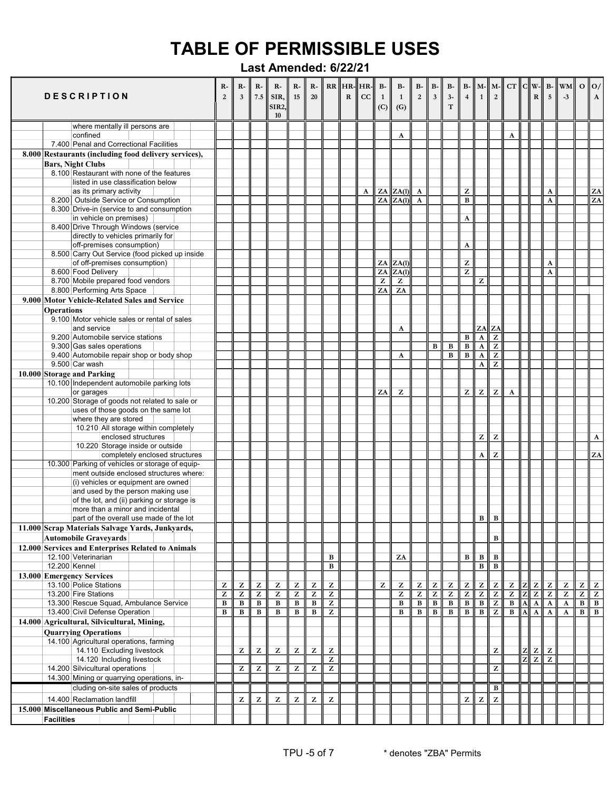|                   | <b>DESCRIPTION</b>                                                                         | $R-$<br>$\overline{2}$ | $R-$<br>$\overline{\mathbf{3}}$ | $\mathbf{R}$<br>7.5 | $R-$<br>SIR,<br><b>SIR2,</b><br>10 | $R-$<br>15   | $R-$<br>20   |                                                       | $RR$ $H$ R- $H$ R- $\parallel$<br>$\mathbf R$ | cc | $B-$<br>$\overline{1}$<br>(C) | <b>B-</b><br>$\mathbf{1}$<br>(G) | $B-$<br>$\,2$ | $B-$<br>$\mathbf{3}$ | $B-$<br>$3-$<br>$\mathbf T$ | $\overline{4}$                 | $B - M -$<br>$\mathbf{1}$                             | $M -$<br>$\overline{2}$                               |                |   | R                                                     | $5\overline{)}$                                       | $CT$ $C$ $\ W - \ B - \ WM\ $<br>$-3$                 |                 | $\Omega$   $\Omega$ /<br>$\mathbf{A}$                 |
|-------------------|--------------------------------------------------------------------------------------------|------------------------|---------------------------------|---------------------|------------------------------------|--------------|--------------|-------------------------------------------------------|-----------------------------------------------|----|-------------------------------|----------------------------------|---------------|----------------------|-----------------------------|--------------------------------|-------------------------------------------------------|-------------------------------------------------------|----------------|---|-------------------------------------------------------|-------------------------------------------------------|-------------------------------------------------------|-----------------|-------------------------------------------------------|
|                   | where mentally ill persons are                                                             |                        |                                 |                     |                                    |              |              |                                                       |                                               |    |                               |                                  |               |                      |                             |                                |                                                       |                                                       |                |   |                                                       |                                                       |                                                       |                 |                                                       |
|                   | confined<br>7.400 Penal and Correctional Facilities                                        |                        |                                 |                     |                                    |              |              |                                                       |                                               |    |                               | A                                |               |                      |                             |                                |                                                       |                                                       | A              |   |                                                       |                                                       |                                                       |                 |                                                       |
|                   | 8.000 Restaurants (including food delivery services),                                      |                        |                                 |                     |                                    |              |              |                                                       |                                               |    |                               |                                  |               |                      |                             |                                |                                                       |                                                       |                |   |                                                       |                                                       |                                                       |                 |                                                       |
|                   | <b>Bars, Night Clubs</b>                                                                   |                        |                                 |                     |                                    |              |              |                                                       |                                               |    |                               |                                  |               |                      |                             |                                |                                                       |                                                       |                |   |                                                       |                                                       |                                                       |                 |                                                       |
|                   | 8.100 Restaurant with none of the features                                                 |                        |                                 |                     |                                    |              |              |                                                       |                                               |    |                               |                                  |               |                      |                             |                                |                                                       |                                                       |                |   |                                                       |                                                       |                                                       |                 |                                                       |
|                   | listed in use classification below                                                         |                        |                                 |                     |                                    |              |              |                                                       |                                               |    |                               |                                  |               |                      |                             |                                |                                                       |                                                       |                |   |                                                       |                                                       |                                                       |                 |                                                       |
|                   | as its primary activity                                                                    |                        |                                 |                     |                                    |              |              |                                                       |                                               | A  |                               | ZA  ZA(1)                        | $\mathbf{A}$  |                      |                             | Z                              |                                                       |                                                       |                |   |                                                       | $\mathbf A$                                           |                                                       |                 | ${\bf Z}{\bf A}$<br>$\overline{ZA}$                   |
|                   | 8.200 Outside Service or Consumption<br>8.300 Drive-in (service to and consumption         |                        |                                 |                     |                                    |              |              |                                                       |                                               |    |                               | ZA  ZA(1)                        | $\mathbf{A}$  |                      |                             | $\bf{B}$                       |                                                       |                                                       |                |   |                                                       | A                                                     |                                                       |                 |                                                       |
|                   | in vehicle on premises)                                                                    |                        |                                 |                     |                                    |              |              |                                                       |                                               |    |                               |                                  |               |                      |                             | A                              |                                                       |                                                       |                |   |                                                       |                                                       |                                                       |                 |                                                       |
|                   | 8.400 Drive Through Windows (service                                                       |                        |                                 |                     |                                    |              |              |                                                       |                                               |    |                               |                                  |               |                      |                             |                                |                                                       |                                                       |                |   |                                                       |                                                       |                                                       |                 |                                                       |
|                   | directly to vehicles primarily for                                                         |                        |                                 |                     |                                    |              |              |                                                       |                                               |    |                               |                                  |               |                      |                             |                                |                                                       |                                                       |                |   |                                                       |                                                       |                                                       |                 |                                                       |
|                   | off-premises consumption)                                                                  |                        |                                 |                     |                                    |              |              |                                                       |                                               |    |                               |                                  |               |                      |                             | $\mathbf A$                    |                                                       |                                                       |                |   |                                                       |                                                       |                                                       |                 |                                                       |
|                   | 8.500 Carry Out Service (food picked up inside<br>of off-premises consumption)             |                        |                                 |                     |                                    |              |              |                                                       |                                               |    |                               | ZA  ZA(1)                        |               |                      |                             | z                              |                                                       |                                                       |                |   |                                                       | $\mathbf{A}$                                          |                                                       |                 |                                                       |
|                   | 8.600 Food Delivery                                                                        |                        |                                 |                     |                                    |              |              |                                                       |                                               |    | ZA                            | $\ ZA(1)$                        |               |                      |                             | Z                              |                                                       |                                                       |                |   |                                                       | A                                                     |                                                       |                 |                                                       |
|                   | 8.700 Mobile prepared food vendors                                                         |                        |                                 |                     |                                    |              |              |                                                       |                                               |    | z                             | Z                                |               |                      |                             |                                | z                                                     |                                                       |                |   |                                                       |                                                       |                                                       |                 |                                                       |
|                   | 8.800 Performing Arts Space                                                                |                        |                                 |                     |                                    |              |              |                                                       |                                               |    | ZA                            | ZA                               |               |                      |                             |                                |                                                       |                                                       |                |   |                                                       |                                                       |                                                       |                 |                                                       |
|                   | 9.000 Motor Vehicle-Related Sales and Service                                              |                        |                                 |                     |                                    |              |              |                                                       |                                               |    |                               |                                  |               |                      |                             |                                |                                                       |                                                       |                |   |                                                       |                                                       |                                                       |                 |                                                       |
| <b>Operations</b> |                                                                                            |                        |                                 |                     |                                    |              |              |                                                       |                                               |    |                               |                                  |               |                      |                             |                                |                                                       |                                                       |                |   |                                                       |                                                       |                                                       |                 |                                                       |
|                   | 9.100 Motor vehicle sales or rental of sales                                               |                        |                                 |                     |                                    |              |              |                                                       |                                               |    |                               |                                  |               |                      |                             |                                |                                                       |                                                       |                |   |                                                       |                                                       |                                                       |                 |                                                       |
|                   | and service<br>9.200 Automobile service stations                                           |                        |                                 |                     |                                    |              |              |                                                       |                                               |    |                               | A                                |               |                      |                             |                                | ZA                                                    | ZA<br>$\overline{z}$                                  |                |   |                                                       |                                                       |                                                       |                 |                                                       |
|                   | 9.300 Gas sales operations                                                                 |                        |                                 |                     |                                    |              |              |                                                       |                                               |    |                               |                                  |               | $\overline{B}$       | $\overline{\mathbf{B}}$     | $\, {\bf B}$<br>$\overline{B}$ | $\overline{\mathbf{A}}$<br>$\overline{\mathbf{A}}$    | $\overline{z}$                                        |                |   |                                                       |                                                       |                                                       |                 |                                                       |
|                   | 9.400 Automobile repair shop or body shop                                                  |                        |                                 |                     |                                    |              |              |                                                       |                                               |    |                               | A                                |               |                      | $\overline{B}$              | $\overline{\mathbf{B}}$        | $\mathbf A$                                           | $\overline{z}$                                        |                |   |                                                       |                                                       |                                                       |                 |                                                       |
|                   | 9.500 Car wash                                                                             |                        |                                 |                     |                                    |              |              |                                                       |                                               |    |                               |                                  |               |                      |                             |                                | $\boldsymbol{\rm{A}}$                                 | z                                                     |                |   |                                                       |                                                       |                                                       |                 |                                                       |
|                   | 10.000 Storage and Parking                                                                 |                        |                                 |                     |                                    |              |              |                                                       |                                               |    |                               |                                  |               |                      |                             |                                |                                                       |                                                       |                |   |                                                       |                                                       |                                                       |                 |                                                       |
|                   | 10.100 Independent automobile parking lots                                                 |                        |                                 |                     |                                    |              |              |                                                       |                                               |    |                               |                                  |               |                      |                             |                                |                                                       |                                                       |                |   |                                                       |                                                       |                                                       |                 |                                                       |
|                   | or garages                                                                                 |                        |                                 |                     |                                    |              |              |                                                       |                                               |    | ZA                            | z                                |               |                      |                             | z                              | $\bf{Z}$                                              | $\mathbf{Z}$                                          | A              |   |                                                       |                                                       |                                                       |                 |                                                       |
|                   | 10.200 Storage of goods not related to sale or<br>uses of those goods on the same lot      |                        |                                 |                     |                                    |              |              |                                                       |                                               |    |                               |                                  |               |                      |                             |                                |                                                       |                                                       |                |   |                                                       |                                                       |                                                       |                 |                                                       |
|                   | where they are stored                                                                      |                        |                                 |                     |                                    |              |              |                                                       |                                               |    |                               |                                  |               |                      |                             |                                |                                                       |                                                       |                |   |                                                       |                                                       |                                                       |                 |                                                       |
|                   | 10.210 All storage within completely                                                       |                        |                                 |                     |                                    |              |              |                                                       |                                               |    |                               |                                  |               |                      |                             |                                |                                                       |                                                       |                |   |                                                       |                                                       |                                                       |                 |                                                       |
|                   | enclosed structures                                                                        |                        |                                 |                     |                                    |              |              |                                                       |                                               |    |                               |                                  |               |                      |                             |                                | $\mathbf{Z}% ^{T}=\mathbf{Z}^{T}\times\mathbf{Z}^{T}$ | Z                                                     |                |   |                                                       |                                                       |                                                       |                 | $\boldsymbol{\rm{A}}$                                 |
|                   | 10.220 Storage inside or outside                                                           |                        |                                 |                     |                                    |              |              |                                                       |                                               |    |                               |                                  |               |                      |                             |                                |                                                       |                                                       |                |   |                                                       |                                                       |                                                       |                 |                                                       |
|                   | completely enclosed structures                                                             |                        |                                 |                     |                                    |              |              |                                                       |                                               |    |                               |                                  |               |                      |                             |                                | $\mathbf A$                                           | z                                                     |                |   |                                                       |                                                       |                                                       |                 | ZA                                                    |
|                   | 10.300 Parking of vehicles or storage of equip-<br>ment outside enclosed structures where: |                        |                                 |                     |                                    |              |              |                                                       |                                               |    |                               |                                  |               |                      |                             |                                |                                                       |                                                       |                |   |                                                       |                                                       |                                                       |                 |                                                       |
|                   | (i) vehicles or equipment are owned                                                        |                        |                                 |                     |                                    |              |              |                                                       |                                               |    |                               |                                  |               |                      |                             |                                |                                                       |                                                       |                |   |                                                       |                                                       |                                                       |                 |                                                       |
|                   | and used by the person making use                                                          |                        |                                 |                     |                                    |              |              |                                                       |                                               |    |                               |                                  |               |                      |                             |                                |                                                       |                                                       |                |   |                                                       |                                                       |                                                       |                 |                                                       |
|                   | of the lot, and (ii) parking or storage is                                                 |                        |                                 |                     |                                    |              |              |                                                       |                                               |    |                               |                                  |               |                      |                             |                                |                                                       |                                                       |                |   |                                                       |                                                       |                                                       |                 |                                                       |
|                   | more than a minor and incidental                                                           |                        |                                 |                     |                                    |              |              |                                                       |                                               |    |                               |                                  |               |                      |                             |                                |                                                       |                                                       |                |   |                                                       |                                                       |                                                       |                 |                                                       |
|                   | part of the overall use made of the lot                                                    |                        |                                 |                     |                                    |              |              |                                                       |                                               |    |                               |                                  |               |                      |                             |                                | в                                                     | $\, {\bf B}$                                          |                |   |                                                       |                                                       |                                                       |                 |                                                       |
|                   | 11.000 Scrap Materials Salvage Yards, Junkyards,                                           |                        |                                 |                     |                                    |              |              |                                                       |                                               |    |                               |                                  |               |                      |                             |                                |                                                       |                                                       |                |   |                                                       |                                                       |                                                       |                 |                                                       |
|                   | <b>Automobile Gravevards</b>                                                               |                        |                                 |                     |                                    |              |              |                                                       |                                               |    |                               |                                  |               |                      |                             |                                |                                                       | $\, {\bf B}$                                          |                |   |                                                       |                                                       |                                                       |                 |                                                       |
|                   | 12.000 Services and Enterprises Related to Animals<br>12.100 Veterinarian                  |                        |                                 |                     |                                    |              |              | $\, {\bf B}$                                          |                                               |    |                               | ZA                               |               |                      |                             | B                              | $\, {\bf B}$                                          | B                                                     |                |   |                                                       |                                                       |                                                       |                 |                                                       |
| 12.200 Kennel     |                                                                                            |                        |                                 |                     |                                    |              |              | $\, {\bf B}$                                          |                                               |    |                               |                                  |               |                      |                             |                                | $\, {\bf B}$                                          | $\overline{B}$                                        |                |   |                                                       |                                                       |                                                       |                 |                                                       |
|                   | 13.000 Emergency Services                                                                  |                        |                                 |                     |                                    |              |              |                                                       |                                               |    |                               |                                  |               |                      |                             |                                |                                                       |                                                       |                |   |                                                       |                                                       |                                                       |                 |                                                       |
|                   | 13.100 Police Stations                                                                     | z                      | z                               | Z                   | z                                  | Z            | Z            | $\mathbf{Z}% ^{T}=\mathbf{Z}^{T}\times\mathbf{Z}^{T}$ |                                               |    | Z                             | z                                | Z             | Z                    | z                           | Z                              | $\overline{z}$                                        | $\mathbf{Z}% ^{T}=\mathbf{Z}^{T}\times\mathbf{Z}^{T}$ | z              |   | $\mathbf{Z}% ^{T}=\mathbf{Z}^{T}\times\mathbf{Z}^{T}$ | z                                                     | $\mathbf{Z}% ^{T}=\mathbf{Z}^{T}\times\mathbf{Z}^{T}$ | Z               | $\mathbf{Z}% ^{T}=\mathbf{Z}^{T}\times\mathbf{Z}^{T}$ |
|                   | 13.200 Fire Stations                                                                       | z                      | Z                               | Z                   | z                                  | z            | Z            | z                                                     |                                               |    |                               | Z                                | Z             | Z                    | z                           | Z                              | $\overline{z}$                                        | $\overline{z}$                                        | $\overline{z}$ |   | $\mathbf{Z}% _{0}$                                    | $\mathbf{Z}% ^{T}=\mathbf{Z}^{T}\times\mathbf{Z}^{T}$ | $\mathbf{Z}% ^{T}=\mathbf{Z}^{T}\times\mathbf{Z}^{T}$ | $\overline{z}$  | $\overline{z}$                                        |
|                   | 13.300 Rescue Squad, Ambulance Service                                                     | $\, {\bf B}$           | $\, {\bf B}$                    | $\, {\bf B}$        | $\, {\bf B}$                       | в            | $\, {\bf B}$ | Z                                                     |                                               |    |                               | $\, {\bf B}$                     | $\, {\bf B}$  | $\, {\bf B}$         | $\, {\bf B}$                | $\, {\bf B}$                   | $\, {\bf B}$                                          | $\overline{z}$                                        | В              |   | $\mathbf A$                                           | $\mathbf A$                                           | $\mathbf A$                                           | $\, {\bf B} \,$ | $\, {\bf B}$                                          |
|                   | 13.400 Civil Defense Operation                                                             | B                      | $\, {\bf B}$                    | $\, {\bf B}$        | $\bf{B}$                           | $\, {\bf B}$ | В            | Z                                                     |                                               |    |                               | $\, {\bf B}$                     | $\, {\bf B}$  | $\, {\bf B}$         | $\, {\bf B}$                | $\, {\bf B}$                   | $\, {\bf B}$                                          | $\mathbf{Z}$                                          | $\, {\bf B}$   | A | $\mathbf A$                                           | A                                                     | A                                                     | B               | $\overline{B}$                                        |
|                   | 14.000 Agricultural, Silvicultural, Mining,                                                |                        |                                 |                     |                                    |              |              |                                                       |                                               |    |                               |                                  |               |                      |                             |                                |                                                       |                                                       |                |   |                                                       |                                                       |                                                       |                 |                                                       |
|                   | <b>Quarrying Operations</b><br>14.100 Agricultural operations, farming                     |                        |                                 |                     |                                    |              |              |                                                       |                                               |    |                               |                                  |               |                      |                             |                                |                                                       |                                                       |                |   |                                                       |                                                       |                                                       |                 |                                                       |
|                   | 14.110 Excluding livestock                                                                 |                        | z                               | z                   | z                                  | Z            | Z            | $\mathbf{Z}$                                          |                                               |    |                               |                                  |               |                      |                             |                                |                                                       | Z                                                     |                |   | $\mathbf{Z}$                                          | $\mathbf{Z}$                                          |                                                       |                 |                                                       |
|                   | 14.120 Including livestock                                                                 |                        |                                 |                     |                                    |              |              | $\overline{z}$                                        |                                               |    |                               |                                  |               |                      |                             |                                |                                                       |                                                       |                |   | $\overline{z}$                                        | $\overline{z}$                                        |                                                       |                 |                                                       |
|                   | 14.200 Silvicultural operations                                                            |                        | z                               | z                   | z                                  | z            | z            | Z                                                     |                                               |    |                               |                                  |               |                      |                             |                                |                                                       | $\overline{z}$                                        |                |   |                                                       |                                                       |                                                       |                 |                                                       |
|                   | 14.300 Mining or quarrying operations, in-                                                 |                        |                                 |                     |                                    |              |              |                                                       |                                               |    |                               |                                  |               |                      |                             |                                |                                                       |                                                       |                |   |                                                       |                                                       |                                                       |                 |                                                       |
|                   | cluding on-site sales of products                                                          |                        |                                 |                     |                                    |              |              |                                                       |                                               |    |                               |                                  |               |                      |                             |                                |                                                       | В                                                     |                |   |                                                       |                                                       |                                                       |                 |                                                       |
|                   | 14.400 Reclamation landfill                                                                |                        | z                               | z                   | z                                  | z            | Z            | Z                                                     |                                               |    |                               |                                  |               |                      |                             | z                              | $\mathbf{Z}$                                          | $\mathbf{Z}$                                          |                |   |                                                       |                                                       |                                                       |                 |                                                       |
|                   | 15.000 Miscellaneous Public and Semi-Public                                                |                        |                                 |                     |                                    |              |              |                                                       |                                               |    |                               |                                  |               |                      |                             |                                |                                                       |                                                       |                |   |                                                       |                                                       |                                                       |                 |                                                       |
| <b>Facilities</b> |                                                                                            |                        |                                 |                     |                                    |              |              |                                                       |                                               |    |                               |                                  |               |                      |                             |                                |                                                       |                                                       |                |   |                                                       |                                                       |                                                       |                 |                                                       |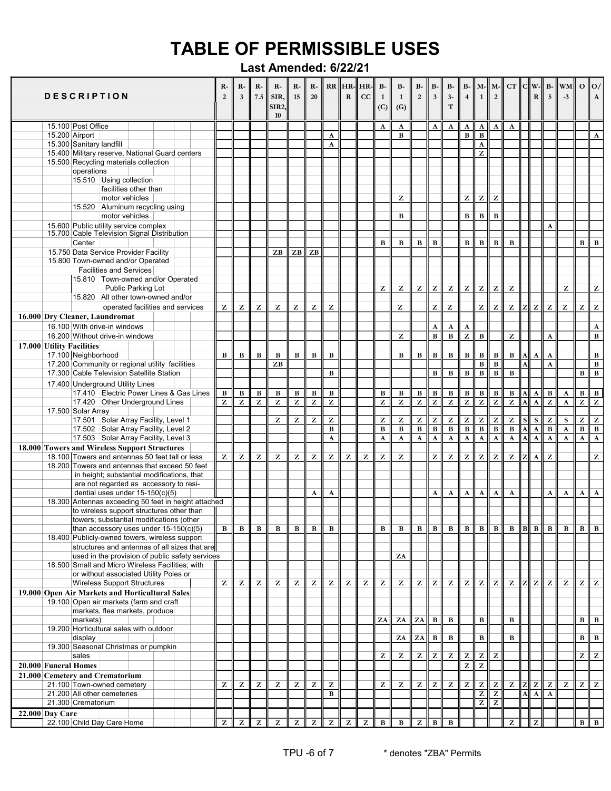| <b>DESCRIPTION</b>        |                          |                                                                                                     | $R-$<br>2 | $R-$<br>$\overline{3}$ | $R-$<br>7.5    | $R-$<br>SIR,<br>SIR <sub>2</sub><br>10 | $R-$<br>15     | $R - 1$<br>20  |                   | $\mathbf R$    | $RR$ $HR$ - $HR$ - $\frac{1}{2}$<br>cc | $B-$<br>1<br>(C)  | $B-$<br>$\mathbf{1}$<br>(G)  | $B-$<br>$\overline{2}$                                                           | $B-$<br>$\overline{\mathbf{3}}$ | <b>B-</b><br>$3 -$<br>$\mathbf T$                     | $B - M -$<br>$\overline{4}$ | $\overline{1}$                                                                                                                                                        | $M -$<br>$\overline{2}$                               | CT                           | C  w                         | ${\bf R}$                                          | 5                            | $B - \ WM\ $<br>$-3$         | $0$   $0$ /         | $\mathbf{A}$                              |
|---------------------------|--------------------------|-----------------------------------------------------------------------------------------------------|-----------|------------------------|----------------|----------------------------------------|----------------|----------------|-------------------|----------------|----------------------------------------|-------------------|------------------------------|----------------------------------------------------------------------------------|---------------------------------|-------------------------------------------------------|-----------------------------|-----------------------------------------------------------------------------------------------------------------------------------------------------------------------|-------------------------------------------------------|------------------------------|------------------------------|----------------------------------------------------|------------------------------|------------------------------|---------------------|-------------------------------------------|
|                           | 15.100 Post Office       |                                                                                                     |           |                        |                |                                        |                |                |                   |                |                                        | A                 | A                            |                                                                                  | A                               | A                                                     | A                           | A                                                                                                                                                                     | A                                                     | A                            |                              |                                                    |                              |                              |                     |                                           |
| 15.200 Airport            |                          |                                                                                                     |           |                        |                |                                        |                |                | A                 |                |                                        |                   | $\bf{B}$                     |                                                                                  |                                 |                                                       | $\, {\bf B}$                | $\, {\bf B}$                                                                                                                                                          |                                                       |                              |                              |                                                    |                              |                              |                     | A                                         |
|                           | 15.300 Sanitary landfill |                                                                                                     |           |                        |                |                                        |                |                | A                 |                |                                        |                   |                              |                                                                                  |                                 |                                                       |                             | $\mathbf{A}$                                                                                                                                                          |                                                       |                              |                              |                                                    |                              |                              |                     |                                           |
|                           |                          | 15.400 Military reserve, National Guard centers                                                     |           |                        |                |                                        |                |                |                   |                |                                        |                   |                              |                                                                                  |                                 |                                                       |                             | Z                                                                                                                                                                     |                                                       |                              |                              |                                                    |                              |                              |                     |                                           |
|                           |                          | 15.500 Recycling materials collection                                                               |           |                        |                |                                        |                |                |                   |                |                                        |                   |                              |                                                                                  |                                 |                                                       |                             |                                                                                                                                                                       |                                                       |                              |                              |                                                    |                              |                              |                     |                                           |
|                           | operations               |                                                                                                     |           |                        |                |                                        |                |                |                   |                |                                        |                   |                              |                                                                                  |                                 |                                                       |                             |                                                                                                                                                                       |                                                       |                              |                              |                                                    |                              |                              |                     |                                           |
|                           |                          | 15.510 Using collection<br>facilities other than                                                    |           |                        |                |                                        |                |                |                   |                |                                        |                   |                              |                                                                                  |                                 |                                                       |                             |                                                                                                                                                                       |                                                       |                              |                              |                                                    |                              |                              |                     |                                           |
|                           |                          | motor vehicles                                                                                      |           |                        |                |                                        |                |                |                   |                |                                        |                   | z                            |                                                                                  |                                 |                                                       | Z                           | $\mathbf{Z}% ^{T}=\mathbf{Z}^{T}\times\mathbf{Z}^{T}$                                                                                                                 | $\mathbf{Z}% ^{T}=\mathbf{Z}^{T}\times\mathbf{Z}^{T}$ |                              |                              |                                                    |                              |                              |                     |                                           |
|                           | 15.520                   | Aluminum recycling using                                                                            |           |                        |                |                                        |                |                |                   |                |                                        |                   |                              |                                                                                  |                                 |                                                       |                             |                                                                                                                                                                       |                                                       |                              |                              |                                                    |                              |                              |                     |                                           |
|                           |                          | motor vehicles                                                                                      |           |                        |                |                                        |                |                |                   |                |                                        |                   | $\bf{B}$                     |                                                                                  |                                 |                                                       | $\, {\bf B}$                | $\, {\bf B}$                                                                                                                                                          | B                                                     |                              |                              |                                                    |                              |                              |                     |                                           |
|                           |                          | 15.600 Public utility service complex                                                               |           |                        |                |                                        |                |                |                   |                |                                        |                   |                              |                                                                                  |                                 |                                                       |                             |                                                                                                                                                                       |                                                       |                              |                              |                                                    | $\mathbf{A}$                 |                              |                     |                                           |
|                           |                          | 15.700 Cable Television Signal Distribution                                                         |           |                        |                |                                        |                |                |                   |                |                                        |                   |                              |                                                                                  |                                 |                                                       |                             |                                                                                                                                                                       |                                                       |                              |                              |                                                    |                              |                              |                     |                                           |
|                           | Center                   | 15.750 Data Service Provider Facility                                                               |           |                        |                | ZB                                     |                | ZB             |                   |                |                                        | B                 | В                            | $\, {\bf B}$                                                                     | $\bf{B}$                        |                                                       | $\, {\bf B}$                | $\, {\bf B}$                                                                                                                                                          | $\, {\bf B}$                                          | $\, {\bf B}$                 |                              |                                                    |                              |                              | $\mathbf{B}$        | $\, {\bf B}$                              |
|                           |                          | 15.800 Town-owned and/or Operated                                                                   |           |                        |                |                                        | ZB             |                |                   |                |                                        |                   |                              |                                                                                  |                                 |                                                       |                             |                                                                                                                                                                       |                                                       |                              |                              |                                                    |                              |                              |                     |                                           |
|                           |                          | <b>Facilities and Services</b>                                                                      |           |                        |                |                                        |                |                |                   |                |                                        |                   |                              |                                                                                  |                                 |                                                       |                             |                                                                                                                                                                       |                                                       |                              |                              |                                                    |                              |                              |                     |                                           |
|                           |                          | 15.810 Town-owned and/or Operated                                                                   |           |                        |                |                                        |                |                |                   |                |                                        |                   |                              |                                                                                  |                                 |                                                       |                             |                                                                                                                                                                       |                                                       |                              |                              |                                                    |                              |                              |                     |                                           |
|                           |                          | <b>Public Parking Lot</b>                                                                           |           |                        |                |                                        |                |                |                   |                |                                        | z                 | z                            | $\bf{Z}$                                                                         | $\mathbf{Z}$                    | $\mathbf{Z}$                                          | $\mathbf{z}$                | $\mathbf{Z}% _{M_{1},M_{2}}^{\alpha,\beta}(\mathbf{Z}_{M_{1},M_{2}}^{\alpha,\beta}(\mathbf{Z}% _{M_{1},M_{2}}^{\beta,\beta}(\mathbf{Z}_{M_{1},M_{2}}^{\beta,\beta}))$ | Z                                                     | Z                            |                              |                                                    |                              | z                            |                     | $\mathbf{Z}$                              |
|                           |                          | 15.820 All other town-owned and/or                                                                  |           |                        |                |                                        |                |                |                   |                |                                        |                   |                              |                                                                                  |                                 |                                                       |                             |                                                                                                                                                                       |                                                       |                              |                              |                                                    |                              |                              |                     |                                           |
|                           |                          | operated facilities and services                                                                    | Z         | Z                      | Z              | z                                      | z              | z              | z                 |                |                                        |                   | Z                            |                                                                                  | $\mathbf{Z}$                    | ${\bf z}$                                             |                             | $\mathbf{Z}$                                                                                                                                                          | $\mathbf{Z}% ^{T}=\mathbf{Z}^{T}\times\mathbf{Z}^{T}$ | $\mathbf{Z}$                 | z                            | Z                                                  | z                            | Z                            | Z                   | $\mathbf{Z}$                              |
|                           |                          | 16.000 Dry Cleaner, Laundromat                                                                      |           |                        |                |                                        |                |                |                   |                |                                        |                   |                              |                                                                                  |                                 |                                                       |                             |                                                                                                                                                                       |                                                       |                              |                              |                                                    |                              |                              |                     |                                           |
|                           |                          | 16.100 With drive-in windows                                                                        |           |                        |                |                                        |                |                |                   |                |                                        |                   |                              |                                                                                  | $\boldsymbol{\rm A}$            | $\mathbf{A}$                                          | A                           |                                                                                                                                                                       |                                                       |                              |                              |                                                    |                              |                              |                     | $\boldsymbol{\rm A}$                      |
| 17.000 Utility Facilities |                          | 16.200 Without drive-in windows                                                                     |           |                        |                |                                        |                |                |                   |                |                                        |                   | ${\bf z}$                    |                                                                                  | $\bf{B}$                        | $\, {\bf B}$                                          | Z                           | $\, {\bf B}$                                                                                                                                                          |                                                       | z                            |                              |                                                    | A                            |                              |                     | $\, {\bf B}$                              |
|                           | 17.100 Neighborhood      |                                                                                                     | B         | $\, {\bf B}$           | $\, {\bf B}$   | B                                      | B              | $\, {\bf B}$   | $\, {\bf B}$      |                |                                        |                   | $\bf{B}$                     | $\, {\bf B}$                                                                     | $\, {\bf B}$                    | $\, {\bf B}$                                          | $\, {\bf B}$                | $\, {\bf B}$                                                                                                                                                          | В                                                     | $\, {\bf B}$                 | A                            | A                                                  | A                            |                              |                     | $\, {\bf B}$                              |
|                           |                          | 17.200 Community or regional utility facilities                                                     |           |                        |                | ZB                                     |                |                |                   |                |                                        |                   |                              |                                                                                  |                                 |                                                       |                             | $\, {\bf B}$                                                                                                                                                          | $\overline{B}$                                        |                              | A                            |                                                    | A                            |                              |                     | B                                         |
|                           |                          | 17.300 Cable Television Satellite Station                                                           |           |                        |                |                                        |                |                | B                 |                |                                        |                   |                              |                                                                                  | $\bf{B}$                        | B                                                     | $\, {\bf B}$                | $\overline{B}$                                                                                                                                                        | В                                                     | $\bf{B}$                     |                              |                                                    |                              |                              | B                   | $\, {\bf B}$                              |
|                           |                          | 17.400 Underground Utility Lines                                                                    |           |                        |                |                                        |                |                |                   |                |                                        |                   |                              |                                                                                  |                                 |                                                       |                             |                                                                                                                                                                       |                                                       |                              |                              |                                                    |                              |                              |                     |                                           |
|                           |                          | 17.410 Electric Power Lines & Gas Lines                                                             | B         | $\, {\bf B}$           | $\, {\bf B}$   | В                                      | $\, {\bf B}$   | В              | $\, {\bf B}$      |                |                                        | $\, {\bf B}$      | $\, {\bf B}$                 | $\, {\bf B}$                                                                     | $\, {\bf B}$                    | $\, {\bf B}$                                          | $\, {\bf B}$                | $\, {\bf B}$                                                                                                                                                          | В                                                     | В                            | Al                           | A                                                  | $\, {\bf B}$                 | A                            | B                   | $\, {\bf B}$                              |
|                           |                          | 17.420 Other Underground Lines                                                                      | z         | $\overline{z}$         | $\overline{z}$ | $\overline{z}$                         | $\overline{z}$ | $\overline{z}$ | $\overline{z}$    |                |                                        | $\overline{z}$    | $\overline{z}$               | $\overline{z}$                                                                   | $\overline{z}$                  | $\overline{z}$                                        | $\overline{z}$              | $\overline{z}$                                                                                                                                                        | $\overline{z}$                                        | $\overline{z}$               | $\overline{\mathbf{A}}$      | $\overline{\mathbf{A}}$                            | $\overline{z}$               | $\mathbf{A}$                 | $\overline{z}$      | $\overline{z}$                            |
|                           | 17.500 Solar Array       |                                                                                                     |           |                        |                |                                        |                |                |                   |                |                                        |                   |                              |                                                                                  |                                 |                                                       |                             |                                                                                                                                                                       |                                                       |                              |                              |                                                    |                              |                              |                     |                                           |
|                           |                          | 17.501 Solar Array Facility, Level 1<br>17.502 Solar Array Facility, Level 2                        |           |                        |                | z                                      | z              | z              | z<br>$\, {\bf B}$ |                |                                        | z<br>$\, {\bf B}$ | Z<br>$\overline{\mathbf{B}}$ | $\mathbf{Z}% ^{T}=\mathbf{Z}^{T}\times\mathbf{Z}^{T}$<br>$\overline{\mathbf{B}}$ | z<br>$\overline{B}$             | $\mathbf{Z}$<br>$\overline{\mathbf{B}}$               | z<br>$\overline{B}$         | $\overline{z}$<br>$\overline{B}$                                                                                                                                      | z<br>$\overline{B}$                                   | z<br>$\overline{\mathbf{B}}$ | <sub>S</sub><br>$\mathbf{A}$ | ${\bf S}$                                          | z<br>$\overline{\mathbf{B}}$ | S<br>$\overline{\mathbf{A}}$ | z<br>$\overline{B}$ | $\overline{z}$<br>$\overline{\mathbf{B}}$ |
|                           |                          | 17.503 Solar Array Facility, Level 3                                                                |           |                        |                |                                        |                |                | A                 |                |                                        | $\mathbf{A}$      | $\mathbf A$                  | $\mathbf A$                                                                      | $\overline{\mathbf{A}}$         | $\overline{\mathbf{A}}$                               | $\mathbf A$                 | $\overline{A}$                                                                                                                                                        | $\overline{\mathbf{A}}$                               | $\overline{\mathbf{A}}$      | $\overline{\mathbf{A}}$      | $\overline{\mathbf{A}}$<br>$\overline{\mathbf{A}}$ | $\boldsymbol{\rm A}$         | $\boldsymbol{\mathrm{A}}$    | A                   | $\overline{\mathbf{A}}$                   |
|                           |                          | 18.000 Towers and Wireless Support Structures                                                       |           |                        |                |                                        |                |                |                   |                |                                        |                   |                              |                                                                                  |                                 |                                                       |                             |                                                                                                                                                                       |                                                       |                              |                              |                                                    |                              |                              |                     |                                           |
|                           |                          | 18.100 Towers and antennas 50 feet tall or less                                                     | z         | Z                      | z              | Z                                      | Z              | z              | Z                 | z              | z                                      | z                 | z                            |                                                                                  | $\bf{z}$                        | $\mathbf{Z}% ^{T}=\mathbf{Z}^{T}\times\mathbf{Z}^{T}$ | z                           | $\mathbf{Z}% ^{T}=\mathbf{Z}^{T}\times\mathbf{Z}^{T}$                                                                                                                 | $\mathbf{Z}% ^{T}=\mathbf{Z}^{T}\times\mathbf{Z}^{T}$ | Z                            |                              | A                                                  | Z                            |                              |                     | $\mathbf{Z}$                              |
|                           |                          | 18,200 Towers and antennas that exceed 50 feet                                                      |           |                        |                |                                        |                |                |                   |                |                                        |                   |                              |                                                                                  |                                 |                                                       |                             |                                                                                                                                                                       |                                                       |                              |                              |                                                    |                              |                              |                     |                                           |
|                           |                          | in height; substantial modifications, that                                                          |           |                        |                |                                        |                |                |                   |                |                                        |                   |                              |                                                                                  |                                 |                                                       |                             |                                                                                                                                                                       |                                                       |                              |                              |                                                    |                              |                              |                     |                                           |
|                           |                          | are not regarded as accessory to resi-                                                              |           |                        |                |                                        |                |                |                   |                |                                        |                   |                              |                                                                                  |                                 |                                                       |                             |                                                                                                                                                                       |                                                       |                              |                              |                                                    |                              |                              |                     |                                           |
|                           |                          | dential uses under $15-150(c)(5)$<br>18.300 Antennas exceeding 50 feet in height attached           |           |                        |                |                                        |                | A              | A                 |                |                                        |                   |                              |                                                                                  | A                               | A                                                     | A                           | $\mathbf{A}$                                                                                                                                                          | A                                                     | $\mathbf{A}$                 |                              |                                                    | A                            | $\mathbf{A}$                 | $\mathbf{A}$        | $\mathbf A$                               |
|                           |                          | to wireless support structures other than                                                           |           |                        |                |                                        |                |                |                   |                |                                        |                   |                              |                                                                                  |                                 |                                                       |                             |                                                                                                                                                                       |                                                       |                              |                              |                                                    |                              |                              |                     |                                           |
|                           |                          | towers; substantial modifications (other                                                            |           |                        |                |                                        |                |                |                   |                |                                        |                   |                              |                                                                                  |                                 |                                                       |                             |                                                                                                                                                                       |                                                       |                              |                              |                                                    |                              |                              |                     |                                           |
|                           |                          | than accessory uses under $15-150(c)(5)$                                                            | в         | B                      | в              | в                                      | В              | в              | в                 |                |                                        | B                 | B                            | B                                                                                | B                               | B                                                     |                             | $B \parallel B \parallel$                                                                                                                                             | B I                                                   | B                            | $\ B\ B\ B\ $                |                                                    |                              | в                            |                     | B    B                                    |
|                           |                          | 18.400 Publicly-owned towers, wireless support                                                      |           |                        |                |                                        |                |                |                   |                |                                        |                   |                              |                                                                                  |                                 |                                                       |                             |                                                                                                                                                                       |                                                       |                              |                              |                                                    |                              |                              |                     |                                           |
|                           |                          | structures and antennas of all sizes that are                                                       |           |                        |                |                                        |                |                |                   |                |                                        |                   |                              |                                                                                  |                                 |                                                       |                             |                                                                                                                                                                       |                                                       |                              |                              |                                                    |                              |                              |                     |                                           |
|                           |                          | used in the provision of public safety services<br>18.500 Small and Micro Wireless Facilities; with |           |                        |                |                                        |                |                |                   |                |                                        |                   | ZA                           |                                                                                  |                                 |                                                       |                             |                                                                                                                                                                       |                                                       |                              |                              |                                                    |                              |                              |                     |                                           |
|                           |                          | or without associated Utility Poles or                                                              |           |                        |                |                                        |                |                |                   |                |                                        |                   |                              |                                                                                  |                                 |                                                       |                             |                                                                                                                                                                       |                                                       |                              |                              |                                                    |                              |                              |                     |                                           |
|                           |                          | <b>Wireless Support Structures</b>                                                                  | Z         | z                      | z              | Z                                      | Z              | z              | z                 | Z              | z                                      | z                 | z                            | Z                                                                                | Z                               | Z                                                     | z                           | $\overline{z}$                                                                                                                                                        | z                                                     | $\mathbf{Z}$                 |                              | Z                                                  | $Z \mid$                     | Z                            |                     | $\mathbf{Z} \parallel \mathbf{Z}$         |
|                           |                          | 19.000 Open Air Markets and Horticultural Sales                                                     |           |                        |                |                                        |                |                |                   |                |                                        |                   |                              |                                                                                  |                                 |                                                       |                             |                                                                                                                                                                       |                                                       |                              |                              |                                                    |                              |                              |                     |                                           |
|                           |                          | 19.100 Open air markets (farm and craft                                                             |           |                        |                |                                        |                |                |                   |                |                                        |                   |                              |                                                                                  |                                 |                                                       |                             |                                                                                                                                                                       |                                                       |                              |                              |                                                    |                              |                              |                     |                                           |
|                           |                          | markets, flea markets, produce                                                                      |           |                        |                |                                        |                |                |                   |                |                                        |                   |                              |                                                                                  |                                 |                                                       |                             |                                                                                                                                                                       |                                                       |                              |                              |                                                    |                              |                              |                     |                                           |
|                           | markets)                 | 19.200 Horticultural sales with outdoor                                                             |           |                        |                |                                        |                |                |                   |                |                                        | ZA                | ZA                           | ZA                                                                               | B                               | B                                                     |                             | $\, {\bf B}$                                                                                                                                                          |                                                       | $\, {\bf B}$                 |                              |                                                    |                              |                              | $B \parallel B$     |                                           |
|                           | display                  |                                                                                                     |           |                        |                |                                        |                |                |                   |                |                                        |                   | ZA                           | ZA                                                                               | $\, {\bf B}$                    | B                                                     |                             | $\, {\bf B}$                                                                                                                                                          |                                                       | B                            |                              |                                                    |                              |                              | $\mathbf{B}$        | $\, {\bf B} \,$                           |
|                           |                          | 19.300 Seasonal Christmas or pumpkin                                                                |           |                        |                |                                        |                |                |                   |                |                                        |                   |                              |                                                                                  |                                 |                                                       |                             |                                                                                                                                                                       |                                                       |                              |                              |                                                    |                              |                              |                     |                                           |
|                           | sales                    |                                                                                                     |           |                        |                |                                        |                |                |                   |                |                                        | z                 | z                            | $\mathbf{Z}$                                                                     | Z                               | z                                                     | z                           | $\mathbf{Z}$                                                                                                                                                          | z                                                     |                              |                              |                                                    |                              |                              |                     | $\mathbf{z} \mid \mathbf{z}$              |
| 20.000 Funeral Homes      |                          |                                                                                                     |           |                        |                |                                        |                |                |                   |                |                                        |                   |                              |                                                                                  |                                 |                                                       | Z                           | $\overline{z}$                                                                                                                                                        |                                                       |                              |                              |                                                    |                              |                              |                     |                                           |
|                           |                          | 21.000 Cemetery and Crematorium                                                                     |           |                        |                |                                        |                |                |                   |                |                                        |                   |                              |                                                                                  |                                 |                                                       |                             |                                                                                                                                                                       |                                                       |                              |                              |                                                    |                              |                              |                     |                                           |
|                           |                          | 21.100 Town-owned cemetery                                                                          | z         | z                      | z              | z                                      | z              | z              | z                 |                |                                        | z                 | z                            | Z                                                                                | Z                               | $\mathbf{Z}% ^{T}=\mathbf{Z}^{T}\times\mathbf{Z}^{T}$ | $\mathbf{Z}$                | z                                                                                                                                                                     | Z.                                                    | $\mathbf{Z}$                 |                              | $\mathbf{z}$                                       | Z                            | z                            | $Z \parallel$       | $\overline{z}$                            |
|                           |                          | 21.200 All other cemeteries                                                                         |           |                        |                |                                        |                |                | $\bf{B}$          |                |                                        |                   |                              |                                                                                  |                                 |                                                       |                             | $\overline{z}$<br>$\overline{z}$                                                                                                                                      | $\overline{z}$<br>Z                                   |                              | Al                           | $\mathbf A$                                        | $\mathbf{A}$                 |                              |                     |                                           |
| <b>22.000 Day Care</b>    | 21.300 Crematorium       |                                                                                                     |           |                        |                |                                        |                |                |                   |                |                                        |                   |                              |                                                                                  |                                 |                                                       |                             |                                                                                                                                                                       |                                                       |                              |                              |                                                    |                              |                              |                     |                                           |
|                           |                          | 22.100 Child Day Care Home                                                                          | Z         | z                      | Z              | $\overline{z}$                         | Z              | z              | Z                 | $\overline{z}$ | Z                                      | $\, {\bf B}$      | $\, {\bf B}$                 | $\overline{z}$                                                                   | $\overline{B}$                  | $\mathbf B$                                           |                             |                                                                                                                                                                       |                                                       | z                            |                              | $\overline{z}$                                     |                              |                              |                     | $B \parallel B$                           |
|                           |                          |                                                                                                     |           |                        |                |                                        |                |                |                   |                |                                        |                   |                              |                                                                                  |                                 |                                                       |                             |                                                                                                                                                                       |                                                       |                              |                              |                                                    |                              |                              |                     |                                           |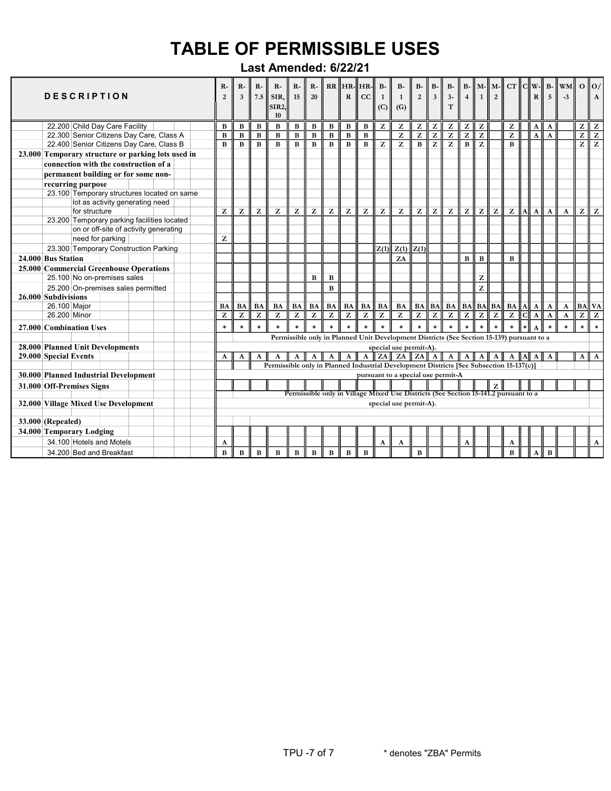| <b>DESCRIPTION</b>                                 | R-<br>$\overline{2}$ | $R-$<br>$\overline{\mathbf{3}}$ | R-<br>7.5    | R-<br>SIR,<br>SIR <sub>2</sub><br>10                                                    | $R-$<br>15     | $R-$<br>20     |                | $\mathbf{R}$   | $RR$ $HR$ - $HR$ -<br>cc | $B-$<br>$\mathbf{1}$<br>(C) | <b>B-</b><br>$\mathbf{1}$<br>(G)                                                          | <b>B-</b><br>$\overline{2}$                           | <b>B-</b><br>$\overline{\mathbf{3}}$ | <b>B-</b><br>$3-$<br>T                                | $B-$<br>$\overline{\mathbf{4}}$                       | $\mathbf{1}$   | $M$ - $\parallel$ M- $\parallel$<br>$\overline{2}$ | $CT$ $ C  W- $ |   | R            | $B-$<br>$\overline{\mathbf{5}}$ | <b>WM</b><br>$-3$ | $0 \parallel 0$                   | $\mathbf{A}$   |
|----------------------------------------------------|----------------------|---------------------------------|--------------|-----------------------------------------------------------------------------------------|----------------|----------------|----------------|----------------|--------------------------|-----------------------------|-------------------------------------------------------------------------------------------|-------------------------------------------------------|--------------------------------------|-------------------------------------------------------|-------------------------------------------------------|----------------|----------------------------------------------------|----------------|---|--------------|---------------------------------|-------------------|-----------------------------------|----------------|
| 22.200 Child Day Care Facility                     | B                    | $\, {\bf B}$                    | $\, {\bf B}$ | B                                                                                       | В              | B              | $\, {\bf B}$   | $\, {\bf B}$   | $\bf{B}$                 | Z                           | Z                                                                                         | $\mathbf{Z}$                                          | z                                    | Z                                                     | z                                                     | z              |                                                    | Z              |   | ${\bf A}$    | A                               |                   | z                                 | z              |
| 22.300 Senior Citizens Day Care, Class A           | $\bf{B}$             | $\, {\bf B}$                    | $\bf{B}$     | B                                                                                       | $\, {\bf B}$   | $\, {\bf B}$   | $\bf{B}$       | $\, {\bf B}$   | $\bf{B}$                 |                             | Z                                                                                         | $\mathbf{Z}% ^{T}=\mathbf{Z}^{T}\times\mathbf{Z}^{T}$ | $\overline{z}$                       | $\mathbf{Z}% ^{T}=\mathbf{Z}^{T}\times\mathbf{Z}^{T}$ | $\mathbf{Z}% ^{T}=\mathbf{Z}^{T}\times\mathbf{Z}^{T}$ | Z              |                                                    | $\mathbf{z}$   |   | $\mathbf{A}$ | A                               |                   | Z                                 | $\overline{z}$ |
| 22.400 Senior Citizens Day Care, Class B           | B                    | $\bf{B}$                        | $\bf{B}$     | B                                                                                       | $\bf{B}$       | $\bf{B}$       | $\bf{B}$       | $\bf{B}$       | $\mathbf{B}$             | z                           | $\overline{z}$                                                                            | $\bf{B}$                                              | $\overline{z}$                       | $\overline{z}$                                        | $\overline{B}$                                        | $\overline{z}$ |                                                    | $\bf{B}$       |   |              |                                 |                   | $\overline{z}$                    | $\overline{z}$ |
| 23.000 Temporary structure or parking lots used in |                      |                                 |              |                                                                                         |                |                |                |                |                          |                             |                                                                                           |                                                       |                                      |                                                       |                                                       |                |                                                    |                |   |              |                                 |                   |                                   |                |
| connection with the construction of a              |                      |                                 |              |                                                                                         |                |                |                |                |                          |                             |                                                                                           |                                                       |                                      |                                                       |                                                       |                |                                                    |                |   |              |                                 |                   |                                   |                |
| permanent building or for some non-                |                      |                                 |              |                                                                                         |                |                |                |                |                          |                             |                                                                                           |                                                       |                                      |                                                       |                                                       |                |                                                    |                |   |              |                                 |                   |                                   |                |
| recurring purpose                                  |                      |                                 |              |                                                                                         |                |                |                |                |                          |                             |                                                                                           |                                                       |                                      |                                                       |                                                       |                |                                                    |                |   |              |                                 |                   |                                   |                |
| 23.100 Temporary structures located on same        |                      |                                 |              |                                                                                         |                |                |                |                |                          |                             |                                                                                           |                                                       |                                      |                                                       |                                                       |                |                                                    |                |   |              |                                 |                   |                                   |                |
| lot as activity generating need                    |                      |                                 |              |                                                                                         |                |                |                |                |                          |                             |                                                                                           |                                                       |                                      |                                                       |                                                       |                |                                                    |                |   |              |                                 |                   |                                   |                |
| for structure                                      | z                    | z                               | Z            | z                                                                                       | z              | Z              | Z              | z              | z                        | z                           | Z                                                                                         | z                                                     | ${\bf z}$                            | z                                                     | $\mathbf{z}$                                          | z              | $\mathbf{Z}$                                       | $\mathbf{z}$   | A | $\mathbf{A}$ | $\mathbf{A}$                    | $\mathbf{A}$      | $\mathbf{Z} \parallel \mathbf{Z}$ |                |
| 23.200 Temporary parking facilities located        |                      |                                 |              |                                                                                         |                |                |                |                |                          |                             |                                                                                           |                                                       |                                      |                                                       |                                                       |                |                                                    |                |   |              |                                 |                   |                                   |                |
| on or off-site of activity generating              |                      |                                 |              |                                                                                         |                |                |                |                |                          |                             |                                                                                           |                                                       |                                      |                                                       |                                                       |                |                                                    |                |   |              |                                 |                   |                                   |                |
| need for parking                                   | z                    |                                 |              |                                                                                         |                |                |                |                |                          |                             |                                                                                           |                                                       |                                      |                                                       |                                                       |                |                                                    |                |   |              |                                 |                   |                                   |                |
| 23.300 Temporary Construction Parking              |                      |                                 |              |                                                                                         |                |                |                |                |                          |                             | $\overline{Z(1)}$ $Z(1)$                                                                  | Z(1)                                                  |                                      |                                                       |                                                       |                |                                                    |                |   |              |                                 |                   |                                   |                |
| 24.000 Bus Station                                 |                      |                                 |              |                                                                                         |                |                |                |                |                          |                             | ZA                                                                                        |                                                       |                                      |                                                       | $\, {\bf B}$                                          | $\, {\bf B}$   |                                                    | $\bf{B}$       |   |              |                                 |                   |                                   |                |
| 25.000 Commercial Greenhouse Operations            |                      |                                 |              |                                                                                         |                |                |                |                |                          |                             |                                                                                           |                                                       |                                      |                                                       |                                                       |                |                                                    |                |   |              |                                 |                   |                                   |                |
| 25.100 No on-premises sales                        |                      |                                 |              |                                                                                         |                | B              | B              |                |                          |                             |                                                                                           |                                                       |                                      |                                                       |                                                       | z              |                                                    |                |   |              |                                 |                   |                                   |                |
| 25.200 On-premises sales permitted                 |                      |                                 |              |                                                                                         |                |                | $\bf{B}$       |                |                          |                             |                                                                                           |                                                       |                                      |                                                       |                                                       | z              |                                                    |                |   |              |                                 |                   |                                   |                |
| 26.000 Subdivisions                                |                      |                                 |              |                                                                                         |                |                |                |                |                          |                             |                                                                                           |                                                       |                                      |                                                       |                                                       |                |                                                    |                |   |              |                                 |                   |                                   |                |
| 26.100 Major                                       | <b>BA</b>            | BA                              | <b>BA</b>    | <b>BA</b>                                                                               | BA             | BA             | BA             | BA             | <b>BA</b>                | <b>BA</b>                   | BA                                                                                        |                                                       |                                      | $BA \  BA \  BA \  BA \  BA \  BA$                    |                                                       |                |                                                    | <b>BA</b> A    |   | $\mathbf{A}$ | A                               | $\mathbf{A}$      | $BA$ VA                           |                |
| 26.200 Minor                                       | Z                    | Z                               | Z            | Z                                                                                       | $\overline{z}$ | $\overline{z}$ | $\overline{z}$ | $\overline{z}$ | z                        | Z                           | Z                                                                                         | $\overline{z}$                                        | $\overline{z}$                       | $\overline{z}$                                        | $\overline{z}$                                        | $\overline{z}$ | $\overline{z}$                                     | $\overline{z}$ | 데 | $\Lambda$    | $\mathbf{A}$                    | $\mathbf A$       | $\overline{z}$                    | $\sqrt{z}$     |
| 27.000 Combination Uses                            | $\ast$               | $\ast$                          | $\ast$       | $\ast$                                                                                  | $\ast$         | $\ast$         | $\ast$         | $\ast$         | $\ast$                   | $\ast$                      | $\ast$                                                                                    | $\ast$                                                | $\ast$                               | $\ast$                                                | $\ast$                                                | $\ast$         | $\ast$                                             | $\ast$         |   |              |                                 | ÷.                | $\ast$                            | $\ast$         |
|                                                    |                      |                                 |              |                                                                                         |                |                |                |                |                          |                             | Permissible only in Planned Unit Development Districts (See Section 15-139) pursuant to a |                                                       |                                      |                                                       |                                                       |                |                                                    |                |   |              |                                 |                   |                                   |                |
| <b>28.000 Planned Unit Developments</b>            |                      |                                 |              |                                                                                         |                |                |                |                |                          |                             | special use permit-A).                                                                    |                                                       |                                      |                                                       |                                                       |                |                                                    |                |   |              |                                 |                   |                                   |                |
| 29.000 Special Events                              | A                    | A                               | A            | A                                                                                       | $\mathbf{A}$   | $\mathbf{A}$   | A              | $\mathbf{A}$   |                          |                             | A ZA ZA ZA A A A                                                                          |                                                       |                                      |                                                       | A                                                     |                | $A \parallel A$                                    |                |   | A IAI A      | A                               |                   | $A \parallel A$                   |                |
|                                                    |                      |                                 |              | Permissible only in Planned Industrial Development Districts [See Subsection 15-137(c)] |                |                |                |                |                          |                             |                                                                                           |                                                       |                                      |                                                       |                                                       |                |                                                    |                |   |              |                                 |                   |                                   |                |
| 30.000 Planned Industrial Development              |                      |                                 |              |                                                                                         |                |                |                |                |                          |                             | pursuant to a special use permit-A                                                        |                                                       |                                      |                                                       |                                                       |                |                                                    |                |   |              |                                 |                   |                                   |                |
| 31.000 Off-Premises Signs                          |                      |                                 |              |                                                                                         |                |                |                |                |                          |                             | Permissible only in Village Mixed Use Districts (See Section 15-141.2 pursuant to a       |                                                       |                                      |                                                       |                                                       |                | z                                                  |                |   |              |                                 |                   |                                   |                |
| 32.000 Village Mixed Use Development               |                      |                                 |              |                                                                                         |                |                |                |                |                          |                             | special use permit-A).                                                                    |                                                       |                                      |                                                       |                                                       |                |                                                    |                |   |              |                                 |                   |                                   |                |
|                                                    |                      |                                 |              |                                                                                         |                |                |                |                |                          |                             |                                                                                           |                                                       |                                      |                                                       |                                                       |                |                                                    |                |   |              |                                 |                   |                                   |                |
| 33.000 (Repealed)                                  |                      |                                 |              |                                                                                         |                |                |                |                |                          |                             |                                                                                           |                                                       |                                      |                                                       |                                                       |                |                                                    |                |   |              |                                 |                   |                                   |                |
| 34.000 Temporary Lodging                           |                      |                                 |              |                                                                                         |                |                |                |                |                          |                             |                                                                                           |                                                       |                                      |                                                       |                                                       |                |                                                    |                |   |              |                                 |                   |                                   |                |
| 34.100 Hotels and Motels                           | A                    |                                 |              |                                                                                         |                |                |                |                |                          | A                           | $\mathbf A$                                                                               |                                                       |                                      |                                                       | A                                                     |                |                                                    | A              |   |              |                                 |                   |                                   | $\mathbf A$    |
| 34.200 Bed and Breakfast                           | B                    | $\bf{B}$                        | $\bf{B}$     | B                                                                                       | В              | B              | B              | B              | B                        |                             |                                                                                           | B                                                     |                                      |                                                       |                                                       |                |                                                    | $\, {\bf B}$   |   | A            | $\bf{B}$                        |                   |                                   |                |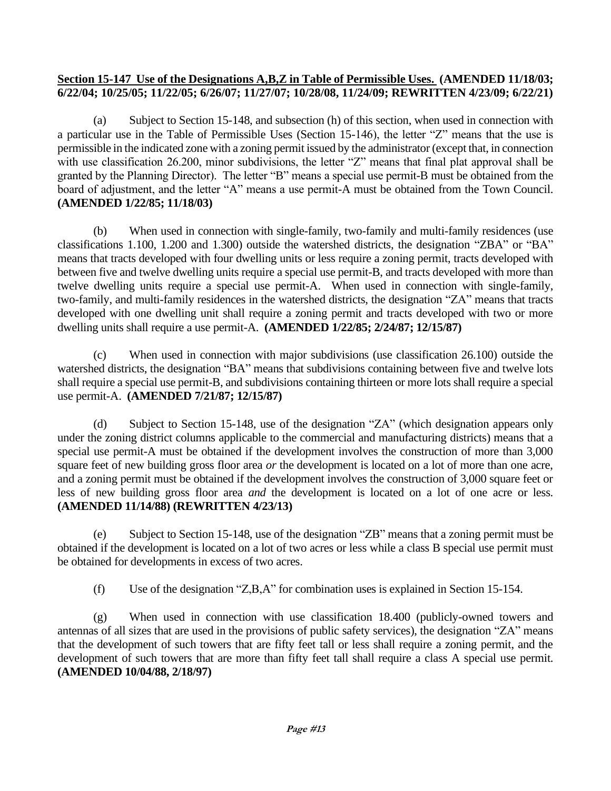### **Section 15-147 Use of the Designations A,B,Z in Table of Permissible Uses. (AMENDED 11/18/03; 6/22/04; 10/25/05; 11/22/05; 6/26/07; 11/27/07; 10/28/08, 11/24/09; REWRITTEN 4/23/09; 6/22/21)**

(a) Subject to Section 15-148, and subsection (h) of this section, when used in connection with a particular use in the Table of Permissible Uses (Section 15-146), the letter "Z" means that the use is permissible in the indicated zone with a zoning permit issued by the administrator (except that, in connection with use classification 26.200, minor subdivisions, the letter "Z" means that final plat approval shall be granted by the Planning Director). The letter "B" means a special use permit-B must be obtained from the board of adjustment, and the letter "A" means a use permit-A must be obtained from the Town Council. **(AMENDED 1/22/85; 11/18/03)**

(b) When used in connection with single-family, two-family and multi-family residences (use classifications 1.100, 1.200 and 1.300) outside the watershed districts, the designation "ZBA" or "BA" means that tracts developed with four dwelling units or less require a zoning permit, tracts developed with between five and twelve dwelling units require a special use permit-B, and tracts developed with more than twelve dwelling units require a special use permit-A. When used in connection with single-family, two-family, and multi-family residences in the watershed districts, the designation "ZA" means that tracts developed with one dwelling unit shall require a zoning permit and tracts developed with two or more dwelling units shall require a use permit-A. **(AMENDED 1/22/85; 2/24/87; 12/15/87)**

(c) When used in connection with major subdivisions (use classification 26.100) outside the watershed districts, the designation "BA" means that subdivisions containing between five and twelve lots shall require a special use permit-B, and subdivisions containing thirteen or more lots shall require a special use permit-A. **(AMENDED 7/21/87; 12/15/87)**

(d) Subject to Section 15-148, use of the designation "ZA" (which designation appears only under the zoning district columns applicable to the commercial and manufacturing districts) means that a special use permit-A must be obtained if the development involves the construction of more than 3,000 square feet of new building gross floor area *or* the development is located on a lot of more than one acre, and a zoning permit must be obtained if the development involves the construction of 3,000 square feet or less of new building gross floor area *and* the development is located on a lot of one acre or less. **(AMENDED 11/14/88) (REWRITTEN 4/23/13)**

(e) Subject to Section 15-148, use of the designation "ZB" means that a zoning permit must be obtained if the development is located on a lot of two acres or less while a class B special use permit must be obtained for developments in excess of two acres.

(f) Use of the designation "Z,B,A" for combination uses is explained in Section 15-154.

(g) When used in connection with use classification 18.400 (publicly-owned towers and antennas of all sizes that are used in the provisions of public safety services), the designation "ZA" means that the development of such towers that are fifty feet tall or less shall require a zoning permit, and the development of such towers that are more than fifty feet tall shall require a class A special use permit. **(AMENDED 10/04/88, 2/18/97)**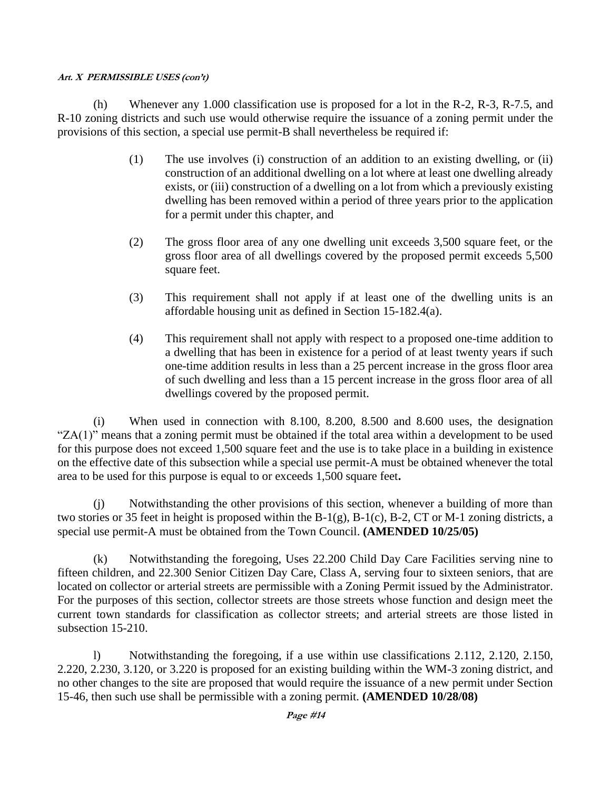(h) Whenever any 1.000 classification use is proposed for a lot in the R-2, R-3, R-7.5, and R-10 zoning districts and such use would otherwise require the issuance of a zoning permit under the provisions of this section, a special use permit-B shall nevertheless be required if:

- (1) The use involves (i) construction of an addition to an existing dwelling, or (ii) construction of an additional dwelling on a lot where at least one dwelling already exists, or (iii) construction of a dwelling on a lot from which a previously existing dwelling has been removed within a period of three years prior to the application for a permit under this chapter, and
- (2) The gross floor area of any one dwelling unit exceeds 3,500 square feet, or the gross floor area of all dwellings covered by the proposed permit exceeds 5,500 square feet.
- (3) This requirement shall not apply if at least one of the dwelling units is an affordable housing unit as defined in Section 15-182.4(a).
- (4) This requirement shall not apply with respect to a proposed one-time addition to a dwelling that has been in existence for a period of at least twenty years if such one-time addition results in less than a 25 percent increase in the gross floor area of such dwelling and less than a 15 percent increase in the gross floor area of all dwellings covered by the proposed permit.

(i) When used in connection with 8.100, 8.200, 8.500 and 8.600 uses, the designation "ZA(1)" means that a zoning permit must be obtained if the total area within a development to be used for this purpose does not exceed 1,500 square feet and the use is to take place in a building in existence on the effective date of this subsection while a special use permit-A must be obtained whenever the total area to be used for this purpose is equal to or exceeds 1,500 square feet**.** 

(j) Notwithstanding the other provisions of this section, whenever a building of more than two stories or 35 feet in height is proposed within the B-1(g), B-1(c), B-2, CT or M-1 zoning districts, a special use permit-A must be obtained from the Town Council. **(AMENDED 10/25/05)**

(k) Notwithstanding the foregoing, Uses 22.200 Child Day Care Facilities serving nine to fifteen children, and 22.300 Senior Citizen Day Care, Class A, serving four to sixteen seniors, that are located on collector or arterial streets are permissible with a Zoning Permit issued by the Administrator. For the purposes of this section, collector streets are those streets whose function and design meet the current town standards for classification as collector streets; and arterial streets are those listed in subsection 15-210.

l) Notwithstanding the foregoing, if a use within use classifications 2.112, 2.120, 2.150, 2.220, 2.230, 3.120, or 3.220 is proposed for an existing building within the WM-3 zoning district, and no other changes to the site are proposed that would require the issuance of a new permit under Section 15-46, then such use shall be permissible with a zoning permit. **(AMENDED 10/28/08)**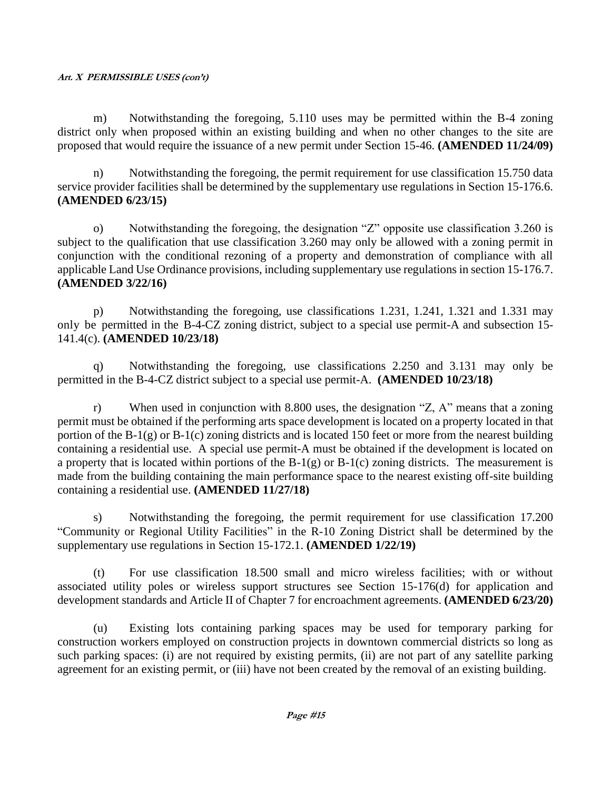m) Notwithstanding the foregoing, 5.110 uses may be permitted within the B-4 zoning district only when proposed within an existing building and when no other changes to the site are proposed that would require the issuance of a new permit under Section 15-46. **(AMENDED 11/24/09)**

n) Notwithstanding the foregoing, the permit requirement for use classification 15.750 data service provider facilities shall be determined by the supplementary use regulations in Section 15-176.6. **(AMENDED 6/23/15)**

o) Notwithstanding the foregoing, the designation "Z" opposite use classification 3.260 is subject to the qualification that use classification 3.260 may only be allowed with a zoning permit in conjunction with the conditional rezoning of a property and demonstration of compliance with all applicable Land Use Ordinance provisions, including supplementary use regulations in section 15-176.7. **(AMENDED 3/22/16)**

p) Notwithstanding the foregoing, use classifications 1.231, 1.241, 1.321 and 1.331 may only be permitted in the B-4-CZ zoning district, subject to a special use permit-A and subsection 15- 141.4(c). **(AMENDED 10/23/18)**

q) Notwithstanding the foregoing, use classifications 2.250 and 3.131 may only be permitted in the B-4-CZ district subject to a special use permit-A. **(AMENDED 10/23/18)**

r) When used in conjunction with 8.800 uses, the designation "Z, A" means that a zoning permit must be obtained if the performing arts space development is located on a property located in that portion of the B-1(g) or B-1(c) zoning districts and is located 150 feet or more from the nearest building containing a residential use. A special use permit-A must be obtained if the development is located on a property that is located within portions of the  $B-1(g)$  or  $B-1(c)$  zoning districts. The measurement is made from the building containing the main performance space to the nearest existing off-site building containing a residential use. **(AMENDED 11/27/18)**

s) Notwithstanding the foregoing, the permit requirement for use classification 17.200 "Community or Regional Utility Facilities" in the R-10 Zoning District shall be determined by the supplementary use regulations in Section 15-172.1. **(AMENDED 1/22/19)**

(t) For use classification 18.500 small and micro wireless facilities; with or without associated utility poles or wireless support structures see Section 15-176(d) for application and development standards and Article II of Chapter 7 for encroachment agreements. **(AMENDED 6/23/20)**

(u) Existing lots containing parking spaces may be used for temporary parking for construction workers employed on construction projects in downtown commercial districts so long as such parking spaces: (i) are not required by existing permits, (ii) are not part of any satellite parking agreement for an existing permit, or (iii) have not been created by the removal of an existing building.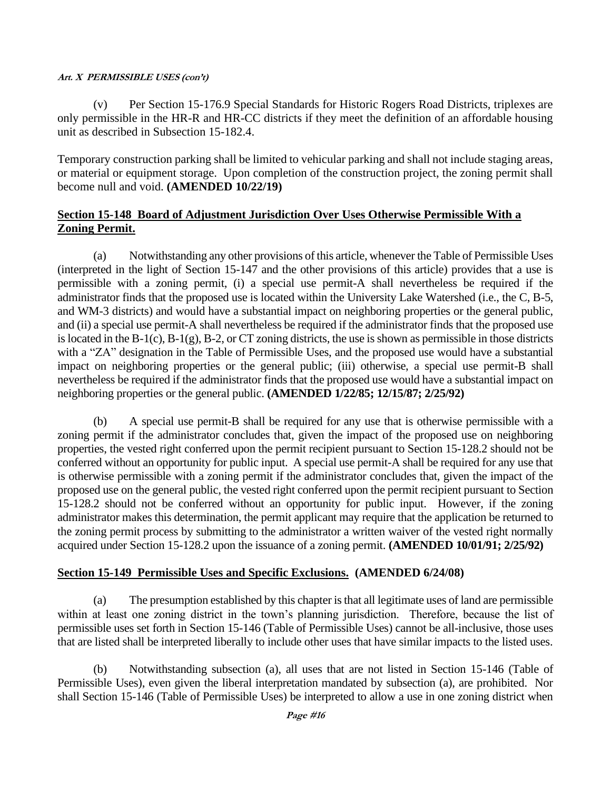(v) Per Section 15-176.9 Special Standards for Historic Rogers Road Districts, triplexes are only permissible in the HR-R and HR-CC districts if they meet the definition of an affordable housing unit as described in Subsection 15-182.4.

Temporary construction parking shall be limited to vehicular parking and shall not include staging areas, or material or equipment storage. Upon completion of the construction project, the zoning permit shall become null and void. **(AMENDED 10/22/19)**

## **Section 15-148 Board of Adjustment Jurisdiction Over Uses Otherwise Permissible With a Zoning Permit.**

(a) Notwithstanding any other provisions of this article, whenever the Table of Permissible Uses (interpreted in the light of Section 15-147 and the other provisions of this article) provides that a use is permissible with a zoning permit, (i) a special use permit-A shall nevertheless be required if the administrator finds that the proposed use is located within the University Lake Watershed (i.e., the C, B-5, and WM-3 districts) and would have a substantial impact on neighboring properties or the general public, and (ii) a special use permit-A shall nevertheless be required if the administrator finds that the proposed use is located in the B-1(c), B-1(g), B-2, or CT zoning districts, the use is shown as permissible in those districts with a "ZA" designation in the Table of Permissible Uses, and the proposed use would have a substantial impact on neighboring properties or the general public; (iii) otherwise, a special use permit-B shall nevertheless be required if the administrator finds that the proposed use would have a substantial impact on neighboring properties or the general public. **(AMENDED 1/22/85; 12/15/87; 2/25/92)**

(b) A special use permit-B shall be required for any use that is otherwise permissible with a zoning permit if the administrator concludes that, given the impact of the proposed use on neighboring properties, the vested right conferred upon the permit recipient pursuant to Section 15-128.2 should not be conferred without an opportunity for public input. A special use permit-A shall be required for any use that is otherwise permissible with a zoning permit if the administrator concludes that, given the impact of the proposed use on the general public, the vested right conferred upon the permit recipient pursuant to Section 15-128.2 should not be conferred without an opportunity for public input. However, if the zoning administrator makes this determination, the permit applicant may require that the application be returned to the zoning permit process by submitting to the administrator a written waiver of the vested right normally acquired under Section 15-128.2 upon the issuance of a zoning permit. **(AMENDED 10/01/91; 2/25/92)**

## **Section 15-149 Permissible Uses and Specific Exclusions. (AMENDED 6/24/08)**

(a) The presumption established by this chapter is that all legitimate uses of land are permissible within at least one zoning district in the town's planning jurisdiction. Therefore, because the list of permissible uses set forth in Section 15-146 (Table of Permissible Uses) cannot be all-inclusive, those uses that are listed shall be interpreted liberally to include other uses that have similar impacts to the listed uses.

(b) Notwithstanding subsection (a), all uses that are not listed in Section 15-146 (Table of Permissible Uses), even given the liberal interpretation mandated by subsection (a), are prohibited. Nor shall Section 15-146 (Table of Permissible Uses) be interpreted to allow a use in one zoning district when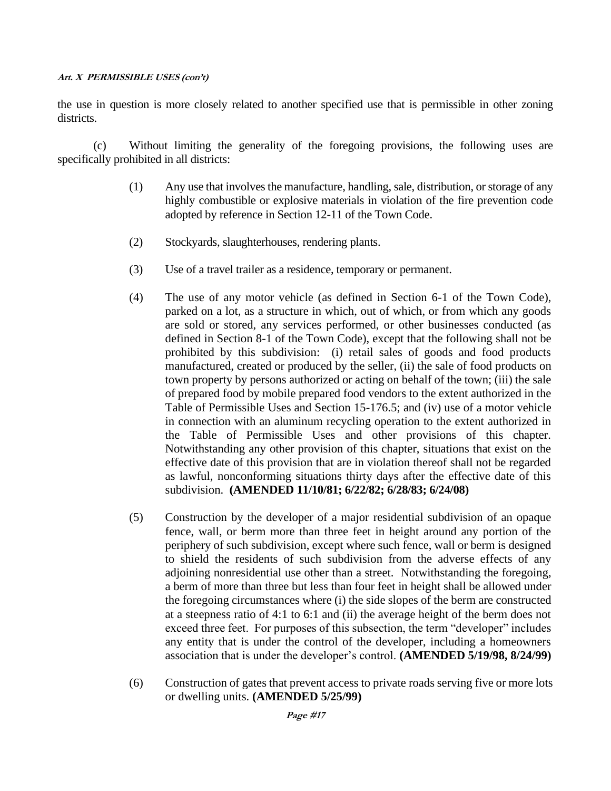the use in question is more closely related to another specified use that is permissible in other zoning districts.

(c) Without limiting the generality of the foregoing provisions, the following uses are specifically prohibited in all districts:

- (1) Any use that involves the manufacture, handling, sale, distribution, or storage of any highly combustible or explosive materials in violation of the fire prevention code adopted by reference in Section 12-11 of the Town Code.
- (2) Stockyards, slaughterhouses, rendering plants.
- (3) Use of a travel trailer as a residence, temporary or permanent.
- (4) The use of any motor vehicle (as defined in Section 6-1 of the Town Code), parked on a lot, as a structure in which, out of which, or from which any goods are sold or stored, any services performed, or other businesses conducted (as defined in Section 8-1 of the Town Code), except that the following shall not be prohibited by this subdivision: (i) retail sales of goods and food products manufactured, created or produced by the seller, (ii) the sale of food products on town property by persons authorized or acting on behalf of the town; (iii) the sale of prepared food by mobile prepared food vendors to the extent authorized in the Table of Permissible Uses and Section 15-176.5; and (iv) use of a motor vehicle in connection with an aluminum recycling operation to the extent authorized in the Table of Permissible Uses and other provisions of this chapter. Notwithstanding any other provision of this chapter, situations that exist on the effective date of this provision that are in violation thereof shall not be regarded as lawful, nonconforming situations thirty days after the effective date of this subdivision. **(AMENDED 11/10/81; 6/22/82; 6/28/83; 6/24/08)**
- (5) Construction by the developer of a major residential subdivision of an opaque fence, wall, or berm more than three feet in height around any portion of the periphery of such subdivision, except where such fence, wall or berm is designed to shield the residents of such subdivision from the adverse effects of any adjoining nonresidential use other than a street. Notwithstanding the foregoing, a berm of more than three but less than four feet in height shall be allowed under the foregoing circumstances where (i) the side slopes of the berm are constructed at a steepness ratio of 4:1 to 6:1 and (ii) the average height of the berm does not exceed three feet. For purposes of this subsection, the term "developer" includes any entity that is under the control of the developer, including a homeowners association that is under the developer's control. **(AMENDED 5/19/98, 8/24/99)**
- (6) Construction of gates that prevent access to private roads serving five or more lots or dwelling units. **(AMENDED 5/25/99)**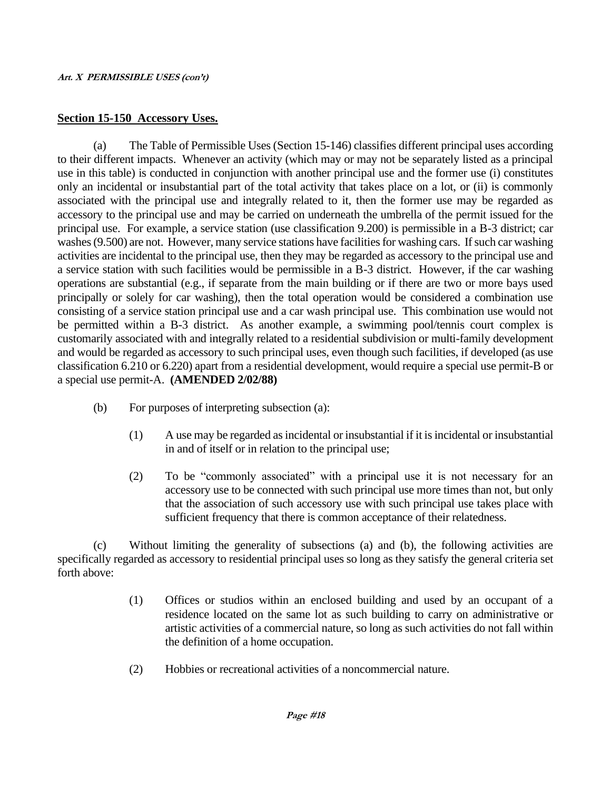### **Section 15-150 Accessory Uses.**

(a) The Table of Permissible Uses (Section 15-146) classifies different principal uses according to their different impacts. Whenever an activity (which may or may not be separately listed as a principal use in this table) is conducted in conjunction with another principal use and the former use (i) constitutes only an incidental or insubstantial part of the total activity that takes place on a lot, or (ii) is commonly associated with the principal use and integrally related to it, then the former use may be regarded as accessory to the principal use and may be carried on underneath the umbrella of the permit issued for the principal use. For example, a service station (use classification 9.200) is permissible in a B-3 district; car washes (9.500) are not. However, many service stations have facilities for washing cars. If such car washing activities are incidental to the principal use, then they may be regarded as accessory to the principal use and a service station with such facilities would be permissible in a B-3 district. However, if the car washing operations are substantial (e.g., if separate from the main building or if there are two or more bays used principally or solely for car washing), then the total operation would be considered a combination use consisting of a service station principal use and a car wash principal use. This combination use would not be permitted within a B-3 district. As another example, a swimming pool/tennis court complex is customarily associated with and integrally related to a residential subdivision or multi-family development and would be regarded as accessory to such principal uses, even though such facilities, if developed (as use classification 6.210 or 6.220) apart from a residential development, would require a special use permit-B or a special use permit-A. **(AMENDED 2/02/88)**

- (b) For purposes of interpreting subsection (a):
	- (1) A use may be regarded as incidental or insubstantial if it is incidental or insubstantial in and of itself or in relation to the principal use;
	- (2) To be "commonly associated" with a principal use it is not necessary for an accessory use to be connected with such principal use more times than not, but only that the association of such accessory use with such principal use takes place with sufficient frequency that there is common acceptance of their relatedness.

(c) Without limiting the generality of subsections (a) and (b), the following activities are specifically regarded as accessory to residential principal uses so long as they satisfy the general criteria set forth above:

- (1) Offices or studios within an enclosed building and used by an occupant of a residence located on the same lot as such building to carry on administrative or artistic activities of a commercial nature, so long as such activities do not fall within the definition of a home occupation.
- (2) Hobbies or recreational activities of a noncommercial nature.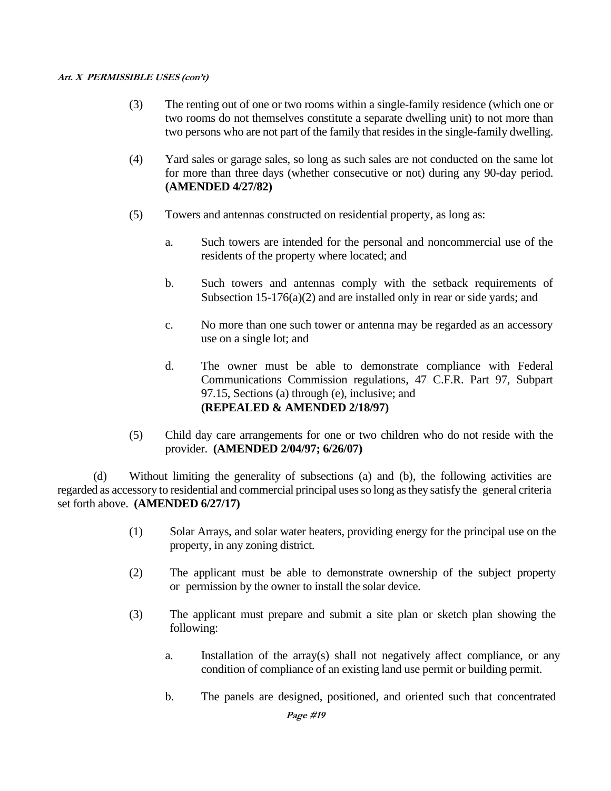- (3) The renting out of one or two rooms within a single-family residence (which one or two rooms do not themselves constitute a separate dwelling unit) to not more than two persons who are not part of the family that resides in the single-family dwelling.
- (4) Yard sales or garage sales, so long as such sales are not conducted on the same lot for more than three days (whether consecutive or not) during any 90-day period. **(AMENDED 4/27/82)**
- (5) Towers and antennas constructed on residential property, as long as:
	- a. Such towers are intended for the personal and noncommercial use of the residents of the property where located; and
	- b. Such towers and antennas comply with the setback requirements of Subsection  $15-176(a)(2)$  and are installed only in rear or side yards; and
	- c. No more than one such tower or antenna may be regarded as an accessory use on a single lot; and
	- d. The owner must be able to demonstrate compliance with Federal Communications Commission regulations, 47 C.F.R. Part 97, Subpart 97.15, Sections (a) through (e), inclusive; and **(REPEALED & AMENDED 2/18/97)**
- (5) Child day care arrangements for one or two children who do not reside with the provider. **(AMENDED 2/04/97; 6/26/07)**

(d) Without limiting the generality of subsections (a) and (b), the following activities are regarded as accessory to residential and commercial principal usesso long asthey satisfy the general criteria set forth above. **(AMENDED 6/27/17)**

- (1) Solar Arrays, and solar water heaters, providing energy for the principal use on the property, in any zoning district.
- (2) The applicant must be able to demonstrate ownership of the subject property or permission by the owner to install the solar device.
- (3) The applicant must prepare and submit a site plan or sketch plan showing the following:
	- a. Installation of the array(s) shall not negatively affect compliance, or any condition of compliance of an existing land use permit or building permit.
	- b. The panels are designed, positioned, and oriented such that concentrated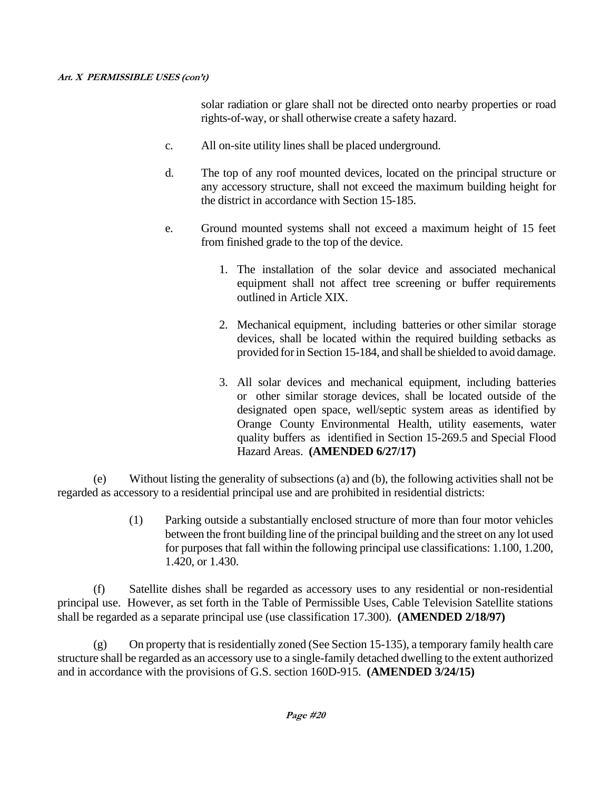solar radiation or glare shall not be directed onto nearby properties or road rights-of-way, or shall otherwise create a safety hazard.

- c. All on-site utility lines shall be placed underground.
- d. The top of any roof mounted devices, located on the principal structure or any accessory structure, shall not exceed the maximum building height for the district in accordance with Section 15-185.
- e. Ground mounted systems shall not exceed a maximum height of 15 feet from finished grade to the top of the device.
	- 1. The installation of the solar device and associated mechanical equipment shall not affect tree screening or buffer requirements outlined in Article XIX.
	- 2. Mechanical equipment, including batteries or other similar storage devices, shall be located within the required building setbacks as provided forin Section 15-184, and shall be shielded to avoid damage.
	- 3. All solar devices and mechanical equipment, including batteries or other similar storage devices, shall be located outside of the designated open space, well/septic system areas as identified by Orange County Environmental Health, utility easements, water quality buffers as identified in Section 15-269.5 and Special Flood Hazard Areas. **(AMENDED 6/27/17)**

(e) Without listing the generality of subsections (a) and (b), the following activities shall not be regarded as accessory to a residential principal use and are prohibited in residential districts:

> (1) Parking outside a substantially enclosed structure of more than four motor vehicles between the front building line of the principal building and the street on any lot used for purposes that fall within the following principal use classifications: 1.100, 1.200, 1.420, or 1.430.

(f) Satellite dishes shall be regarded as accessory uses to any residential or non-residential principal use. However, as set forth in the Table of Permissible Uses, Cable Television Satellite stations shall be regarded as a separate principal use (use classification 17.300). **(AMENDED 2/18/97)**

(g) On property that is residentially zoned (See Section 15-135), a temporary family health care structure shall be regarded as an accessory use to a single-family detached dwelling to the extent authorized and in accordance with the provisions of G.S. section 160D-915. **(AMENDED 3/24/15)**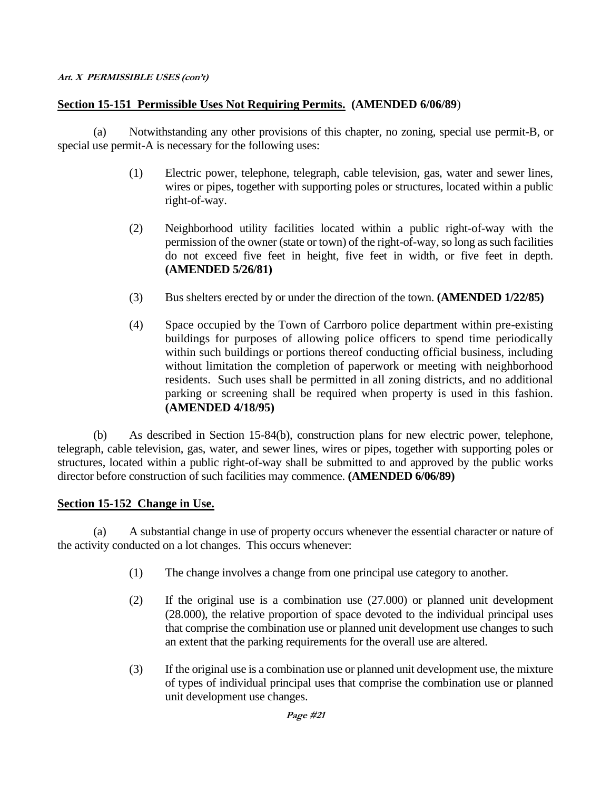## **Section 15-151 Permissible Uses Not Requiring Permits. (AMENDED 6/06/89**)

(a) Notwithstanding any other provisions of this chapter, no zoning, special use permit-B, or special use permit-A is necessary for the following uses:

- (1) Electric power, telephone, telegraph, cable television, gas, water and sewer lines, wires or pipes, together with supporting poles or structures, located within a public right-of-way.
- (2) Neighborhood utility facilities located within a public right-of-way with the permission of the owner (state or town) of the right-of-way, so long as such facilities do not exceed five feet in height, five feet in width, or five feet in depth. **(AMENDED 5/26/81)**
- (3) Bus shelters erected by or under the direction of the town. **(AMENDED 1/22/85)**
- (4) Space occupied by the Town of Carrboro police department within pre-existing buildings for purposes of allowing police officers to spend time periodically within such buildings or portions thereof conducting official business, including without limitation the completion of paperwork or meeting with neighborhood residents. Such uses shall be permitted in all zoning districts, and no additional parking or screening shall be required when property is used in this fashion. **(AMENDED 4/18/95)**

(b) As described in Section 15-84(b), construction plans for new electric power, telephone, telegraph, cable television, gas, water, and sewer lines, wires or pipes, together with supporting poles or structures, located within a public right-of-way shall be submitted to and approved by the public works director before construction of such facilities may commence. **(AMENDED 6/06/89)**

### **Section 15-152 Change in Use.**

(a) A substantial change in use of property occurs whenever the essential character or nature of the activity conducted on a lot changes. This occurs whenever:

- (1) The change involves a change from one principal use category to another.
- (2) If the original use is a combination use (27.000) or planned unit development (28.000), the relative proportion of space devoted to the individual principal uses that comprise the combination use or planned unit development use changes to such an extent that the parking requirements for the overall use are altered.
- (3) If the original use is a combination use or planned unit development use, the mixture of types of individual principal uses that comprise the combination use or planned unit development use changes.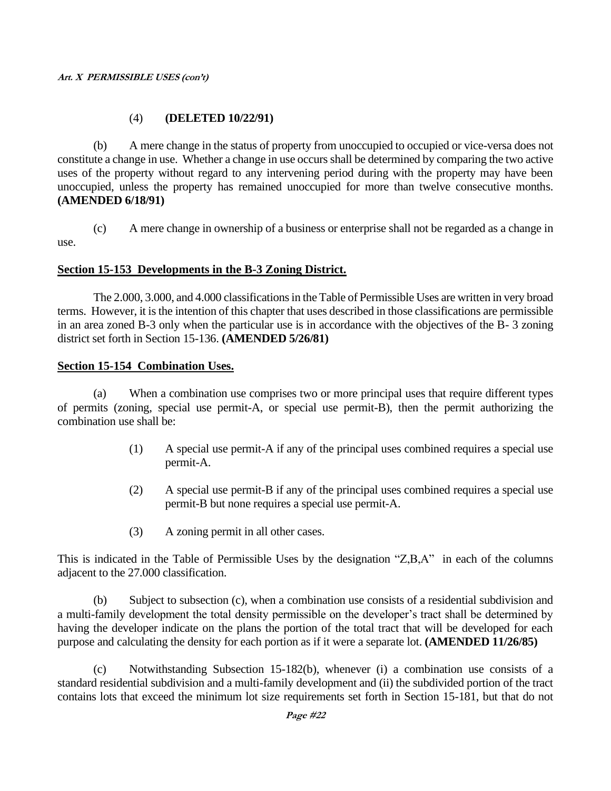## (4) **(DELETED 10/22/91)**

(b) A mere change in the status of property from unoccupied to occupied or vice-versa does not constitute a change in use. Whether a change in use occurs shall be determined by comparing the two active uses of the property without regard to any intervening period during with the property may have been unoccupied, unless the property has remained unoccupied for more than twelve consecutive months. **(AMENDED 6/18/91)**

(c) A mere change in ownership of a business or enterprise shall not be regarded as a change in use.

## **Section 15-153 Developments in the B-3 Zoning District.**

The 2.000, 3.000, and 4.000 classifications in the Table of Permissible Uses are written in very broad terms. However, it is the intention of this chapter that uses described in those classifications are permissible in an area zoned B-3 only when the particular use is in accordance with the objectives of the B- 3 zoning district set forth in Section 15-136. **(AMENDED 5/26/81)**

### **Section 15-154 Combination Uses.**

(a) When a combination use comprises two or more principal uses that require different types of permits (zoning, special use permit-A, or special use permit-B), then the permit authorizing the combination use shall be:

- (1) A special use permit-A if any of the principal uses combined requires a special use permit-A.
- (2) A special use permit-B if any of the principal uses combined requires a special use permit-B but none requires a special use permit-A.
- (3) A zoning permit in all other cases.

This is indicated in the Table of Permissible Uses by the designation "Z,B,A" in each of the columns adjacent to the 27.000 classification.

(b) Subject to subsection (c), when a combination use consists of a residential subdivision and a multi-family development the total density permissible on the developer's tract shall be determined by having the developer indicate on the plans the portion of the total tract that will be developed for each purpose and calculating the density for each portion as if it were a separate lot. **(AMENDED 11/26/85)**

(c) Notwithstanding Subsection 15-182(b), whenever (i) a combination use consists of a standard residential subdivision and a multi-family development and (ii) the subdivided portion of the tract contains lots that exceed the minimum lot size requirements set forth in Section 15-181, but that do not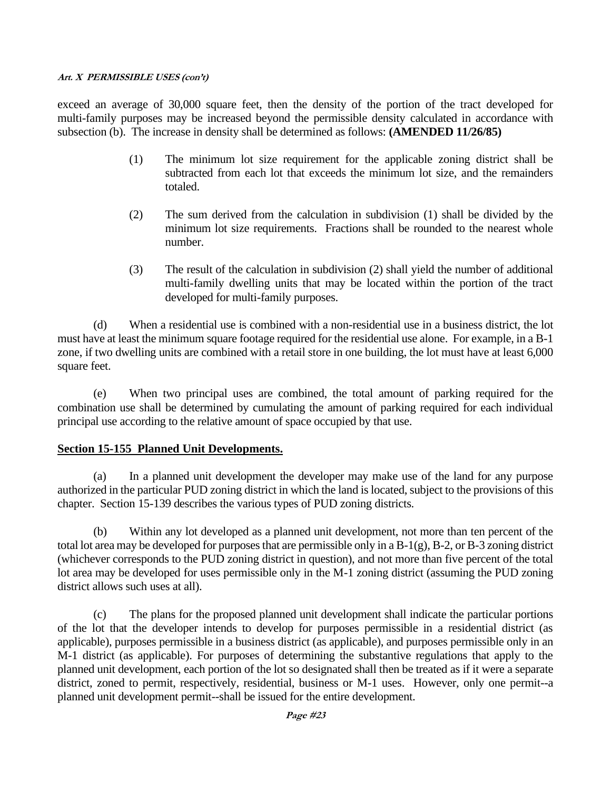exceed an average of 30,000 square feet, then the density of the portion of the tract developed for multi-family purposes may be increased beyond the permissible density calculated in accordance with subsection (b). The increase in density shall be determined as follows: **(AMENDED 11/26/85)**

- (1) The minimum lot size requirement for the applicable zoning district shall be subtracted from each lot that exceeds the minimum lot size, and the remainders totaled.
- (2) The sum derived from the calculation in subdivision (1) shall be divided by the minimum lot size requirements. Fractions shall be rounded to the nearest whole number.
- (3) The result of the calculation in subdivision (2) shall yield the number of additional multi-family dwelling units that may be located within the portion of the tract developed for multi-family purposes.

(d) When a residential use is combined with a non-residential use in a business district, the lot must have at least the minimum square footage required for the residential use alone. For example, in a B-1 zone, if two dwelling units are combined with a retail store in one building, the lot must have at least 6,000 square feet.

(e) When two principal uses are combined, the total amount of parking required for the combination use shall be determined by cumulating the amount of parking required for each individual principal use according to the relative amount of space occupied by that use.

### **Section 15-155 Planned Unit Developments.**

(a) In a planned unit development the developer may make use of the land for any purpose authorized in the particular PUD zoning district in which the land is located, subject to the provisions of this chapter. Section 15-139 describes the various types of PUD zoning districts.

(b) Within any lot developed as a planned unit development, not more than ten percent of the total lot area may be developed for purposes that are permissible only in a B-1(g), B-2, or B-3 zoning district (whichever corresponds to the PUD zoning district in question), and not more than five percent of the total lot area may be developed for uses permissible only in the M-1 zoning district (assuming the PUD zoning district allows such uses at all).

(c) The plans for the proposed planned unit development shall indicate the particular portions of the lot that the developer intends to develop for purposes permissible in a residential district (as applicable), purposes permissible in a business district (as applicable), and purposes permissible only in an M-1 district (as applicable). For purposes of determining the substantive regulations that apply to the planned unit development, each portion of the lot so designated shall then be treated as if it were a separate district, zoned to permit, respectively, residential, business or M-1 uses. However, only one permit--a planned unit development permit--shall be issued for the entire development.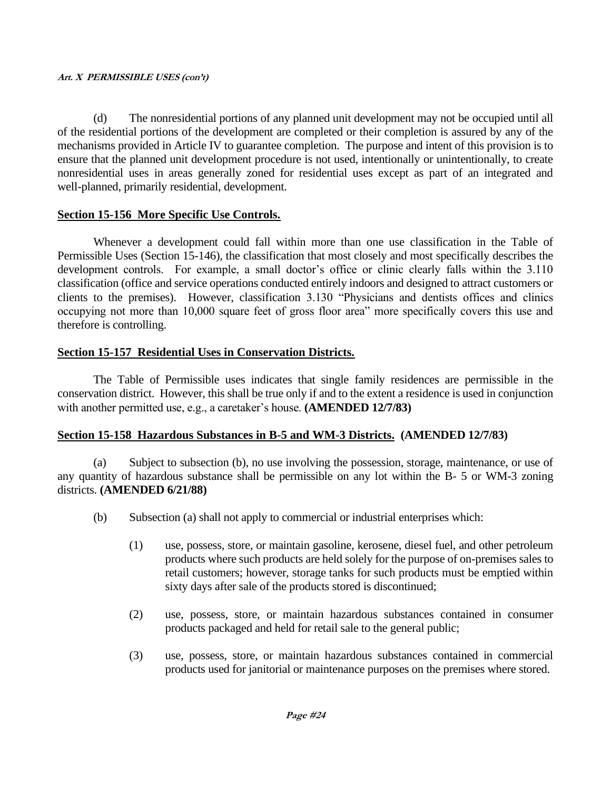(d) The nonresidential portions of any planned unit development may not be occupied until all of the residential portions of the development are completed or their completion is assured by any of the mechanisms provided in Article IV to guarantee completion. The purpose and intent of this provision is to ensure that the planned unit development procedure is not used, intentionally or unintentionally, to create nonresidential uses in areas generally zoned for residential uses except as part of an integrated and well-planned, primarily residential, development.

### **Section 15-156 More Specific Use Controls.**

Whenever a development could fall within more than one use classification in the Table of Permissible Uses (Section 15-146), the classification that most closely and most specifically describes the development controls. For example, a small doctor's office or clinic clearly falls within the 3.110 classification (office and service operations conducted entirely indoors and designed to attract customers or clients to the premises). However, classification 3.130 "Physicians and dentists offices and clinics occupying not more than 10,000 square feet of gross floor area" more specifically covers this use and therefore is controlling.

## **Section 15-157 Residential Uses in Conservation Districts.**

The Table of Permissible uses indicates that single family residences are permissible in the conservation district. However, this shall be true only if and to the extent a residence is used in conjunction with another permitted use, e.g., a caretaker's house. **(AMENDED 12/7/83)**

## **Section 15-158 Hazardous Substances in B-5 and WM-3 Districts. (AMENDED 12/7/83)**

(a) Subject to subsection (b), no use involving the possession, storage, maintenance, or use of any quantity of hazardous substance shall be permissible on any lot within the B- 5 or WM-3 zoning districts. **(AMENDED 6/21/88)**

- (b) Subsection (a) shall not apply to commercial or industrial enterprises which:
	- (1) use, possess, store, or maintain gasoline, kerosene, diesel fuel, and other petroleum products where such products are held solely for the purpose of on-premises sales to retail customers; however, storage tanks for such products must be emptied within sixty days after sale of the products stored is discontinued;
	- (2) use, possess, store, or maintain hazardous substances contained in consumer products packaged and held for retail sale to the general public;
	- (3) use, possess, store, or maintain hazardous substances contained in commercial products used for janitorial or maintenance purposes on the premises where stored.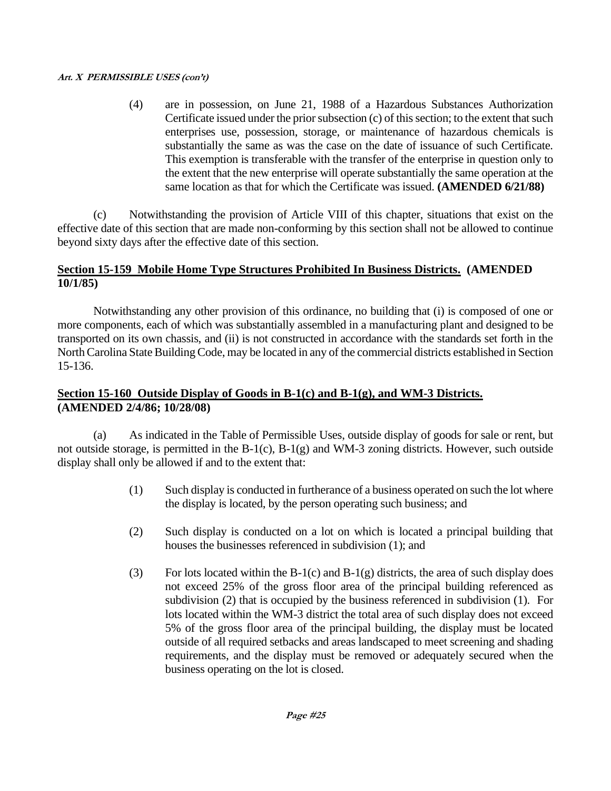(4) are in possession, on June 21, 1988 of a Hazardous Substances Authorization Certificate issued under the prior subsection (c) of this section; to the extent that such enterprises use, possession, storage, or maintenance of hazardous chemicals is substantially the same as was the case on the date of issuance of such Certificate. This exemption is transferable with the transfer of the enterprise in question only to the extent that the new enterprise will operate substantially the same operation at the same location as that for which the Certificate was issued. **(AMENDED 6/21/88)**

(c) Notwithstanding the provision of Article VIII of this chapter, situations that exist on the effective date of this section that are made non-conforming by this section shall not be allowed to continue beyond sixty days after the effective date of this section.

## **Section 15-159 Mobile Home Type Structures Prohibited In Business Districts. (AMENDED 10/1/85)**

Notwithstanding any other provision of this ordinance, no building that (i) is composed of one or more components, each of which was substantially assembled in a manufacturing plant and designed to be transported on its own chassis, and (ii) is not constructed in accordance with the standards set forth in the North Carolina State Building Code, may be located in any of the commercial districts established in Section 15-136.

## **Section 15-160 Outside Display of Goods in B-1(c) and B-1(g), and WM-3 Districts. (AMENDED 2/4/86; 10/28/08)**

(a) As indicated in the Table of Permissible Uses, outside display of goods for sale or rent, but not outside storage, is permitted in the B-1(c), B-1(g) and WM-3 zoning districts. However, such outside display shall only be allowed if and to the extent that:

- (1) Such display is conducted in furtherance of a business operated on such the lot where the display is located, by the person operating such business; and
- (2) Such display is conducted on a lot on which is located a principal building that houses the businesses referenced in subdivision (1); and
- (3) For lots located within the B-1(c) and B-1(g) districts, the area of such display does not exceed 25% of the gross floor area of the principal building referenced as subdivision (2) that is occupied by the business referenced in subdivision (1). For lots located within the WM-3 district the total area of such display does not exceed 5% of the gross floor area of the principal building, the display must be located outside of all required setbacks and areas landscaped to meet screening and shading requirements, and the display must be removed or adequately secured when the business operating on the lot is closed.